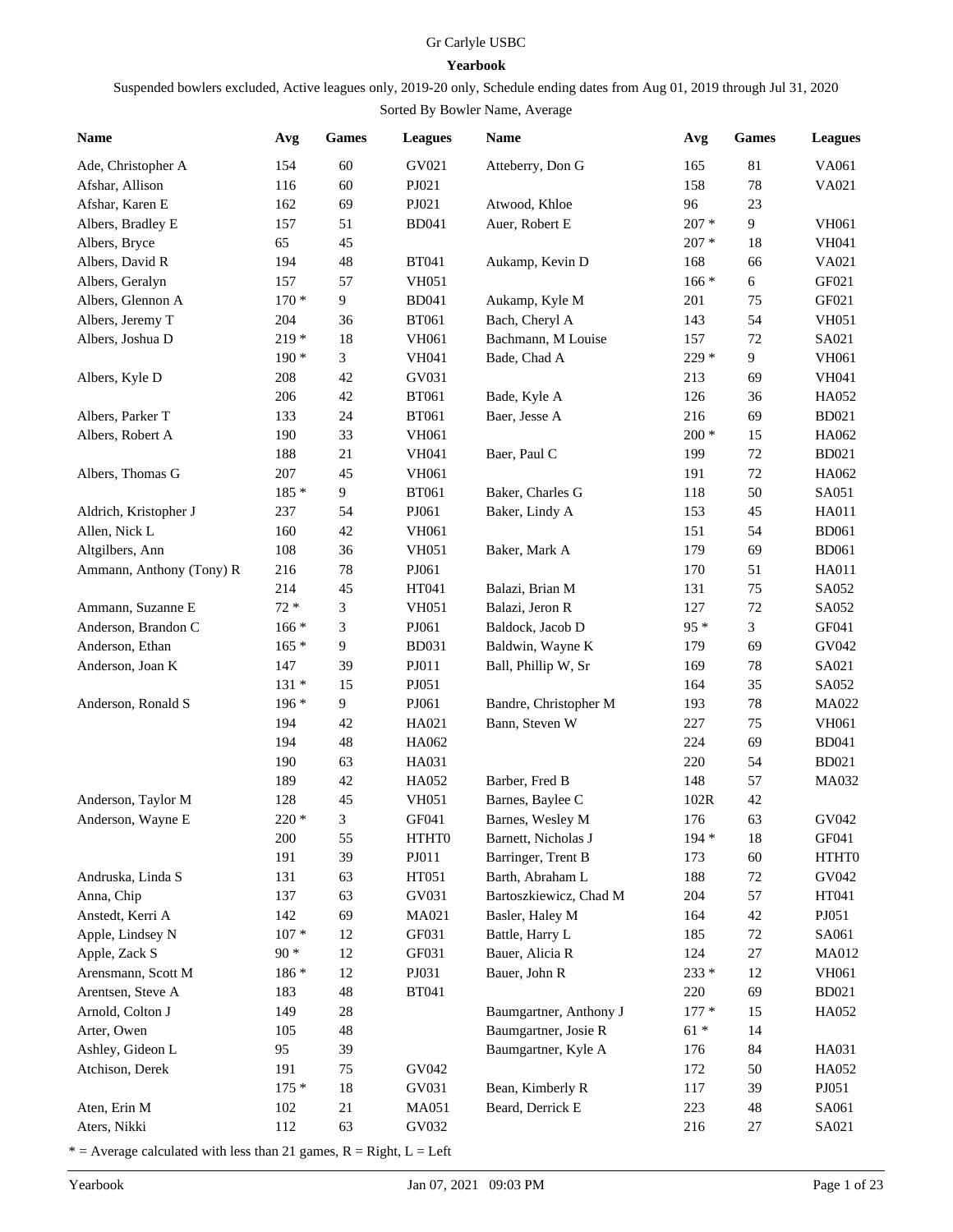## Gr Carlyle USBC

## **Yearbook**

Suspended bowlers excluded, Active leagues only, 2019-20 only, Schedule ending dates from Aug 01, 2019 through Jul 31, 2020

## Sorted By Bowler Name, Average

| <b>Name</b>              | Avg             | <b>Games</b> | <b>Leagues</b> | Name                   | Avg     | <b>Games</b> | <b>Leagues</b> |
|--------------------------|-----------------|--------------|----------------|------------------------|---------|--------------|----------------|
| Ade, Christopher A       | 154             | 60           | GV021          | Atteberry, Don G       | 165     | 81           | VA061          |
| Afshar, Allison          | 116             | 60           | PJ021          |                        | 158     | $78\,$       | VA021          |
| Afshar, Karen E          | 162             | 69           | PJ021          | Atwood, Khloe          | 96      | 23           |                |
| Albers, Bradley E        | 157             | 51           | <b>BD041</b>   | Auer, Robert E         | $207 *$ | 9            | <b>VH061</b>   |
| Albers, Bryce            | 65              | 45           |                |                        | $207 *$ | 18           | <b>VH041</b>   |
| Albers, David R          | 194             | 48           | <b>BT041</b>   | Aukamp, Kevin D        | 168     | 66           | VA021          |
| Albers, Geralyn          | 157             | 57           | <b>VH051</b>   |                        | $166*$  | 6            | GF021          |
| Albers, Glennon A        | $170*$          | 9            | <b>BD041</b>   | Aukamp, Kyle M         | 201     | 75           | GF021          |
| Albers, Jeremy T         | 204             | 36           | <b>BT061</b>   | Bach, Cheryl A         | 143     | 54           | <b>VH051</b>   |
| Albers, Joshua D         | $219*$          | 18           | <b>VH061</b>   | Bachmann, M Louise     | 157     | $72\,$       | SA021          |
|                          | $190*$          | 3            | <b>VH041</b>   | Bade, Chad A           | 229 *   | 9            | VH061          |
| Albers, Kyle D           | 208             | 42           | GV031          |                        | 213     | 69           | VH041          |
|                          | 206             | 42           | <b>BT061</b>   | Bade, Kyle A           | 126     | 36           | HA052          |
| Albers, Parker T         | 133             | 24           | <b>BT061</b>   | Baer, Jesse A          | 216     | 69           | <b>BD021</b>   |
| Albers, Robert A         | 190             | 33           | <b>VH061</b>   |                        | $200 *$ | 15           | HA062          |
|                          | 188             | 21           | <b>VH041</b>   | Baer, Paul C           | 199     | $72\,$       | <b>BD021</b>   |
| Albers, Thomas G         | 207             | 45           | <b>VH061</b>   |                        | 191     | $72\,$       | HA062          |
|                          | 185 *           | 9            | <b>BT061</b>   | Baker, Charles G       | 118     | 50           | SA051          |
| Aldrich, Kristopher J    | 237             | 54           | PJ061          | Baker, Lindy A         | 153     | 45           | HA011          |
| Allen, Nick L            | 160             | 42           | <b>VH061</b>   |                        | 151     | 54           | <b>BD061</b>   |
| Altgilbers, Ann          | 108             | 36           | <b>VH051</b>   | Baker, Mark A          | 179     | 69           | <b>BD061</b>   |
| Ammann, Anthony (Tony) R | 216             | 78           | PJ061          |                        | 170     | 51           | HA011          |
|                          | 214             | 45           | HT041          | Balazi, Brian M        | 131     | 75           | SA052          |
| Ammann, Suzanne E        | $72 *$          | 3            | <b>VH051</b>   | Balazi, Jeron R        | 127     | $72\,$       | SA052          |
| Anderson, Brandon C      | $166*$          | 3            | PJ061          | Baldock, Jacob D       | $95*$   | 3            | GF041          |
| Anderson, Ethan          | $165*$          | 9            | <b>BD031</b>   | Baldwin, Wayne K       | 179     | 69           | GV042          |
| Anderson, Joan K         | 147             | 39           | PJ011          | Ball, Phillip W, Sr    | 169     | 78           | SA021          |
|                          | $131 *$         | 15           | PJ051          |                        | 164     | 35           | SA052          |
| Anderson, Ronald S       | $196*$          | 9            | PJ061          | Bandre, Christopher M  | 193     | $78\,$       | MA022          |
|                          | 194             | 42           | HA021          | Bann, Steven W         | 227     | 75           | <b>VH061</b>   |
|                          | 194             | 48           | HA062          |                        | 224     | 69           | <b>BD041</b>   |
|                          | 190             | 63           | HA031          |                        | 220     | 54           | <b>BD021</b>   |
|                          | 189             | 42           | HA052          | Barber, Fred B         | 148     | 57           | <b>MA032</b>   |
| Anderson, Taylor M       | 128             | 45           | <b>VH051</b>   | Barnes, Baylee C       | 102R    | 42           |                |
| Anderson, Wayne E        | $220*$          | 3            | GF041          | Barnes, Wesley M       | 176     | 63           | GV042          |
|                          | 200             | 55           | HTHT0          | Barnett, Nicholas J    | 194 *   | 18           | GF041          |
|                          | 191             | 39           | ${\bf P}J011$  | Barringer, Trent B     | 173     | 60           | HTHT0          |
| Andruska, Linda S        | 131             | 63           | HT051          | Barth, Abraham L       | 188     | 72           | GV042          |
| Anna, Chip               | 137             | 63           | GV031          | Bartoszkiewicz, Chad M | 204     | 57           | HT041          |
| Anstedt, Kerri A         | 142             | 69           | MA021          | Basler, Haley M        | 164     | 42           | PJ051          |
| Apple, Lindsey N         | $107$ $^{\ast}$ | 12           | GF031          | Battle, Harry L        | 185     | 72           | SA061          |
| Apple, Zack S            | $90 *$          | 12           | GF031          | Bauer, Alicia R        | 124     | $27\,$       | MA012          |
| Arensmann, Scott M       | 186 *           | 12           | PJ031          | Bauer, John R          | $233 *$ | 12           | VH061          |
| Arentsen, Steve A        | 183             | 48           | <b>BT041</b>   |                        | 220     | 69           | <b>BD021</b>   |
| Arnold, Colton J         | 149             | $28\,$       |                | Baumgartner, Anthony J | $177*$  | 15           | HA052          |
| Arter, Owen              | 105             | 48           |                | Baumgartner, Josie R   | $61 *$  | 14           |                |
| Ashley, Gideon L         | 95              | 39           |                | Baumgartner, Kyle A    | 176     | 84           | HA031          |
| Atchison, Derek          | 191             | 75           | GV042          |                        | 172     | 50           | HA052          |
|                          | $175*$          | 18           | GV031          | Bean, Kimberly R       | 117     | 39           | PJ051          |
| Aten, Erin M             | 102             | 21           | MA051          | Beard, Derrick E       | 223     | 48           | SA061          |
| Aters, Nikki             | 112             | 63           | GV032          |                        | 216     | 27           | SA021          |
|                          |                 |              |                |                        |         |              |                |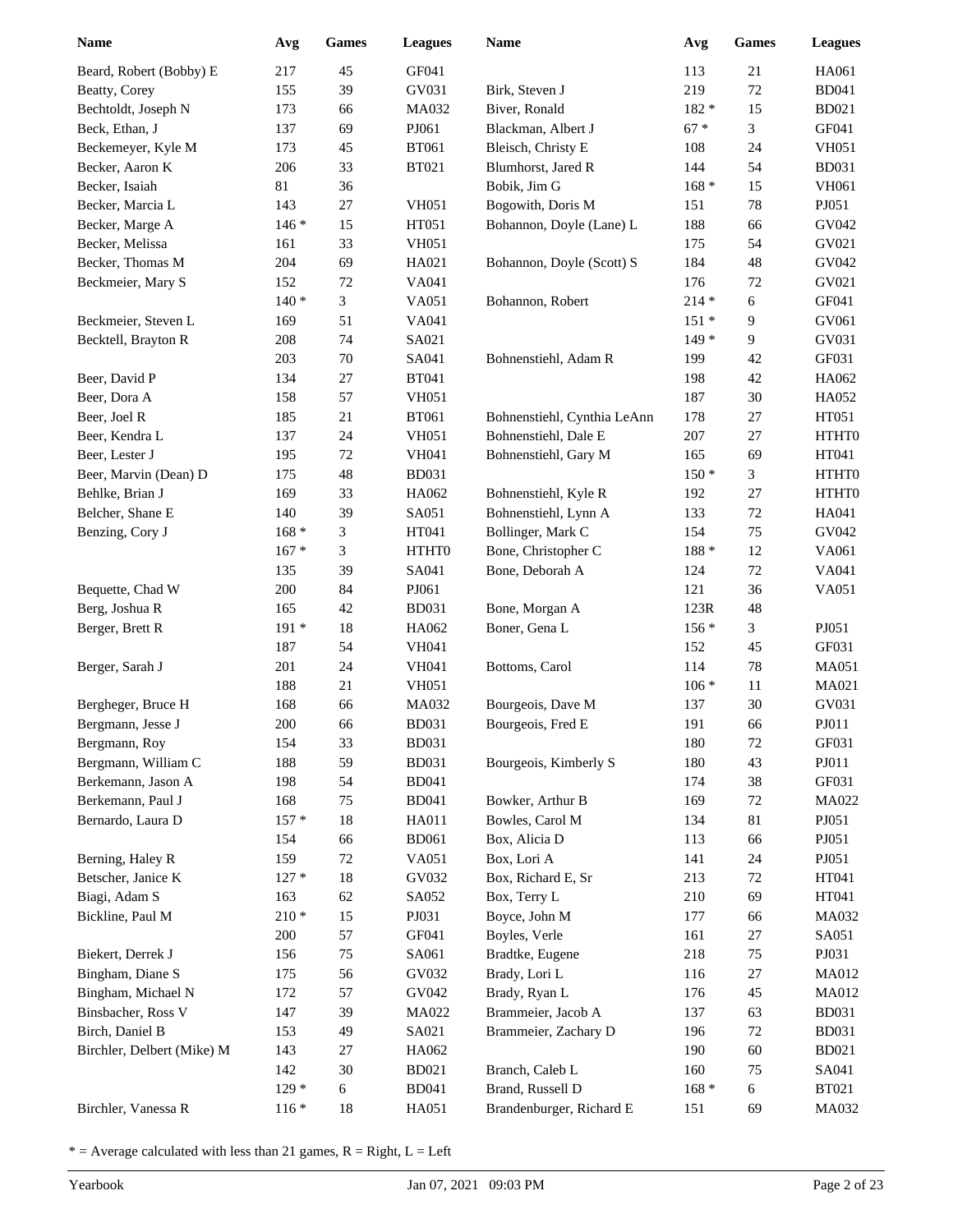| <b>Name</b>                       | Avg            | <b>Games</b> | <b>Leagues</b> | Name                               | Avg        | <b>Games</b> | <b>Leagues</b> |
|-----------------------------------|----------------|--------------|----------------|------------------------------------|------------|--------------|----------------|
| Beard, Robert (Bobby) E           | 217            | 45           | GF041          |                                    | 113        | 21           | HA061          |
| Beatty, Corey                     | 155            | 39           | GV031          | Birk, Steven J                     | 219        | 72           | <b>BD041</b>   |
| Bechtoldt, Joseph N               | 173            | 66           | MA032          | Biver, Ronald                      | 182 *      | 15           | <b>BD021</b>   |
| Beck, Ethan, J                    | 137            | 69           | PJ061          | Blackman, Albert J                 | $67 *$     | 3            | GF041          |
| Beckemeyer, Kyle M                | 173            | 45           | <b>BT061</b>   | Bleisch, Christy E                 | 108        | 24           | <b>VH051</b>   |
| Becker, Aaron K                   | 206            | 33           | <b>BT021</b>   | Blumhorst, Jared R                 | 144        | 54           | <b>BD031</b>   |
| Becker, Isaiah                    | 81             | 36           |                | Bobik, Jim G                       | $168 *$    | 15           | VH061          |
| Becker, Marcia L                  | 143            | $27\,$       | <b>VH051</b>   | Bogowith, Doris M                  | 151        | $78\,$       | PJ051          |
| Becker, Marge A                   | $146*$         | 15           | HT051          | Bohannon, Doyle (Lane) L           | 188        | 66           | GV042          |
| Becker, Melissa                   | 161            | 33           | <b>VH051</b>   |                                    | 175        | 54           | GV021          |
| Becker, Thomas M                  | 204            | 69           | HA021          | Bohannon, Doyle (Scott) S          | 184        | 48           | GV042          |
| Beckmeier, Mary S                 | 152            | $72\,$       | VA041          |                                    | 176        | 72           | GV021          |
|                                   | $140*$         | 3            | VA051          | Bohannon, Robert                   | $214 *$    | 6            | GF041          |
| Beckmeier, Steven L               | 169            | 51           | VA041          |                                    | $151*$     | 9            | GV061          |
| Becktell, Brayton R               | 208            | 74           | SA021          |                                    | $149*$     | 9            | GV031          |
|                                   | 203            | $70\,$       | SA041          | Bohnenstiehl, Adam R               | 199        | 42           | GF031          |
| Beer, David P                     | 134            | 27           | <b>BT041</b>   |                                    | 198        | 42           | HA062          |
| Beer, Dora A                      | 158            | 57           | <b>VH051</b>   |                                    | 187        | 30           | HA052          |
| Beer, Joel R                      | 185            | $21\,$       | <b>BT061</b>   | Bohnenstiehl, Cynthia LeAnn        | 178        | 27           | HT051          |
| Beer, Kendra L                    | 137            | 24           | <b>VH051</b>   | Bohnenstiehl, Dale E               | 207        | 27           | HTHT0          |
| Beer, Lester J                    | 195            | $72\,$       | <b>VH041</b>   | Bohnenstiehl, Gary M               | 165        | 69           | HT041          |
| Beer, Marvin (Dean) D             | 175            | 48           | <b>BD031</b>   |                                    | $150*$     | 3            | HTHT0          |
| Behlke, Brian J                   | 169            | 33           | HA062          | Bohnenstiehl, Kyle R               | 192        | 27           | HTHT0          |
| Belcher, Shane E                  | 140            | 39           | SA051          | Bohnenstiehl, Lynn A               | 133        | $72\,$       | HA041          |
| Benzing, Cory J                   | $168 *$        | 3            | HT041          | Bollinger, Mark C                  | 154        | 75           | GV042          |
|                                   | $167 *$        | 3            | HTHT0          | Bone, Christopher C                | $188 *$    | 12           | VA061          |
|                                   | 135            | 39           | SA041          | Bone, Deborah A                    | 124        | $72\,$       | VA041          |
| Bequette, Chad W                  | 200            | 84           | PJ061          |                                    | 121        | 36           | VA051          |
| Berg, Joshua R                    | 165            | 42           | <b>BD031</b>   | Bone, Morgan A                     | 123R       | 48           |                |
| Berger, Brett R                   | $191*$         | $18\,$       | HA062          | Boner, Gena L                      | $156*$     | 3            | PJ051          |
|                                   | 187            | 54           | <b>VH041</b>   |                                    | 152        | 45           | GF031          |
| Berger, Sarah J                   | 201            | 24           | <b>VH041</b>   | Bottoms, Carol                     | 114        | 78           | <b>MA051</b>   |
|                                   | 188            | $21\,$       | <b>VH051</b>   |                                    | $106 *$    | 11           | MA021          |
| Bergheger, Bruce H                | 168            | 66           | MA032          | Bourgeois, Dave M                  | 137        | 30           | GV031          |
| Bergmann, Jesse J                 | 200            | 66           | <b>BD031</b>   | Bourgeois, Fred E                  | 191        | 66           | PJ011          |
| Bergmann, Roy                     | 154            | 33           | <b>BD031</b>   |                                    | 180        | $72\,$       | GF031          |
| Bergmann, William C               | 188            | 59           | <b>BD031</b>   | Bourgeois, Kimberly S              | 180        | 43           | ${\bf P}J011$  |
| Berkemann, Jason A                | 198            | 54           | <b>BD041</b>   |                                    | 174        | 38           | GF031          |
| Berkemann, Paul J                 | 168            | 75           | <b>BD041</b>   | Bowker, Arthur B                   | 169        | 72           | MA022          |
| Bernardo, Laura D                 | $157 *$        | $18\,$       | HA011          | Bowles, Carol M                    | 134        | 81           | PJ051          |
|                                   | 154            | 66           | <b>BD061</b>   | Box, Alicia D                      | 113        | 66           | PJ051          |
| Berning, Haley R                  | 159<br>$127 *$ | 72           | VA051          | Box, Lori A                        | 141        | 24           | PJ051          |
| Betscher, Janice K                |                | 18<br>62     | GV032          | Box, Richard E, Sr<br>Box, Terry L | 213        | 72<br>69     | HT041          |
| Biagi, Adam S<br>Bickline, Paul M | 163<br>$210 *$ | 15           | SA052<br>PJ031 | Boyce, John M                      | 210<br>177 | 66           | HT041<br>MA032 |
|                                   | 200            | 57           | GF041          | Boyles, Verle                      | 161        | $27\,$       | SA051          |
| Biekert, Derrek J                 | 156            | 75           | SA061          | Bradtke, Eugene                    | 218        | 75           | PJ031          |
| Bingham, Diane S                  | 175            | 56           | GV032          | Brady, Lori L                      | 116        | 27           | MA012          |
| Bingham, Michael N                | 172            | 57           | GV042          | Brady, Ryan L                      | 176        | 45           | MA012          |
| Binsbacher, Ross V                | 147            | 39           | MA022          | Brammeier, Jacob A                 | 137        | 63           | <b>BD031</b>   |
| Birch, Daniel B                   | 153            | 49           | SA021          | Brammeier, Zachary D               | 196        | $72\,$       | <b>BD031</b>   |
| Birchler, Delbert (Mike) M        | 143            | $27\,$       | HA062          |                                    | 190        | 60           | <b>BD021</b>   |
|                                   | 142            | $30\,$       | <b>BD021</b>   | Branch, Caleb L                    | 160        | 75           | SA041          |
|                                   | $129*$         | 6            | <b>BD041</b>   | Brand, Russell D                   | $168 *$    | 6            | <b>BT021</b>   |
| Birchler, Vanessa R               | $116*$         | 18           | HA051          | Brandenburger, Richard E           | 151        | 69           | MA032          |
|                                   |                |              |                |                                    |            |              |                |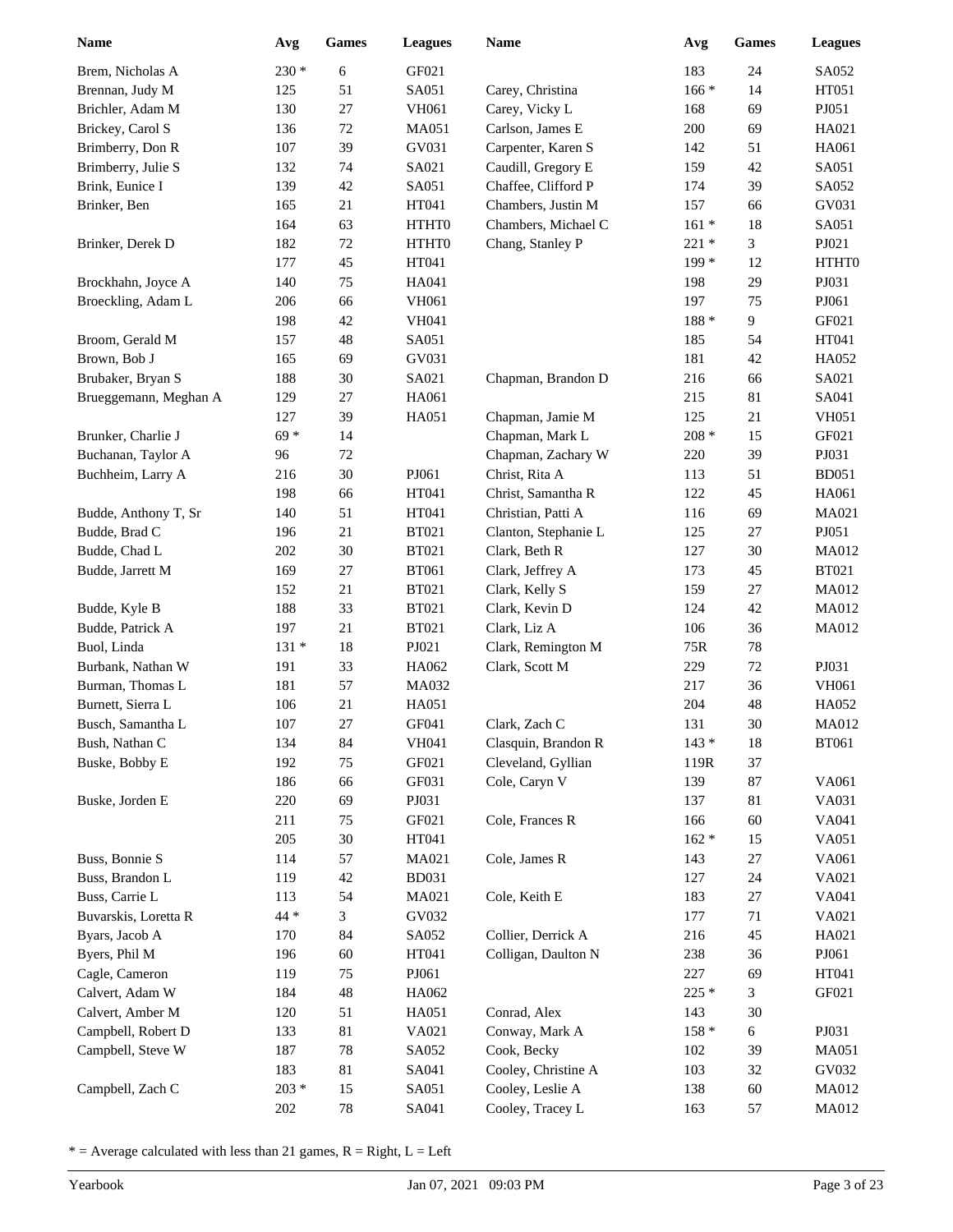| Name                  | Avg        | Games    | <b>Leagues</b> | <b>Name</b>                         | Avg            | <b>Games</b> | <b>Leagues</b> |
|-----------------------|------------|----------|----------------|-------------------------------------|----------------|--------------|----------------|
| Brem, Nicholas A      | $230*$     | 6        | GF021          |                                     | 183            | 24           | SA052          |
| Brennan, Judy M       | 125        | 51       | SA051          | Carey, Christina                    | $166*$         | 14           | HT051          |
| Brichler, Adam M      | 130        | 27       | <b>VH061</b>   | Carey, Vicky L                      | 168            | 69           | PJ051          |
| Brickey, Carol S      | 136        | 72       | <b>MA051</b>   | Carlson, James E                    | 200            | 69           | HA021          |
| Brimberry, Don R      | 107        | 39       | GV031          | Carpenter, Karen S                  | 142            | 51           | HA061          |
| Brimberry, Julie S    | 132        | 74       | SA021          | Caudill, Gregory E                  | 159            | 42           | SA051          |
| Brink, Eunice I       | 139        | 42       | SA051          | Chaffee, Clifford P                 | 174            | 39           | SA052          |
| Brinker, Ben          | 165        | 21       | HT041          | Chambers, Justin M                  | 157            | 66           | GV031          |
|                       | 164        | 63       | HTHT0          | Chambers, Michael C                 | $161 *$        | 18           | SA051          |
| Brinker, Derek D      | 182        | $72\,$   | HTHT0          | Chang, Stanley P                    | $221*$         | 3            | PJ021          |
|                       | 177        | 45       | HT041          |                                     | $199*$         | 12           | HTHT0          |
| Brockhahn, Joyce A    | 140        | 75       | HA041          |                                     | 198            | 29           | PJ031          |
| Broeckling, Adam L    | 206        | 66       | <b>VH061</b>   |                                     | 197            | 75           | PJ061          |
|                       | 198        | 42       | <b>VH041</b>   |                                     | $188 *$        | 9            | GF021          |
| Broom, Gerald M       | 157        | 48       | SA051          |                                     | 185            | 54           | HT041          |
| Brown, Bob J          | 165        | 69       | GV031          |                                     | 181            | 42           | HA052          |
| Brubaker, Bryan S     | 188        | $30\,$   | SA021          | Chapman, Brandon D                  | 216            | 66           | SA021          |
| Brueggemann, Meghan A | 129        | $27\,$   | HA061          |                                     | 215            | 81           | SA041          |
|                       | 127        | 39       | HA051          | Chapman, Jamie M                    | 125            | 21           | <b>VH051</b>   |
| Brunker, Charlie J    | $69*$      | 14       |                | Chapman, Mark L                     | 208 *          | 15           | GF021          |
| Buchanan, Taylor A    | 96         | $72\,$   |                | Chapman, Zachary W                  | 220            | 39           | PJ031          |
| Buchheim, Larry A     | 216        | 30       | PJ061          | Christ, Rita A                      | 113            | 51           | <b>BD051</b>   |
|                       | 198        | 66       | HT041          | Christ, Samantha R                  | 122            | 45           | HA061          |
| Budde, Anthony T, Sr  | 140        | 51       | HT041          | Christian, Patti A                  | 116            | 69           | MA021          |
| Budde, Brad C         | 196        | 21       | <b>BT021</b>   | Clanton, Stephanie L                | 125            | 27           | PJ051          |
| Budde, Chad L         | 202        | 30       | <b>BT021</b>   | Clark, Beth R                       | 127            | 30           | <b>MA012</b>   |
| Budde, Jarrett M      | 169        | 27       | <b>BT061</b>   | Clark, Jeffrey A                    | 173            | 45           | <b>BT021</b>   |
|                       | 152        | 21       | <b>BT021</b>   | Clark, Kelly S                      | 159            | 27           | <b>MA012</b>   |
| Budde, Kyle B         | 188        | 33       | <b>BT021</b>   | Clark, Kevin D                      | 124            | 42           | <b>MA012</b>   |
| Budde, Patrick A      | 197        | 21       | <b>BT021</b>   | Clark, Liz A                        | 106            | 36           | <b>MA012</b>   |
| Buol, Linda           | $131 *$    | 18       | PJ021          | Clark, Remington M                  | 75R            | 78           |                |
| Burbank, Nathan W     | 191        | 33       | HA062          | Clark, Scott M                      | 229            | 72           | PJ031          |
| Burman, Thomas L      | 181        | 57       | <b>MA032</b>   |                                     | 217            | 36           | <b>VH061</b>   |
| Burnett, Sierra L     | 106        | 21       | HA051          |                                     | 204            | 48           | HA052          |
| Busch, Samantha L     | 107        | 27       | GF041          | Clark, Zach C                       | 131            | 30           | <b>MA012</b>   |
| Bush, Nathan C        | 134        | 84       | <b>VH041</b>   | Clasquin, Brandon R                 | $143 *$        | 18           | <b>BT061</b>   |
|                       |            |          | GF021          |                                     |                |              |                |
| Buske, Bobby E        | 192<br>186 | 75<br>66 | GF031          | Cleveland, Gyllian<br>Cole, Caryn V | 119R           | 37<br>87     |                |
|                       |            |          | PJ031          |                                     | 139            |              | VA061          |
| Buske, Jorden E       | 220        | 69       |                | Cole, Frances R                     | 137            | 81           | VA031          |
|                       | 211        | 75       | GF021          |                                     | 166<br>$162 *$ | $60\,$       | VA041          |
|                       | 205        | $30\,$   | HT041          |                                     |                | 15           | VA051          |
| Buss, Bonnie S        | 114        | 57       | MA021          | Cole, James R                       | 143            | $27\,$       | VA061          |
| Buss, Brandon L       | 119        | 42       | <b>BD031</b>   |                                     | 127            | 24           | VA021          |
| Buss, Carrie L        | 113        | 54       | MA021          | Cole, Keith E                       | 183            | $27\,$       | VA041          |
| Buvarskis, Loretta R  | 44 *       | 3        | GV032          |                                     | 177            | 71           | VA021          |
| Byars, Jacob A        | 170        | 84       | SA052          | Collier, Derrick A                  | 216            | 45           | HA021          |
| Byers, Phil M         | 196        | 60       | HT041          | Colligan, Daulton N                 | 238            | 36           | PJ061          |
| Cagle, Cameron        | 119        | 75       | PJ061          |                                     | 227            | 69           | HT041          |
| Calvert, Adam W       | 184        | 48       | HA062          |                                     | 225 *          | 3            | GF021          |
| Calvert, Amber M      | 120        | 51       | HA051          | Conrad, Alex                        | 143            | $30\,$       |                |
| Campbell, Robert D    | 133        | 81       | VA021          | Conway, Mark A                      | $158 *$        | 6            | PJ031          |
| Campbell, Steve W     | 187        | 78       | SA052          | Cook, Becky                         | 102            | 39           | <b>MA051</b>   |
|                       | 183        | 81       | SA041          | Cooley, Christine A                 | 103            | 32           | GV032          |
| Campbell, Zach C      | $203 *$    | 15       | SA051          | Cooley, Leslie A                    | 138            | $60\,$       | MA012          |
|                       | 202        | 78       | SA041          | Cooley, Tracey L                    | 163            | 57           | MA012          |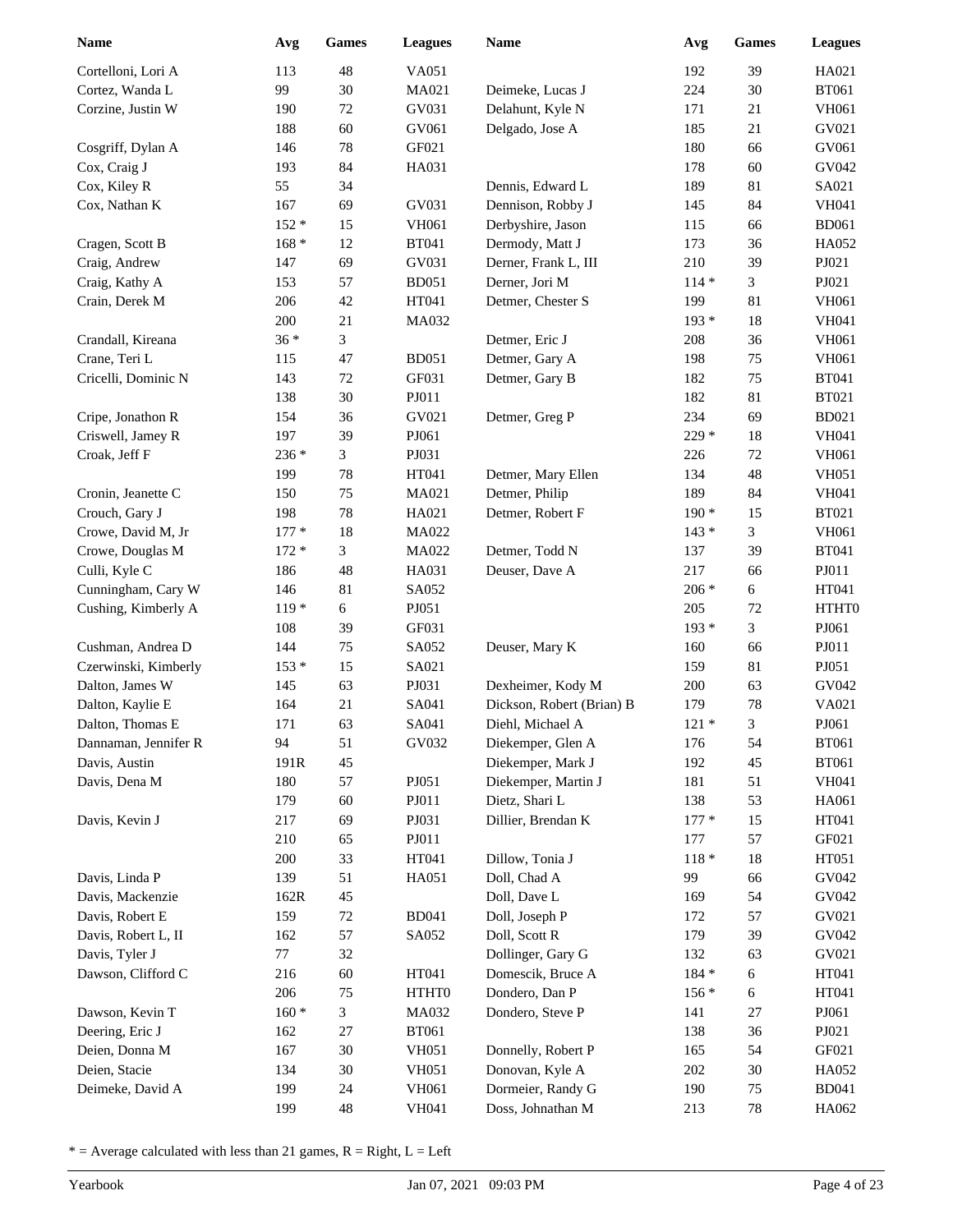| <b>Name</b>                     | Avg     | <b>Games</b>     | <b>Leagues</b> | <b>Name</b>                           | Avg     | Games    | <b>Leagues</b> |
|---------------------------------|---------|------------------|----------------|---------------------------------------|---------|----------|----------------|
| Cortelloni, Lori A              | 113     | 48               | VA051          |                                       | 192     | 39       | HA021          |
| Cortez, Wanda L                 | 99      | 30               | MA021          | Deimeke, Lucas J                      | 224     | 30       | <b>BT061</b>   |
| Corzine, Justin W               | 190     | $72\,$           | GV031          | Delahunt, Kyle N                      | 171     | 21       | VH061          |
|                                 | 188     | $60\,$           | GV061          | Delgado, Jose A                       | 185     | 21       | GV021          |
| Cosgriff, Dylan A               | 146     | 78               | GF021          |                                       | 180     | 66       | GV061          |
| Cox, Craig J                    | 193     | 84               | HA031          |                                       | 178     | 60       | GV042          |
| Cox, Kiley R                    | 55      | 34               |                | Dennis, Edward L                      | 189     | 81       | SA021          |
| Cox, Nathan K                   | 167     | 69               | GV031          | Dennison, Robby J                     | 145     | 84       | <b>VH041</b>   |
|                                 | $152 *$ | 15               | <b>VH061</b>   | Derbyshire, Jason                     | 115     | 66       | <b>BD061</b>   |
| Cragen, Scott B                 | $168 *$ | 12               | <b>BT041</b>   | Dermody, Matt J                       | 173     | 36       | HA052          |
| Craig, Andrew                   | 147     | 69               | GV031          | Derner, Frank L, III                  | 210     | 39       | PJ021          |
| Craig, Kathy A                  | 153     | 57               | <b>BD051</b>   | Derner, Jori M                        | $114*$  | 3        | PJ021          |
| Crain, Derek M                  | 206     | 42               | HT041          | Detmer, Chester S                     | 199     | 81       | VH061          |
|                                 | 200     | 21               | MA032          |                                       | 193 *   | $18\,$   | <b>VH041</b>   |
| Crandall, Kireana               | $36*$   | 3                |                | Detmer, Eric J                        | 208     | 36       | <b>VH061</b>   |
| Crane, Teri L                   | 115     | 47               | <b>BD051</b>   | Detmer, Gary A                        | 198     | 75       | <b>VH061</b>   |
| Cricelli, Dominic N             | 143     | 72               | GF031          | Detmer, Gary B                        | 182     | 75       | <b>BT041</b>   |
|                                 | 138     | 30               | PJ011          |                                       | 182     | 81       | <b>BT021</b>   |
| Cripe, Jonathon R               | 154     | 36               | GV021          | Detmer, Greg P                        | 234     | 69       | <b>BD021</b>   |
| Criswell, Jamey R               | 197     | 39               | PJ061          |                                       | 229 *   | $18\,$   | <b>VH041</b>   |
| Croak, Jeff F                   | 236 *   | 3                | PJ031          |                                       | 226     | $72\,$   | <b>VH061</b>   |
|                                 | 199     | 78               | HT041          | Detmer, Mary Ellen                    | 134     | 48       | <b>VH051</b>   |
| Cronin, Jeanette C              | 150     | 75               | MA021          | Detmer, Philip                        | 189     | 84       | <b>VH041</b>   |
| Crouch, Gary J                  | 198     | $78\,$           | HA021          | Detmer, Robert F                      | $190*$  | 15       | <b>BT021</b>   |
| Crowe, David M, Jr              | $177*$  | 18               | MA022          |                                       | $143*$  | 3        | VH061          |
| Crowe, Douglas M                | $172 *$ | 3                | MA022          | Detmer, Todd N                        | 137     | 39       | <b>BT041</b>   |
| Culli, Kyle C                   | 186     | 48               | HA031          | Deuser, Dave A                        | 217     | 66       | PJ011          |
| Cunningham, Cary W              | 146     | 81               | SA052          |                                       | $206 *$ | $6\,$    | HT041          |
| Cushing, Kimberly A             | $119*$  | 6                | PJ051          |                                       | 205     | 72       | HTHT0          |
|                                 | 108     | 39               | GF031          |                                       | 193 *   | 3        | PJ061          |
| Cushman, Andrea D               | 144     | 75               | SA052          | Deuser, Mary K                        | 160     | 66       | PJ011          |
| Czerwinski, Kimberly            | $153*$  | 15               | SA021          |                                       | 159     | 81       | PJ051          |
| Dalton, James W                 | 145     | 63               | PJ031          | Dexheimer, Kody M                     | 200     | 63       | GV042          |
| Dalton, Kaylie E                | 164     | 21               | SA041          | Dickson, Robert (Brian) B             | 179     | $78\,$   | VA021          |
| Dalton, Thomas E                | 171     | 63               | SA041          | Diehl, Michael A                      | $121 *$ | 3        | PJ061          |
| Dannaman, Jennifer R            | 94      | 51               | GV032          | Diekemper, Glen A                     | 176     | 54       | <b>BT061</b>   |
| Davis, Austin                   | 191R    | 45               |                | Diekemper, Mark J                     | 192     | 45       | <b>BT061</b>   |
| Davis, Dena M                   | 180     | 57               | PJ051          | Diekemper, Martin J                   | 181     | 51       | VH041          |
|                                 | 179     | $60\,$           | PJ011          | Dietz, Shari L                        | 138     | 53       | HA061          |
| Davis, Kevin J                  | 217     | 69               | PJ031          | Dillier, Brendan K                    | $177*$  | 15       | HT041          |
|                                 | 210     | 65               | PJ011          |                                       | 177     | 57       | GF021          |
|                                 | 200     | 33               | HT041          | Dillow, Tonia J                       | $118 *$ | $18\,$   | HT051          |
| Davis, Linda P                  | 139     | 51               | HA051          | Doll, Chad A                          | 99      | 66       | GV042          |
| Davis, Mackenzie                | 162R    | 45               |                | Doll, Dave L                          | 169     | 54       | GV042          |
| Davis, Robert E                 | 159     | 72               | <b>BD041</b>   | Doll, Joseph P                        | 172     | 57       | GV021          |
| Davis, Robert L, II             | 162     | 57               | SA052          | Doll, Scott R                         | 179     | 39       | GV042          |
| Davis, Tyler J                  | $77\,$  | 32               |                | Dollinger, Gary G                     | 132     | 63       | GV021          |
| Dawson, Clifford C              | 216     | 60               | HT041          | Domescik, Bruce A                     | 184 *   | 6        | HT041          |
|                                 | 206     | 75               | HTHT0          | Dondero, Dan P                        | $156*$  | 6        | HT041          |
| Dawson, Kevin T                 | $160 *$ | 3                | <b>MA032</b>   | Dondero, Steve P                      | 141     | 27       | PJ061          |
| Deering, Eric J                 | 162     | 27               | <b>BT061</b>   |                                       | 138     | 36       | PJ021          |
| Deien, Donna M<br>Deien, Stacie | 167     | $30\,$<br>$30\,$ | <b>VH051</b>   | Donnelly, Robert P<br>Donovan, Kyle A | 165     | 54<br>30 | GF021          |
|                                 | 134     |                  | <b>VH051</b>   |                                       | 202     | 75       | HA052          |
| Deimeke, David A                | 199     | 24               | VH061          | Dormeier, Randy G                     | 190     |          | <b>BD041</b>   |
|                                 | 199     | 48               | VH041          | Doss, Johnathan M                     | 213     | $78\,$   | HA062          |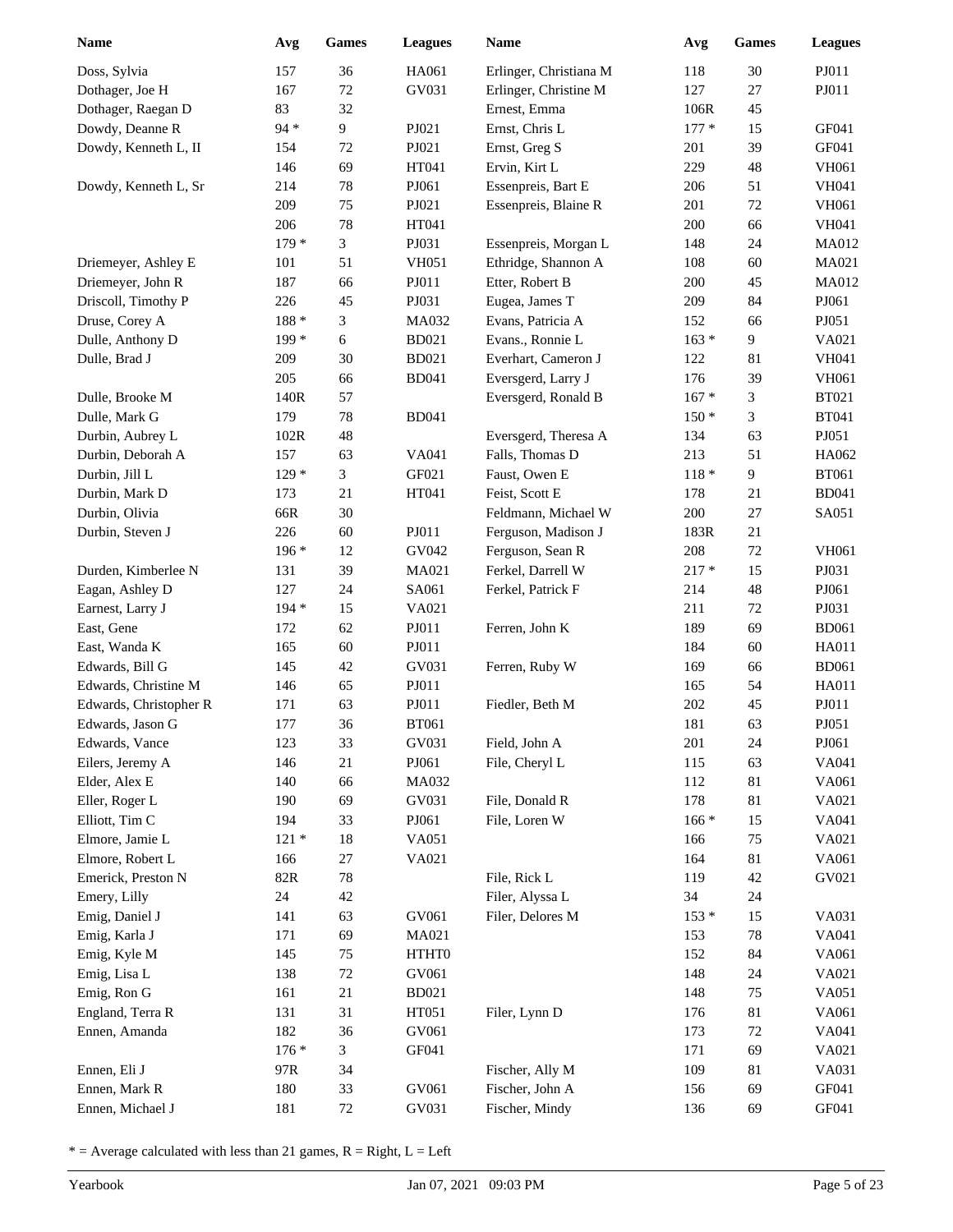| <b>Name</b>            | Avg     | <b>Games</b> | <b>Leagues</b> | <b>Name</b>            | Avg     | <b>Games</b> | <b>Leagues</b> |
|------------------------|---------|--------------|----------------|------------------------|---------|--------------|----------------|
| Doss, Sylvia           | 157     | 36           | HA061          | Erlinger, Christiana M | 118     | 30           | PJ011          |
| Dothager, Joe H        | 167     | $72\,$       | GV031          | Erlinger, Christine M  | 127     | 27           | PJ011          |
| Dothager, Raegan D     | 83      | 32           |                | Ernest, Emma           | 106R    | 45           |                |
| Dowdy, Deanne R        | $94 *$  | 9            | PJ021          | Ernst, Chris L         | $177*$  | 15           | GF041          |
| Dowdy, Kenneth L, II   | 154     | 72           | PJ021          | Ernst, Greg S          | 201     | 39           | GF041          |
|                        | 146     | 69           | HT041          | Ervin, Kirt L          | 229     | 48           | <b>VH061</b>   |
| Dowdy, Kenneth L, Sr   | 214     | $78\,$       | PJ061          | Essenpreis, Bart E     | 206     | 51           | <b>VH041</b>   |
|                        | 209     | 75           | PJ021          | Essenpreis, Blaine R   | 201     | 72           | VH061          |
|                        | 206     | $78\,$       | HT041          |                        | 200     | 66           | <b>VH041</b>   |
|                        | $179*$  | 3            | PJ031          | Essenpreis, Morgan L   | 148     | 24           | <b>MA012</b>   |
| Driemeyer, Ashley E    | 101     | 51           | <b>VH051</b>   | Ethridge, Shannon A    | 108     | 60           | MA021          |
| Driemeyer, John R      | 187     | 66           | PJ011          | Etter, Robert B        | 200     | 45           | <b>MA012</b>   |
| Driscoll, Timothy P    | 226     | 45           | PJ031          | Eugea, James T         | 209     | 84           | PJ061          |
| Druse, Corey A         | 188 *   | 3            | MA032          | Evans, Patricia A      | 152     | 66           | PJ051          |
| Dulle, Anthony D       | $199*$  | 6            | <b>BD021</b>   | Evans., Ronnie L       | $163 *$ | 9            | VA021          |
| Dulle, Brad J          | 209     | 30           | <b>BD021</b>   | Everhart, Cameron J    | 122     | 81           | <b>VH041</b>   |
|                        | 205     | 66           | <b>BD041</b>   | Eversgerd, Larry J     | 176     | 39           | <b>VH061</b>   |
| Dulle, Brooke M        | 140R    | 57           |                | Eversgerd, Ronald B    | $167 *$ | 3            | <b>BT021</b>   |
| Dulle, Mark G          | 179     | $78\,$       | <b>BD041</b>   |                        | $150*$  | 3            | <b>BT041</b>   |
| Durbin, Aubrey L       | 102R    | 48           |                | Eversgerd, Theresa A   | 134     | 63           | PJ051          |
| Durbin, Deborah A      | 157     | 63           | VA041          | Falls, Thomas D        | 213     | 51           | HA062          |
| Durbin, Jill L         | $129*$  | 3            | GF021          | Faust, Owen E          | $118*$  | 9            | <b>BT061</b>   |
| Durbin, Mark D         | 173     | 21           | HT041          | Feist, Scott E         | 178     | 21           | <b>BD041</b>   |
| Durbin, Olivia         | 66R     | 30           |                | Feldmann, Michael W    | 200     | 27           | SA051          |
| Durbin, Steven J       | 226     | 60           | PJ011          | Ferguson, Madison J    | 183R    | 21           |                |
|                        | $196*$  | 12           | GV042          | Ferguson, Sean R       | 208     | 72           | <b>VH061</b>   |
| Durden, Kimberlee N    | 131     | 39           | MA021          | Ferkel, Darrell W      | $217 *$ | 15           | PJ031          |
| Eagan, Ashley D        | 127     | 24           | SA061          | Ferkel, Patrick F      | 214     | 48           | PJ061          |
| Earnest, Larry J       | 194 *   | 15           | VA021          |                        | 211     | 72           | PJ031          |
| East, Gene             | 172     | 62           | PJ011          | Ferren, John K         | 189     | 69           | <b>BD061</b>   |
| East, Wanda K          | 165     | 60           | PJ011          |                        | 184     | 60           | HA011          |
| Edwards, Bill G        | 145     | 42           | GV031          | Ferren, Ruby W         | 169     | 66           | <b>BD061</b>   |
| Edwards, Christine M   | 146     | 65           | PJ011          |                        | 165     | 54           | <b>HA011</b>   |
| Edwards, Christopher R | 171     | 63           | PJ011          | Fiedler, Beth M        | 202     | 45           | PJ011          |
| Edwards, Jason G       | 177     | 36           | <b>BT061</b>   |                        | 181     | 63           | PJ051          |
| Edwards, Vance         | 123     | 33           | GV031          | Field, John A          | 201     | $24\,$       | PJ061          |
| Eilers, Jeremy A       | 146     | $21\,$       | PJ061          | File, Cheryl L         | 115     | 63           | VA041          |
| Elder, Alex E          | 140     | 66           | MA032          |                        | 112     | 81           | VA061          |
| Eller, Roger L         | 190     | 69           | GV031          | File, Donald R         | 178     | 81           | VA021          |
| Elliott, Tim C         | 194     | 33           | PJ061          | File, Loren W          | $166*$  | 15           | VA041          |
| Elmore, Jamie L        | $121 *$ | 18           | VA051          |                        | 166     | 75           | VA021          |
| Elmore, Robert L       | 166     | $27\,$       | VA021          |                        | 164     | 81           | VA061          |
| Emerick, Preston N     | $82R$   | $78\,$       |                | File, Rick L           | 119     | 42           | GV021          |
| Emery, Lilly           | 24      | $42\,$       |                | Filer, Alyssa L        | 34      | 24           |                |
| Emig, Daniel J         | 141     | 63           | GV061          | Filer, Delores M       | $153*$  | 15           | VA031          |
| Emig, Karla J          | 171     | 69           | MA021          |                        | 153     | 78           | VA041          |
| Emig, Kyle M           | 145     | 75           | HTHT0          |                        | 152     | 84           | VA061          |
| Emig, Lisa L           | 138     | $72\,$       | GV061          |                        | 148     | 24           | VA021          |
| Emig, Ron G            | 161     | 21           | <b>BD021</b>   |                        | 148     | 75           | VA051          |
| England, Terra R       | 131     | 31           | HT051          | Filer, Lynn D          | 176     | $81\,$       | VA061          |
| Ennen, Amanda          | 182     | 36           | GV061          |                        | 173     | 72           | VA041          |
|                        | $176*$  | 3            | GF041          |                        | 171     | 69           | VA021          |
| Ennen, Eli J           | 97R     | 34           |                | Fischer, Ally M        | 109     | 81           | VA031          |
| Ennen, Mark R          | 180     | 33           | GV061          | Fischer, John A        | 156     | 69           | GF041          |
| Ennen, Michael J       | 181     | $72\,$       | GV031          | Fischer, Mindy         | 136     | 69           | GF041          |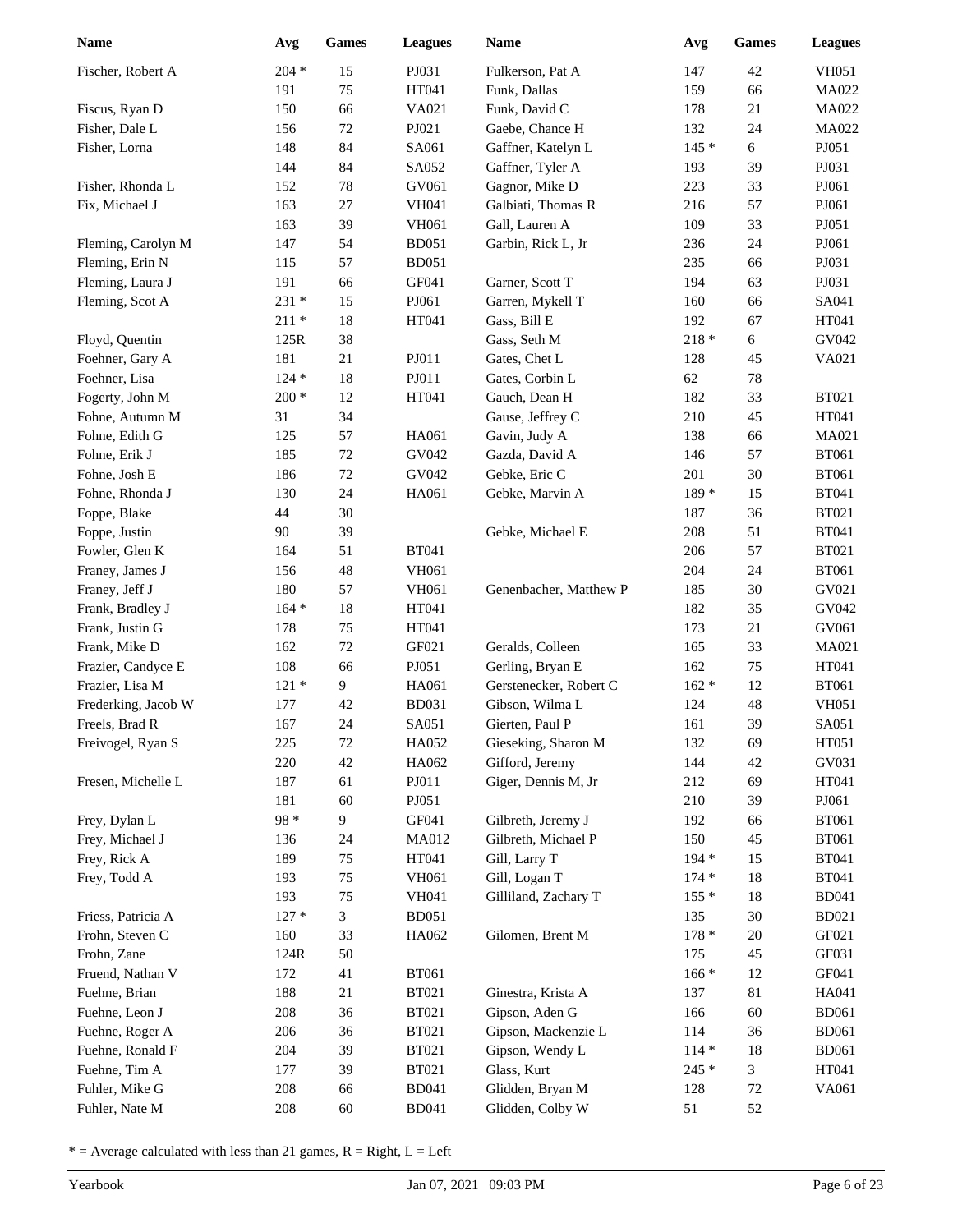| <b>Name</b>         | Avg     | <b>Games</b> | <b>Leagues</b> | <b>Name</b>            | Avg     | <b>Games</b> | <b>Leagues</b> |
|---------------------|---------|--------------|----------------|------------------------|---------|--------------|----------------|
| Fischer, Robert A   | $204 *$ | 15           | PJ031          | Fulkerson, Pat A       | 147     | 42           | <b>VH051</b>   |
|                     | 191     | 75           | HT041          | Funk, Dallas           | 159     | 66           | <b>MA022</b>   |
| Fiscus, Ryan D      | 150     | 66           | VA021          | Funk, David C          | 178     | 21           | MA022          |
| Fisher, Dale L      | 156     | 72           | PJ021          | Gaebe, Chance H        | 132     | 24           | MA022          |
| Fisher, Lorna       | 148     | 84           | SA061          | Gaffner, Katelyn L     | $145*$  | 6            | PJ051          |
|                     | 144     | 84           | SA052          | Gaffner, Tyler A       | 193     | 39           | PJ031          |
| Fisher, Rhonda L    | 152     | 78           | GV061          | Gagnor, Mike D         | 223     | 33           | PJ061          |
| Fix, Michael J      | 163     | 27           | <b>VH041</b>   | Galbiati, Thomas R     | 216     | 57           | PJ061          |
|                     | 163     | 39           | <b>VH061</b>   | Gall, Lauren A         | 109     | 33           | PJ051          |
| Fleming, Carolyn M  | 147     | 54           | <b>BD051</b>   | Garbin, Rick L, Jr     | 236     | 24           | PJ061          |
| Fleming, Erin N     | 115     | 57           | <b>BD051</b>   |                        | 235     | 66           | PJ031          |
| Fleming, Laura J    | 191     | 66           | GF041          | Garner, Scott T        | 194     | 63           | PJ031          |
| Fleming, Scot A     | 231 *   | 15           | PJ061          | Garren, Mykell T       | 160     | 66           | SA041          |
|                     | $211 *$ | $18\,$       | HT041          | Gass, Bill E           | 192     | 67           | HT041          |
| Floyd, Quentin      | 125R    | 38           |                | Gass, Seth M           | $218 *$ | 6            | GV042          |
| Foehner, Gary A     | 181     | 21           | PJ011          | Gates, Chet L          | 128     | 45           | VA021          |
| Foehner, Lisa       | $124 *$ | 18           | PJ011          | Gates, Corbin L        | 62      | 78           |                |
| Fogerty, John M     | $200 *$ | 12           | HT041          | Gauch, Dean H          | 182     | 33           | <b>BT021</b>   |
| Fohne, Autumn M     | 31      | 34           |                | Gause, Jeffrey C       | 210     | 45           | HT041          |
| Fohne, Edith G      | 125     | 57           | HA061          | Gavin, Judy A          | 138     | 66           | MA021          |
| Fohne, Erik J       | 185     | $72\,$       | GV042          | Gazda, David A         | 146     | 57           | <b>BT061</b>   |
| Fohne, Josh E       | 186     | $72\,$       | GV042          | Gebke, Eric C          | 201     | 30           | <b>BT061</b>   |
| Fohne, Rhonda J     | 130     | 24           | HA061          | Gebke, Marvin A        | 189 *   | 15           | <b>BT041</b>   |
| Foppe, Blake        | 44      | 30           |                |                        | 187     | 36           | <b>BT021</b>   |
| Foppe, Justin       | 90      | 39           |                | Gebke, Michael E       | 208     | 51           | <b>BT041</b>   |
| Fowler, Glen K      | 164     | 51           | <b>BT041</b>   |                        | 206     | 57           | <b>BT021</b>   |
| Franey, James J     | 156     | 48           | <b>VH061</b>   |                        | 204     | 24           | <b>BT061</b>   |
| Franey, Jeff J      | 180     | 57           | <b>VH061</b>   | Genenbacher, Matthew P | 185     | 30           | GV021          |
| Frank, Bradley J    | $164 *$ | 18           | HT041          |                        | 182     | 35           | GV042          |
| Frank, Justin G     | 178     | 75           | HT041          |                        | 173     | 21           | GV061          |
| Frank, Mike D       | 162     | 72           | GF021          | Geralds, Colleen       | 165     | 33           | MA021          |
| Frazier, Candyce E  | 108     | 66           | PJ051          | Gerling, Bryan E       | 162     | 75           | HT041          |
| Frazier, Lisa M     | $121 *$ | 9            | HA061          | Gerstenecker, Robert C | $162 *$ | 12           | <b>BT061</b>   |
| Frederking, Jacob W | 177     | 42           | <b>BD031</b>   | Gibson, Wilma L        | 124     | 48           | <b>VH051</b>   |
| Freels, Brad R      | 167     | 24           | SA051          | Gierten, Paul P        | 161     | 39           | SA051          |
| Freivogel, Ryan S   | 225     | $72\,$       | HA052          | Gieseking, Sharon M    | 132     | 69           | HT051          |
|                     | 220     | 42           | HA062          | Gifford, Jeremy        | 144     | 42           | GV031          |
| Fresen, Michelle L  | 187     | 61           | PJ011          | Giger, Dennis M, Jr    | 212     | 69           | HT041          |
|                     | 181     | $60\,$       | PJ051          |                        | 210     | 39           | PJ061          |
| Frey, Dylan L       | 98 *    | 9            | GF041          | Gilbreth, Jeremy J     | 192     | 66           | <b>BT061</b>   |
| Frey, Michael J     | 136     | 24           | MA012          | Gilbreth, Michael P    | 150     | 45           | <b>BT061</b>   |
| Frey, Rick A        | 189     | 75           | HT041          | Gill, Larry T          | 194 *   | 15           | <b>BT041</b>   |
| Frey, Todd A        | 193     | 75           | VH061          | Gill, Logan T          | $174*$  | 18           | <b>BT041</b>   |
|                     | 193     | 75           | VH041          | Gilliland, Zachary T   | $155*$  | 18           | <b>BD041</b>   |
| Friess, Patricia A  | $127 *$ | 3            | <b>BD051</b>   |                        | 135     | 30           | <b>BD021</b>   |
| Frohn, Steven C     | 160     | 33           | HA062          | Gilomen, Brent M       | $178 *$ | $20\,$       | GF021          |
| Frohn, Zane         | 124R    | 50           |                |                        | 175     | 45           | GF031          |
| Fruend, Nathan V    | 172     | 41           | <b>BT061</b>   |                        | $166*$  | 12           | GF041          |
| Fuehne, Brian       | 188     | 21           | <b>BT021</b>   | Ginestra, Krista A     | 137     | 81           | HA041          |
| Fuehne, Leon J      | 208     | 36           | <b>BT021</b>   | Gipson, Aden G         | 166     | $60\,$       | <b>BD061</b>   |
| Fuehne, Roger A     | 206     | 36           | <b>BT021</b>   | Gipson, Mackenzie L    | 114     | 36           | <b>BD061</b>   |
| Fuehne, Ronald F    | 204     | 39           | <b>BT021</b>   | Gipson, Wendy L        | $114 *$ | $18\,$       | <b>BD061</b>   |
| Fuehne, Tim A       | 177     | 39           | <b>BT021</b>   | Glass, Kurt            | $245 *$ | 3            | HT041          |
| Fuhler, Mike G      | 208     | 66           | <b>BD041</b>   | Glidden, Bryan M       | 128     | 72           | VA061          |
| Fuhler, Nate M      | 208     | $60\,$       | <b>BD041</b>   | Glidden, Colby W       | 51      | 52           |                |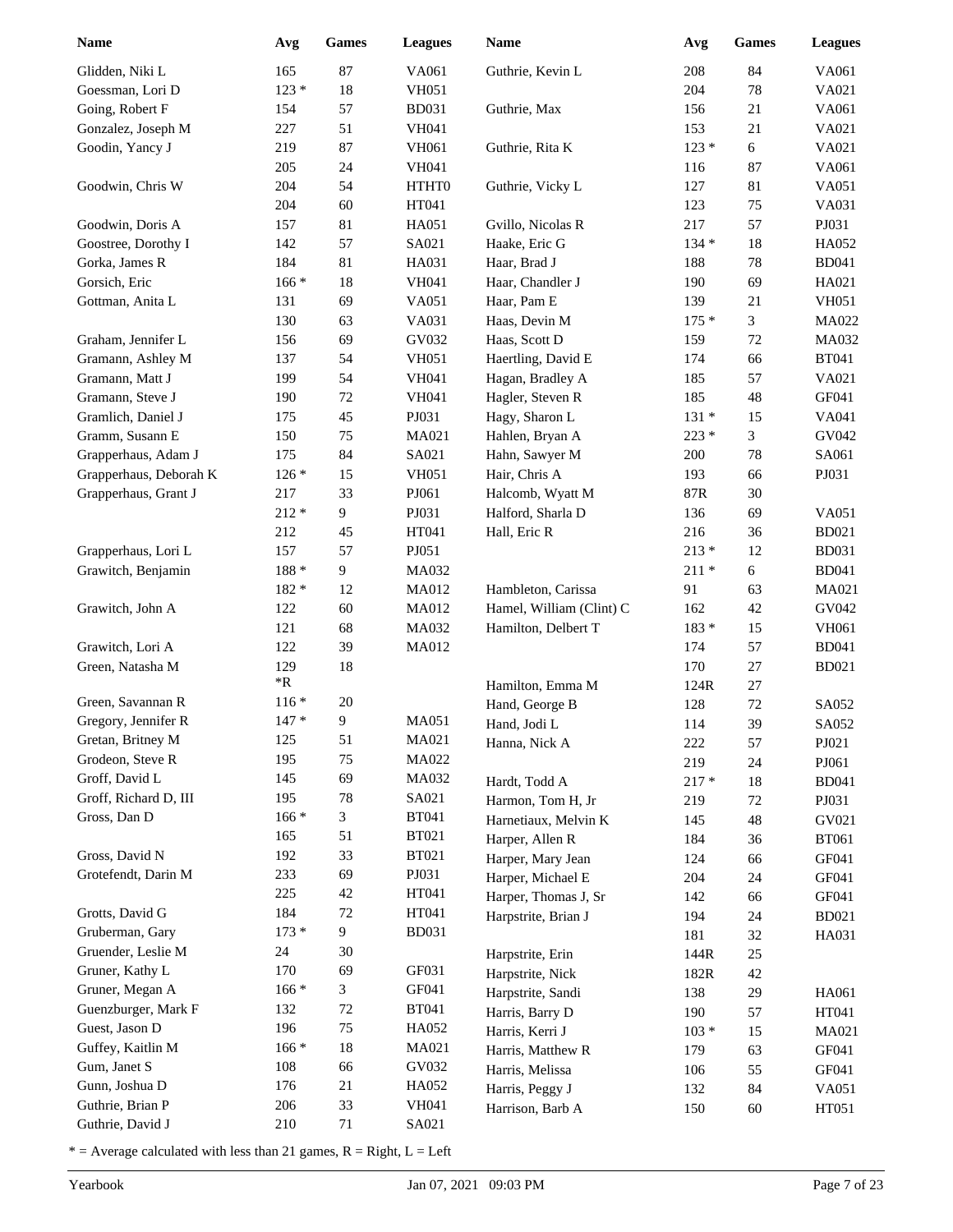| 165<br>87<br>84<br>VA061<br>Glidden, Niki L<br>VA061<br>Guthrie, Kevin L<br>208<br>$123 *$<br>$18\,$<br>204<br>$78\,$<br>Goessman, Lori D<br><b>VH051</b><br>VA021<br>Going, Robert F<br>57<br>21<br>154<br><b>BD031</b><br>Guthrie, Max<br>156<br>VA061<br>227<br>51<br>153<br>21<br>Gonzalez, Joseph M<br><b>VH041</b><br>VA021<br>Goodin, Yancy J<br>87<br>$123*$<br>6<br>219<br><b>VH061</b><br>Guthrie, Rita K<br>VA021<br>24<br>87<br>205<br><b>VH041</b><br>116<br>VA061<br>204<br>54<br>81<br>VA051<br>Goodwin, Chris W<br>HTHT0<br>Guthrie, Vicky L<br>127<br>60<br>75<br>VA031<br>204<br>HT041<br>123<br>81<br>57<br>PJ031<br>Goodwin, Doris A<br>157<br>HA051<br>Gvillo, Nicolas R<br>217<br>57<br>$18\,$<br>Goostree, Dorothy I<br>142<br>SA021<br>Haake, Eric G<br>$134 *$<br>HA052<br>Gorka, James R<br>184<br>81<br>Haar, Brad J<br>$78\,$<br><b>BD041</b><br>HA031<br>188<br>Gorsich, Eric<br>$166*$<br>18<br>Haar, Chandler J<br>69<br>HA021<br><b>VH041</b><br>190<br>131<br>69<br>21<br><b>VH051</b><br>Gottman, Anita L<br>VA051<br>Haar, Pam E<br>139<br>3<br>130<br>63<br>Haas, Devin M<br>MA022<br>VA031<br>$175*$<br>69<br>GV032<br>Haas, Scott D<br>$72\,$<br>MA032<br>Graham, Jennifer L<br>156<br>159<br>54<br>66<br><b>BT041</b><br>Gramann, Ashley M<br>137<br><b>VH051</b><br>Haertling, David E<br>174<br>54<br>57<br>VA021<br>Gramann, Matt J<br>199<br><b>VH041</b><br>Hagan, Bradley A<br>185<br>Hagler, Steven R<br>185<br>48<br>GF041<br>Gramann, Steve J<br>190<br>72<br><b>VH041</b><br>45<br>VA041<br>Gramlich, Daniel J<br>175<br>PJ031<br>Hagy, Sharon L<br>$131 *$<br>15<br>3<br>Gramm, Susann E<br>75<br>Hahlen, Bryan A<br>$223 *$<br>GV042<br>150<br>MA021<br>Grapperhaus, Adam J<br>175<br>84<br>SA021<br>Hahn, Sawyer M<br>$78\,$<br>SA061<br>200<br>Grapperhaus, Deborah K<br>Hair, Chris A<br>PJ031<br>$126*$<br>15<br><b>VH051</b><br>193<br>66<br>Grapperhaus, Grant J<br>33<br>PJ061<br>30<br>217<br>Halcomb, Wyatt M<br>87R<br>$212 *$<br>9<br>PJ031<br>Halford, Sharla D<br>69<br>136<br><b>VA051</b><br><b>BD021</b><br>212<br>45<br>HT041<br>Hall, Eric R<br>216<br>36<br>157<br>$213*$<br><b>BD031</b><br>Grapperhaus, Lori L<br>57<br>PJ051<br>12<br>Grawitch, Benjamin<br>$188 *$<br>9<br>6<br><b>BD041</b><br>MA032<br>$211*$<br>91<br>MA021<br>182 *<br>12<br><b>MA012</b><br>Hambleton, Carissa<br>63<br>Hamel, William (Clint) C<br>GV042<br>Grawitch, John A<br>122<br>60<br><b>MA012</b><br>162<br>42<br>121<br>68<br>Hamilton, Delbert T<br>183 *<br>VH061<br>MA032<br>15<br>Grawitch, Lori A<br>39<br>57<br><b>BD041</b><br>122<br><b>MA012</b><br>174<br>129<br>18<br>170<br>27<br><b>BD021</b><br>Green, Natasha M<br>$*{\bf R}$<br>Hamilton, Emma M<br>124R<br>27<br>Green, Savannan R<br>$20\,$<br>$116*$<br>Hand, George B<br>72<br>128<br>SA052<br>9<br>Gregory, Jennifer R<br>$147 *$<br><b>MA051</b><br>39<br>Hand, Jodi L<br>114<br>SA052<br>125<br>MA021<br>51<br>Gretan, Britney M<br>57<br>PJ021<br>Hanna, Nick A<br>222<br>Grodeon, Steve R<br>75<br>MA022<br>195<br>219<br>24<br>PJ061<br>Groff, David L<br>145<br>69<br>MA032<br>Hardt, Todd A<br>$217 *$<br>18<br><b>BD041</b><br>195<br>78<br>SA021<br>Groff, Richard D, III<br>Harmon, Tom H, Jr<br>219<br>72<br>PJ031<br>3<br>Gross, Dan D<br>$166*$<br><b>BT041</b><br>Harnetiaux, Melvin K<br>145<br>48<br>GV021<br>51<br>165<br><b>BT021</b><br>Harper, Allen R<br>184<br>36<br><b>BT061</b><br>33<br>Gross, David N<br>192<br><b>BT021</b><br>Harper, Mary Jean<br>GF041<br>124<br>66<br>69<br>Grotefendt, Darin M<br>233<br>PJ031<br>Harper, Michael E<br>GF041<br>204<br>24<br>42<br>HT041<br>225<br>Harper, Thomas J, Sr<br>142<br>66<br>GF041<br>184<br>HT041<br>Grotts, David G<br>72<br>Harpstrite, Brian J<br>194<br>24<br><b>BD021</b><br>Gruberman, Gary<br>$173*$<br>9<br><b>BD031</b><br>181<br>32<br>HA031<br>Gruender, Leslie M<br>24<br>$30\,$<br>Harpstrite, Erin<br>144R<br>25<br>GF031<br>Gruner, Kathy L<br>170<br>69<br>Harpstrite, Nick<br>182R<br>42<br>Gruner, Megan A<br>$166*$<br>3<br>GF041<br>Harpstrite, Sandi<br>138<br>29<br>HA061<br>Guenzburger, Mark F<br>132<br>72<br><b>BT041</b><br>190<br>Harris, Barry D<br>57<br>HT041<br>Guest, Jason D<br>196<br>75<br>HA052<br>$103 *$<br>Harris, Kerri J<br>15<br><b>MA021</b><br>$166*$<br>Guffey, Kaitlin M<br>18<br>MA021<br>Harris, Matthew R<br>63<br>GF041<br>179<br>Gum, Janet S<br>108<br>66<br>GV032<br>Harris, Melissa<br>106<br>55<br>GF041<br>Gunn, Joshua D<br>176<br>21<br>HA052<br>Harris, Peggy J<br>132<br>84<br>VA051<br>Guthrie, Brian P<br>33<br>206<br><b>VH041</b><br>Harrison, Barb A<br>150<br>$60\,$<br>HT051<br>Guthrie, David J<br>210<br>71<br>SA021 | Name | Avg | Games | <b>Leagues</b> | Name | Avg | <b>Games</b> | <b>Leagues</b> |
|------------------------------------------------------------------------------------------------------------------------------------------------------------------------------------------------------------------------------------------------------------------------------------------------------------------------------------------------------------------------------------------------------------------------------------------------------------------------------------------------------------------------------------------------------------------------------------------------------------------------------------------------------------------------------------------------------------------------------------------------------------------------------------------------------------------------------------------------------------------------------------------------------------------------------------------------------------------------------------------------------------------------------------------------------------------------------------------------------------------------------------------------------------------------------------------------------------------------------------------------------------------------------------------------------------------------------------------------------------------------------------------------------------------------------------------------------------------------------------------------------------------------------------------------------------------------------------------------------------------------------------------------------------------------------------------------------------------------------------------------------------------------------------------------------------------------------------------------------------------------------------------------------------------------------------------------------------------------------------------------------------------------------------------------------------------------------------------------------------------------------------------------------------------------------------------------------------------------------------------------------------------------------------------------------------------------------------------------------------------------------------------------------------------------------------------------------------------------------------------------------------------------------------------------------------------------------------------------------------------------------------------------------------------------------------------------------------------------------------------------------------------------------------------------------------------------------------------------------------------------------------------------------------------------------------------------------------------------------------------------------------------------------------------------------------------------------------------------------------------------------------------------------------------------------------------------------------------------------------------------------------------------------------------------------------------------------------------------------------------------------------------------------------------------------------------------------------------------------------------------------------------------------------------------------------------------------------------------------------------------------------------------------------------------------------------------------------------------------------------------------------------------------------------------------------------------------------------------------------------------------------------------------------------------------------------------------------------------------------------------------------------------------------------------------------------------------------------------------------------------------------------------------------------------------------------------------------------------------------------------------------------------------------------------------------------------------------------------------------------------------------------------------------------------------------------------------------------------------------------------------------------------------------------------------------------------------------------------------------------------------------------------------------------------------------------------------|------|-----|-------|----------------|------|-----|--------------|----------------|
|                                                                                                                                                                                                                                                                                                                                                                                                                                                                                                                                                                                                                                                                                                                                                                                                                                                                                                                                                                                                                                                                                                                                                                                                                                                                                                                                                                                                                                                                                                                                                                                                                                                                                                                                                                                                                                                                                                                                                                                                                                                                                                                                                                                                                                                                                                                                                                                                                                                                                                                                                                                                                                                                                                                                                                                                                                                                                                                                                                                                                                                                                                                                                                                                                                                                                                                                                                                                                                                                                                                                                                                                                                                                                                                                                                                                                                                                                                                                                                                                                                                                                                                                                                                                                                                                                                                                                                                                                                                                                                                                                                                                                                                                                                      |      |     |       |                |      |     |              |                |
|                                                                                                                                                                                                                                                                                                                                                                                                                                                                                                                                                                                                                                                                                                                                                                                                                                                                                                                                                                                                                                                                                                                                                                                                                                                                                                                                                                                                                                                                                                                                                                                                                                                                                                                                                                                                                                                                                                                                                                                                                                                                                                                                                                                                                                                                                                                                                                                                                                                                                                                                                                                                                                                                                                                                                                                                                                                                                                                                                                                                                                                                                                                                                                                                                                                                                                                                                                                                                                                                                                                                                                                                                                                                                                                                                                                                                                                                                                                                                                                                                                                                                                                                                                                                                                                                                                                                                                                                                                                                                                                                                                                                                                                                                                      |      |     |       |                |      |     |              |                |
|                                                                                                                                                                                                                                                                                                                                                                                                                                                                                                                                                                                                                                                                                                                                                                                                                                                                                                                                                                                                                                                                                                                                                                                                                                                                                                                                                                                                                                                                                                                                                                                                                                                                                                                                                                                                                                                                                                                                                                                                                                                                                                                                                                                                                                                                                                                                                                                                                                                                                                                                                                                                                                                                                                                                                                                                                                                                                                                                                                                                                                                                                                                                                                                                                                                                                                                                                                                                                                                                                                                                                                                                                                                                                                                                                                                                                                                                                                                                                                                                                                                                                                                                                                                                                                                                                                                                                                                                                                                                                                                                                                                                                                                                                                      |      |     |       |                |      |     |              |                |
|                                                                                                                                                                                                                                                                                                                                                                                                                                                                                                                                                                                                                                                                                                                                                                                                                                                                                                                                                                                                                                                                                                                                                                                                                                                                                                                                                                                                                                                                                                                                                                                                                                                                                                                                                                                                                                                                                                                                                                                                                                                                                                                                                                                                                                                                                                                                                                                                                                                                                                                                                                                                                                                                                                                                                                                                                                                                                                                                                                                                                                                                                                                                                                                                                                                                                                                                                                                                                                                                                                                                                                                                                                                                                                                                                                                                                                                                                                                                                                                                                                                                                                                                                                                                                                                                                                                                                                                                                                                                                                                                                                                                                                                                                                      |      |     |       |                |      |     |              |                |
|                                                                                                                                                                                                                                                                                                                                                                                                                                                                                                                                                                                                                                                                                                                                                                                                                                                                                                                                                                                                                                                                                                                                                                                                                                                                                                                                                                                                                                                                                                                                                                                                                                                                                                                                                                                                                                                                                                                                                                                                                                                                                                                                                                                                                                                                                                                                                                                                                                                                                                                                                                                                                                                                                                                                                                                                                                                                                                                                                                                                                                                                                                                                                                                                                                                                                                                                                                                                                                                                                                                                                                                                                                                                                                                                                                                                                                                                                                                                                                                                                                                                                                                                                                                                                                                                                                                                                                                                                                                                                                                                                                                                                                                                                                      |      |     |       |                |      |     |              |                |
|                                                                                                                                                                                                                                                                                                                                                                                                                                                                                                                                                                                                                                                                                                                                                                                                                                                                                                                                                                                                                                                                                                                                                                                                                                                                                                                                                                                                                                                                                                                                                                                                                                                                                                                                                                                                                                                                                                                                                                                                                                                                                                                                                                                                                                                                                                                                                                                                                                                                                                                                                                                                                                                                                                                                                                                                                                                                                                                                                                                                                                                                                                                                                                                                                                                                                                                                                                                                                                                                                                                                                                                                                                                                                                                                                                                                                                                                                                                                                                                                                                                                                                                                                                                                                                                                                                                                                                                                                                                                                                                                                                                                                                                                                                      |      |     |       |                |      |     |              |                |
|                                                                                                                                                                                                                                                                                                                                                                                                                                                                                                                                                                                                                                                                                                                                                                                                                                                                                                                                                                                                                                                                                                                                                                                                                                                                                                                                                                                                                                                                                                                                                                                                                                                                                                                                                                                                                                                                                                                                                                                                                                                                                                                                                                                                                                                                                                                                                                                                                                                                                                                                                                                                                                                                                                                                                                                                                                                                                                                                                                                                                                                                                                                                                                                                                                                                                                                                                                                                                                                                                                                                                                                                                                                                                                                                                                                                                                                                                                                                                                                                                                                                                                                                                                                                                                                                                                                                                                                                                                                                                                                                                                                                                                                                                                      |      |     |       |                |      |     |              |                |
|                                                                                                                                                                                                                                                                                                                                                                                                                                                                                                                                                                                                                                                                                                                                                                                                                                                                                                                                                                                                                                                                                                                                                                                                                                                                                                                                                                                                                                                                                                                                                                                                                                                                                                                                                                                                                                                                                                                                                                                                                                                                                                                                                                                                                                                                                                                                                                                                                                                                                                                                                                                                                                                                                                                                                                                                                                                                                                                                                                                                                                                                                                                                                                                                                                                                                                                                                                                                                                                                                                                                                                                                                                                                                                                                                                                                                                                                                                                                                                                                                                                                                                                                                                                                                                                                                                                                                                                                                                                                                                                                                                                                                                                                                                      |      |     |       |                |      |     |              |                |
|                                                                                                                                                                                                                                                                                                                                                                                                                                                                                                                                                                                                                                                                                                                                                                                                                                                                                                                                                                                                                                                                                                                                                                                                                                                                                                                                                                                                                                                                                                                                                                                                                                                                                                                                                                                                                                                                                                                                                                                                                                                                                                                                                                                                                                                                                                                                                                                                                                                                                                                                                                                                                                                                                                                                                                                                                                                                                                                                                                                                                                                                                                                                                                                                                                                                                                                                                                                                                                                                                                                                                                                                                                                                                                                                                                                                                                                                                                                                                                                                                                                                                                                                                                                                                                                                                                                                                                                                                                                                                                                                                                                                                                                                                                      |      |     |       |                |      |     |              |                |
|                                                                                                                                                                                                                                                                                                                                                                                                                                                                                                                                                                                                                                                                                                                                                                                                                                                                                                                                                                                                                                                                                                                                                                                                                                                                                                                                                                                                                                                                                                                                                                                                                                                                                                                                                                                                                                                                                                                                                                                                                                                                                                                                                                                                                                                                                                                                                                                                                                                                                                                                                                                                                                                                                                                                                                                                                                                                                                                                                                                                                                                                                                                                                                                                                                                                                                                                                                                                                                                                                                                                                                                                                                                                                                                                                                                                                                                                                                                                                                                                                                                                                                                                                                                                                                                                                                                                                                                                                                                                                                                                                                                                                                                                                                      |      |     |       |                |      |     |              |                |
|                                                                                                                                                                                                                                                                                                                                                                                                                                                                                                                                                                                                                                                                                                                                                                                                                                                                                                                                                                                                                                                                                                                                                                                                                                                                                                                                                                                                                                                                                                                                                                                                                                                                                                                                                                                                                                                                                                                                                                                                                                                                                                                                                                                                                                                                                                                                                                                                                                                                                                                                                                                                                                                                                                                                                                                                                                                                                                                                                                                                                                                                                                                                                                                                                                                                                                                                                                                                                                                                                                                                                                                                                                                                                                                                                                                                                                                                                                                                                                                                                                                                                                                                                                                                                                                                                                                                                                                                                                                                                                                                                                                                                                                                                                      |      |     |       |                |      |     |              |                |
|                                                                                                                                                                                                                                                                                                                                                                                                                                                                                                                                                                                                                                                                                                                                                                                                                                                                                                                                                                                                                                                                                                                                                                                                                                                                                                                                                                                                                                                                                                                                                                                                                                                                                                                                                                                                                                                                                                                                                                                                                                                                                                                                                                                                                                                                                                                                                                                                                                                                                                                                                                                                                                                                                                                                                                                                                                                                                                                                                                                                                                                                                                                                                                                                                                                                                                                                                                                                                                                                                                                                                                                                                                                                                                                                                                                                                                                                                                                                                                                                                                                                                                                                                                                                                                                                                                                                                                                                                                                                                                                                                                                                                                                                                                      |      |     |       |                |      |     |              |                |
|                                                                                                                                                                                                                                                                                                                                                                                                                                                                                                                                                                                                                                                                                                                                                                                                                                                                                                                                                                                                                                                                                                                                                                                                                                                                                                                                                                                                                                                                                                                                                                                                                                                                                                                                                                                                                                                                                                                                                                                                                                                                                                                                                                                                                                                                                                                                                                                                                                                                                                                                                                                                                                                                                                                                                                                                                                                                                                                                                                                                                                                                                                                                                                                                                                                                                                                                                                                                                                                                                                                                                                                                                                                                                                                                                                                                                                                                                                                                                                                                                                                                                                                                                                                                                                                                                                                                                                                                                                                                                                                                                                                                                                                                                                      |      |     |       |                |      |     |              |                |
|                                                                                                                                                                                                                                                                                                                                                                                                                                                                                                                                                                                                                                                                                                                                                                                                                                                                                                                                                                                                                                                                                                                                                                                                                                                                                                                                                                                                                                                                                                                                                                                                                                                                                                                                                                                                                                                                                                                                                                                                                                                                                                                                                                                                                                                                                                                                                                                                                                                                                                                                                                                                                                                                                                                                                                                                                                                                                                                                                                                                                                                                                                                                                                                                                                                                                                                                                                                                                                                                                                                                                                                                                                                                                                                                                                                                                                                                                                                                                                                                                                                                                                                                                                                                                                                                                                                                                                                                                                                                                                                                                                                                                                                                                                      |      |     |       |                |      |     |              |                |
|                                                                                                                                                                                                                                                                                                                                                                                                                                                                                                                                                                                                                                                                                                                                                                                                                                                                                                                                                                                                                                                                                                                                                                                                                                                                                                                                                                                                                                                                                                                                                                                                                                                                                                                                                                                                                                                                                                                                                                                                                                                                                                                                                                                                                                                                                                                                                                                                                                                                                                                                                                                                                                                                                                                                                                                                                                                                                                                                                                                                                                                                                                                                                                                                                                                                                                                                                                                                                                                                                                                                                                                                                                                                                                                                                                                                                                                                                                                                                                                                                                                                                                                                                                                                                                                                                                                                                                                                                                                                                                                                                                                                                                                                                                      |      |     |       |                |      |     |              |                |
|                                                                                                                                                                                                                                                                                                                                                                                                                                                                                                                                                                                                                                                                                                                                                                                                                                                                                                                                                                                                                                                                                                                                                                                                                                                                                                                                                                                                                                                                                                                                                                                                                                                                                                                                                                                                                                                                                                                                                                                                                                                                                                                                                                                                                                                                                                                                                                                                                                                                                                                                                                                                                                                                                                                                                                                                                                                                                                                                                                                                                                                                                                                                                                                                                                                                                                                                                                                                                                                                                                                                                                                                                                                                                                                                                                                                                                                                                                                                                                                                                                                                                                                                                                                                                                                                                                                                                                                                                                                                                                                                                                                                                                                                                                      |      |     |       |                |      |     |              |                |
|                                                                                                                                                                                                                                                                                                                                                                                                                                                                                                                                                                                                                                                                                                                                                                                                                                                                                                                                                                                                                                                                                                                                                                                                                                                                                                                                                                                                                                                                                                                                                                                                                                                                                                                                                                                                                                                                                                                                                                                                                                                                                                                                                                                                                                                                                                                                                                                                                                                                                                                                                                                                                                                                                                                                                                                                                                                                                                                                                                                                                                                                                                                                                                                                                                                                                                                                                                                                                                                                                                                                                                                                                                                                                                                                                                                                                                                                                                                                                                                                                                                                                                                                                                                                                                                                                                                                                                                                                                                                                                                                                                                                                                                                                                      |      |     |       |                |      |     |              |                |
|                                                                                                                                                                                                                                                                                                                                                                                                                                                                                                                                                                                                                                                                                                                                                                                                                                                                                                                                                                                                                                                                                                                                                                                                                                                                                                                                                                                                                                                                                                                                                                                                                                                                                                                                                                                                                                                                                                                                                                                                                                                                                                                                                                                                                                                                                                                                                                                                                                                                                                                                                                                                                                                                                                                                                                                                                                                                                                                                                                                                                                                                                                                                                                                                                                                                                                                                                                                                                                                                                                                                                                                                                                                                                                                                                                                                                                                                                                                                                                                                                                                                                                                                                                                                                                                                                                                                                                                                                                                                                                                                                                                                                                                                                                      |      |     |       |                |      |     |              |                |
|                                                                                                                                                                                                                                                                                                                                                                                                                                                                                                                                                                                                                                                                                                                                                                                                                                                                                                                                                                                                                                                                                                                                                                                                                                                                                                                                                                                                                                                                                                                                                                                                                                                                                                                                                                                                                                                                                                                                                                                                                                                                                                                                                                                                                                                                                                                                                                                                                                                                                                                                                                                                                                                                                                                                                                                                                                                                                                                                                                                                                                                                                                                                                                                                                                                                                                                                                                                                                                                                                                                                                                                                                                                                                                                                                                                                                                                                                                                                                                                                                                                                                                                                                                                                                                                                                                                                                                                                                                                                                                                                                                                                                                                                                                      |      |     |       |                |      |     |              |                |
|                                                                                                                                                                                                                                                                                                                                                                                                                                                                                                                                                                                                                                                                                                                                                                                                                                                                                                                                                                                                                                                                                                                                                                                                                                                                                                                                                                                                                                                                                                                                                                                                                                                                                                                                                                                                                                                                                                                                                                                                                                                                                                                                                                                                                                                                                                                                                                                                                                                                                                                                                                                                                                                                                                                                                                                                                                                                                                                                                                                                                                                                                                                                                                                                                                                                                                                                                                                                                                                                                                                                                                                                                                                                                                                                                                                                                                                                                                                                                                                                                                                                                                                                                                                                                                                                                                                                                                                                                                                                                                                                                                                                                                                                                                      |      |     |       |                |      |     |              |                |
|                                                                                                                                                                                                                                                                                                                                                                                                                                                                                                                                                                                                                                                                                                                                                                                                                                                                                                                                                                                                                                                                                                                                                                                                                                                                                                                                                                                                                                                                                                                                                                                                                                                                                                                                                                                                                                                                                                                                                                                                                                                                                                                                                                                                                                                                                                                                                                                                                                                                                                                                                                                                                                                                                                                                                                                                                                                                                                                                                                                                                                                                                                                                                                                                                                                                                                                                                                                                                                                                                                                                                                                                                                                                                                                                                                                                                                                                                                                                                                                                                                                                                                                                                                                                                                                                                                                                                                                                                                                                                                                                                                                                                                                                                                      |      |     |       |                |      |     |              |                |
|                                                                                                                                                                                                                                                                                                                                                                                                                                                                                                                                                                                                                                                                                                                                                                                                                                                                                                                                                                                                                                                                                                                                                                                                                                                                                                                                                                                                                                                                                                                                                                                                                                                                                                                                                                                                                                                                                                                                                                                                                                                                                                                                                                                                                                                                                                                                                                                                                                                                                                                                                                                                                                                                                                                                                                                                                                                                                                                                                                                                                                                                                                                                                                                                                                                                                                                                                                                                                                                                                                                                                                                                                                                                                                                                                                                                                                                                                                                                                                                                                                                                                                                                                                                                                                                                                                                                                                                                                                                                                                                                                                                                                                                                                                      |      |     |       |                |      |     |              |                |
|                                                                                                                                                                                                                                                                                                                                                                                                                                                                                                                                                                                                                                                                                                                                                                                                                                                                                                                                                                                                                                                                                                                                                                                                                                                                                                                                                                                                                                                                                                                                                                                                                                                                                                                                                                                                                                                                                                                                                                                                                                                                                                                                                                                                                                                                                                                                                                                                                                                                                                                                                                                                                                                                                                                                                                                                                                                                                                                                                                                                                                                                                                                                                                                                                                                                                                                                                                                                                                                                                                                                                                                                                                                                                                                                                                                                                                                                                                                                                                                                                                                                                                                                                                                                                                                                                                                                                                                                                                                                                                                                                                                                                                                                                                      |      |     |       |                |      |     |              |                |
|                                                                                                                                                                                                                                                                                                                                                                                                                                                                                                                                                                                                                                                                                                                                                                                                                                                                                                                                                                                                                                                                                                                                                                                                                                                                                                                                                                                                                                                                                                                                                                                                                                                                                                                                                                                                                                                                                                                                                                                                                                                                                                                                                                                                                                                                                                                                                                                                                                                                                                                                                                                                                                                                                                                                                                                                                                                                                                                                                                                                                                                                                                                                                                                                                                                                                                                                                                                                                                                                                                                                                                                                                                                                                                                                                                                                                                                                                                                                                                                                                                                                                                                                                                                                                                                                                                                                                                                                                                                                                                                                                                                                                                                                                                      |      |     |       |                |      |     |              |                |
|                                                                                                                                                                                                                                                                                                                                                                                                                                                                                                                                                                                                                                                                                                                                                                                                                                                                                                                                                                                                                                                                                                                                                                                                                                                                                                                                                                                                                                                                                                                                                                                                                                                                                                                                                                                                                                                                                                                                                                                                                                                                                                                                                                                                                                                                                                                                                                                                                                                                                                                                                                                                                                                                                                                                                                                                                                                                                                                                                                                                                                                                                                                                                                                                                                                                                                                                                                                                                                                                                                                                                                                                                                                                                                                                                                                                                                                                                                                                                                                                                                                                                                                                                                                                                                                                                                                                                                                                                                                                                                                                                                                                                                                                                                      |      |     |       |                |      |     |              |                |
|                                                                                                                                                                                                                                                                                                                                                                                                                                                                                                                                                                                                                                                                                                                                                                                                                                                                                                                                                                                                                                                                                                                                                                                                                                                                                                                                                                                                                                                                                                                                                                                                                                                                                                                                                                                                                                                                                                                                                                                                                                                                                                                                                                                                                                                                                                                                                                                                                                                                                                                                                                                                                                                                                                                                                                                                                                                                                                                                                                                                                                                                                                                                                                                                                                                                                                                                                                                                                                                                                                                                                                                                                                                                                                                                                                                                                                                                                                                                                                                                                                                                                                                                                                                                                                                                                                                                                                                                                                                                                                                                                                                                                                                                                                      |      |     |       |                |      |     |              |                |
|                                                                                                                                                                                                                                                                                                                                                                                                                                                                                                                                                                                                                                                                                                                                                                                                                                                                                                                                                                                                                                                                                                                                                                                                                                                                                                                                                                                                                                                                                                                                                                                                                                                                                                                                                                                                                                                                                                                                                                                                                                                                                                                                                                                                                                                                                                                                                                                                                                                                                                                                                                                                                                                                                                                                                                                                                                                                                                                                                                                                                                                                                                                                                                                                                                                                                                                                                                                                                                                                                                                                                                                                                                                                                                                                                                                                                                                                                                                                                                                                                                                                                                                                                                                                                                                                                                                                                                                                                                                                                                                                                                                                                                                                                                      |      |     |       |                |      |     |              |                |
|                                                                                                                                                                                                                                                                                                                                                                                                                                                                                                                                                                                                                                                                                                                                                                                                                                                                                                                                                                                                                                                                                                                                                                                                                                                                                                                                                                                                                                                                                                                                                                                                                                                                                                                                                                                                                                                                                                                                                                                                                                                                                                                                                                                                                                                                                                                                                                                                                                                                                                                                                                                                                                                                                                                                                                                                                                                                                                                                                                                                                                                                                                                                                                                                                                                                                                                                                                                                                                                                                                                                                                                                                                                                                                                                                                                                                                                                                                                                                                                                                                                                                                                                                                                                                                                                                                                                                                                                                                                                                                                                                                                                                                                                                                      |      |     |       |                |      |     |              |                |
|                                                                                                                                                                                                                                                                                                                                                                                                                                                                                                                                                                                                                                                                                                                                                                                                                                                                                                                                                                                                                                                                                                                                                                                                                                                                                                                                                                                                                                                                                                                                                                                                                                                                                                                                                                                                                                                                                                                                                                                                                                                                                                                                                                                                                                                                                                                                                                                                                                                                                                                                                                                                                                                                                                                                                                                                                                                                                                                                                                                                                                                                                                                                                                                                                                                                                                                                                                                                                                                                                                                                                                                                                                                                                                                                                                                                                                                                                                                                                                                                                                                                                                                                                                                                                                                                                                                                                                                                                                                                                                                                                                                                                                                                                                      |      |     |       |                |      |     |              |                |
|                                                                                                                                                                                                                                                                                                                                                                                                                                                                                                                                                                                                                                                                                                                                                                                                                                                                                                                                                                                                                                                                                                                                                                                                                                                                                                                                                                                                                                                                                                                                                                                                                                                                                                                                                                                                                                                                                                                                                                                                                                                                                                                                                                                                                                                                                                                                                                                                                                                                                                                                                                                                                                                                                                                                                                                                                                                                                                                                                                                                                                                                                                                                                                                                                                                                                                                                                                                                                                                                                                                                                                                                                                                                                                                                                                                                                                                                                                                                                                                                                                                                                                                                                                                                                                                                                                                                                                                                                                                                                                                                                                                                                                                                                                      |      |     |       |                |      |     |              |                |
|                                                                                                                                                                                                                                                                                                                                                                                                                                                                                                                                                                                                                                                                                                                                                                                                                                                                                                                                                                                                                                                                                                                                                                                                                                                                                                                                                                                                                                                                                                                                                                                                                                                                                                                                                                                                                                                                                                                                                                                                                                                                                                                                                                                                                                                                                                                                                                                                                                                                                                                                                                                                                                                                                                                                                                                                                                                                                                                                                                                                                                                                                                                                                                                                                                                                                                                                                                                                                                                                                                                                                                                                                                                                                                                                                                                                                                                                                                                                                                                                                                                                                                                                                                                                                                                                                                                                                                                                                                                                                                                                                                                                                                                                                                      |      |     |       |                |      |     |              |                |
|                                                                                                                                                                                                                                                                                                                                                                                                                                                                                                                                                                                                                                                                                                                                                                                                                                                                                                                                                                                                                                                                                                                                                                                                                                                                                                                                                                                                                                                                                                                                                                                                                                                                                                                                                                                                                                                                                                                                                                                                                                                                                                                                                                                                                                                                                                                                                                                                                                                                                                                                                                                                                                                                                                                                                                                                                                                                                                                                                                                                                                                                                                                                                                                                                                                                                                                                                                                                                                                                                                                                                                                                                                                                                                                                                                                                                                                                                                                                                                                                                                                                                                                                                                                                                                                                                                                                                                                                                                                                                                                                                                                                                                                                                                      |      |     |       |                |      |     |              |                |
|                                                                                                                                                                                                                                                                                                                                                                                                                                                                                                                                                                                                                                                                                                                                                                                                                                                                                                                                                                                                                                                                                                                                                                                                                                                                                                                                                                                                                                                                                                                                                                                                                                                                                                                                                                                                                                                                                                                                                                                                                                                                                                                                                                                                                                                                                                                                                                                                                                                                                                                                                                                                                                                                                                                                                                                                                                                                                                                                                                                                                                                                                                                                                                                                                                                                                                                                                                                                                                                                                                                                                                                                                                                                                                                                                                                                                                                                                                                                                                                                                                                                                                                                                                                                                                                                                                                                                                                                                                                                                                                                                                                                                                                                                                      |      |     |       |                |      |     |              |                |
|                                                                                                                                                                                                                                                                                                                                                                                                                                                                                                                                                                                                                                                                                                                                                                                                                                                                                                                                                                                                                                                                                                                                                                                                                                                                                                                                                                                                                                                                                                                                                                                                                                                                                                                                                                                                                                                                                                                                                                                                                                                                                                                                                                                                                                                                                                                                                                                                                                                                                                                                                                                                                                                                                                                                                                                                                                                                                                                                                                                                                                                                                                                                                                                                                                                                                                                                                                                                                                                                                                                                                                                                                                                                                                                                                                                                                                                                                                                                                                                                                                                                                                                                                                                                                                                                                                                                                                                                                                                                                                                                                                                                                                                                                                      |      |     |       |                |      |     |              |                |
|                                                                                                                                                                                                                                                                                                                                                                                                                                                                                                                                                                                                                                                                                                                                                                                                                                                                                                                                                                                                                                                                                                                                                                                                                                                                                                                                                                                                                                                                                                                                                                                                                                                                                                                                                                                                                                                                                                                                                                                                                                                                                                                                                                                                                                                                                                                                                                                                                                                                                                                                                                                                                                                                                                                                                                                                                                                                                                                                                                                                                                                                                                                                                                                                                                                                                                                                                                                                                                                                                                                                                                                                                                                                                                                                                                                                                                                                                                                                                                                                                                                                                                                                                                                                                                                                                                                                                                                                                                                                                                                                                                                                                                                                                                      |      |     |       |                |      |     |              |                |
|                                                                                                                                                                                                                                                                                                                                                                                                                                                                                                                                                                                                                                                                                                                                                                                                                                                                                                                                                                                                                                                                                                                                                                                                                                                                                                                                                                                                                                                                                                                                                                                                                                                                                                                                                                                                                                                                                                                                                                                                                                                                                                                                                                                                                                                                                                                                                                                                                                                                                                                                                                                                                                                                                                                                                                                                                                                                                                                                                                                                                                                                                                                                                                                                                                                                                                                                                                                                                                                                                                                                                                                                                                                                                                                                                                                                                                                                                                                                                                                                                                                                                                                                                                                                                                                                                                                                                                                                                                                                                                                                                                                                                                                                                                      |      |     |       |                |      |     |              |                |
|                                                                                                                                                                                                                                                                                                                                                                                                                                                                                                                                                                                                                                                                                                                                                                                                                                                                                                                                                                                                                                                                                                                                                                                                                                                                                                                                                                                                                                                                                                                                                                                                                                                                                                                                                                                                                                                                                                                                                                                                                                                                                                                                                                                                                                                                                                                                                                                                                                                                                                                                                                                                                                                                                                                                                                                                                                                                                                                                                                                                                                                                                                                                                                                                                                                                                                                                                                                                                                                                                                                                                                                                                                                                                                                                                                                                                                                                                                                                                                                                                                                                                                                                                                                                                                                                                                                                                                                                                                                                                                                                                                                                                                                                                                      |      |     |       |                |      |     |              |                |
|                                                                                                                                                                                                                                                                                                                                                                                                                                                                                                                                                                                                                                                                                                                                                                                                                                                                                                                                                                                                                                                                                                                                                                                                                                                                                                                                                                                                                                                                                                                                                                                                                                                                                                                                                                                                                                                                                                                                                                                                                                                                                                                                                                                                                                                                                                                                                                                                                                                                                                                                                                                                                                                                                                                                                                                                                                                                                                                                                                                                                                                                                                                                                                                                                                                                                                                                                                                                                                                                                                                                                                                                                                                                                                                                                                                                                                                                                                                                                                                                                                                                                                                                                                                                                                                                                                                                                                                                                                                                                                                                                                                                                                                                                                      |      |     |       |                |      |     |              |                |
|                                                                                                                                                                                                                                                                                                                                                                                                                                                                                                                                                                                                                                                                                                                                                                                                                                                                                                                                                                                                                                                                                                                                                                                                                                                                                                                                                                                                                                                                                                                                                                                                                                                                                                                                                                                                                                                                                                                                                                                                                                                                                                                                                                                                                                                                                                                                                                                                                                                                                                                                                                                                                                                                                                                                                                                                                                                                                                                                                                                                                                                                                                                                                                                                                                                                                                                                                                                                                                                                                                                                                                                                                                                                                                                                                                                                                                                                                                                                                                                                                                                                                                                                                                                                                                                                                                                                                                                                                                                                                                                                                                                                                                                                                                      |      |     |       |                |      |     |              |                |
|                                                                                                                                                                                                                                                                                                                                                                                                                                                                                                                                                                                                                                                                                                                                                                                                                                                                                                                                                                                                                                                                                                                                                                                                                                                                                                                                                                                                                                                                                                                                                                                                                                                                                                                                                                                                                                                                                                                                                                                                                                                                                                                                                                                                                                                                                                                                                                                                                                                                                                                                                                                                                                                                                                                                                                                                                                                                                                                                                                                                                                                                                                                                                                                                                                                                                                                                                                                                                                                                                                                                                                                                                                                                                                                                                                                                                                                                                                                                                                                                                                                                                                                                                                                                                                                                                                                                                                                                                                                                                                                                                                                                                                                                                                      |      |     |       |                |      |     |              |                |
|                                                                                                                                                                                                                                                                                                                                                                                                                                                                                                                                                                                                                                                                                                                                                                                                                                                                                                                                                                                                                                                                                                                                                                                                                                                                                                                                                                                                                                                                                                                                                                                                                                                                                                                                                                                                                                                                                                                                                                                                                                                                                                                                                                                                                                                                                                                                                                                                                                                                                                                                                                                                                                                                                                                                                                                                                                                                                                                                                                                                                                                                                                                                                                                                                                                                                                                                                                                                                                                                                                                                                                                                                                                                                                                                                                                                                                                                                                                                                                                                                                                                                                                                                                                                                                                                                                                                                                                                                                                                                                                                                                                                                                                                                                      |      |     |       |                |      |     |              |                |
|                                                                                                                                                                                                                                                                                                                                                                                                                                                                                                                                                                                                                                                                                                                                                                                                                                                                                                                                                                                                                                                                                                                                                                                                                                                                                                                                                                                                                                                                                                                                                                                                                                                                                                                                                                                                                                                                                                                                                                                                                                                                                                                                                                                                                                                                                                                                                                                                                                                                                                                                                                                                                                                                                                                                                                                                                                                                                                                                                                                                                                                                                                                                                                                                                                                                                                                                                                                                                                                                                                                                                                                                                                                                                                                                                                                                                                                                                                                                                                                                                                                                                                                                                                                                                                                                                                                                                                                                                                                                                                                                                                                                                                                                                                      |      |     |       |                |      |     |              |                |
|                                                                                                                                                                                                                                                                                                                                                                                                                                                                                                                                                                                                                                                                                                                                                                                                                                                                                                                                                                                                                                                                                                                                                                                                                                                                                                                                                                                                                                                                                                                                                                                                                                                                                                                                                                                                                                                                                                                                                                                                                                                                                                                                                                                                                                                                                                                                                                                                                                                                                                                                                                                                                                                                                                                                                                                                                                                                                                                                                                                                                                                                                                                                                                                                                                                                                                                                                                                                                                                                                                                                                                                                                                                                                                                                                                                                                                                                                                                                                                                                                                                                                                                                                                                                                                                                                                                                                                                                                                                                                                                                                                                                                                                                                                      |      |     |       |                |      |     |              |                |
|                                                                                                                                                                                                                                                                                                                                                                                                                                                                                                                                                                                                                                                                                                                                                                                                                                                                                                                                                                                                                                                                                                                                                                                                                                                                                                                                                                                                                                                                                                                                                                                                                                                                                                                                                                                                                                                                                                                                                                                                                                                                                                                                                                                                                                                                                                                                                                                                                                                                                                                                                                                                                                                                                                                                                                                                                                                                                                                                                                                                                                                                                                                                                                                                                                                                                                                                                                                                                                                                                                                                                                                                                                                                                                                                                                                                                                                                                                                                                                                                                                                                                                                                                                                                                                                                                                                                                                                                                                                                                                                                                                                                                                                                                                      |      |     |       |                |      |     |              |                |
|                                                                                                                                                                                                                                                                                                                                                                                                                                                                                                                                                                                                                                                                                                                                                                                                                                                                                                                                                                                                                                                                                                                                                                                                                                                                                                                                                                                                                                                                                                                                                                                                                                                                                                                                                                                                                                                                                                                                                                                                                                                                                                                                                                                                                                                                                                                                                                                                                                                                                                                                                                                                                                                                                                                                                                                                                                                                                                                                                                                                                                                                                                                                                                                                                                                                                                                                                                                                                                                                                                                                                                                                                                                                                                                                                                                                                                                                                                                                                                                                                                                                                                                                                                                                                                                                                                                                                                                                                                                                                                                                                                                                                                                                                                      |      |     |       |                |      |     |              |                |
|                                                                                                                                                                                                                                                                                                                                                                                                                                                                                                                                                                                                                                                                                                                                                                                                                                                                                                                                                                                                                                                                                                                                                                                                                                                                                                                                                                                                                                                                                                                                                                                                                                                                                                                                                                                                                                                                                                                                                                                                                                                                                                                                                                                                                                                                                                                                                                                                                                                                                                                                                                                                                                                                                                                                                                                                                                                                                                                                                                                                                                                                                                                                                                                                                                                                                                                                                                                                                                                                                                                                                                                                                                                                                                                                                                                                                                                                                                                                                                                                                                                                                                                                                                                                                                                                                                                                                                                                                                                                                                                                                                                                                                                                                                      |      |     |       |                |      |     |              |                |
|                                                                                                                                                                                                                                                                                                                                                                                                                                                                                                                                                                                                                                                                                                                                                                                                                                                                                                                                                                                                                                                                                                                                                                                                                                                                                                                                                                                                                                                                                                                                                                                                                                                                                                                                                                                                                                                                                                                                                                                                                                                                                                                                                                                                                                                                                                                                                                                                                                                                                                                                                                                                                                                                                                                                                                                                                                                                                                                                                                                                                                                                                                                                                                                                                                                                                                                                                                                                                                                                                                                                                                                                                                                                                                                                                                                                                                                                                                                                                                                                                                                                                                                                                                                                                                                                                                                                                                                                                                                                                                                                                                                                                                                                                                      |      |     |       |                |      |     |              |                |
|                                                                                                                                                                                                                                                                                                                                                                                                                                                                                                                                                                                                                                                                                                                                                                                                                                                                                                                                                                                                                                                                                                                                                                                                                                                                                                                                                                                                                                                                                                                                                                                                                                                                                                                                                                                                                                                                                                                                                                                                                                                                                                                                                                                                                                                                                                                                                                                                                                                                                                                                                                                                                                                                                                                                                                                                                                                                                                                                                                                                                                                                                                                                                                                                                                                                                                                                                                                                                                                                                                                                                                                                                                                                                                                                                                                                                                                                                                                                                                                                                                                                                                                                                                                                                                                                                                                                                                                                                                                                                                                                                                                                                                                                                                      |      |     |       |                |      |     |              |                |
|                                                                                                                                                                                                                                                                                                                                                                                                                                                                                                                                                                                                                                                                                                                                                                                                                                                                                                                                                                                                                                                                                                                                                                                                                                                                                                                                                                                                                                                                                                                                                                                                                                                                                                                                                                                                                                                                                                                                                                                                                                                                                                                                                                                                                                                                                                                                                                                                                                                                                                                                                                                                                                                                                                                                                                                                                                                                                                                                                                                                                                                                                                                                                                                                                                                                                                                                                                                                                                                                                                                                                                                                                                                                                                                                                                                                                                                                                                                                                                                                                                                                                                                                                                                                                                                                                                                                                                                                                                                                                                                                                                                                                                                                                                      |      |     |       |                |      |     |              |                |
|                                                                                                                                                                                                                                                                                                                                                                                                                                                                                                                                                                                                                                                                                                                                                                                                                                                                                                                                                                                                                                                                                                                                                                                                                                                                                                                                                                                                                                                                                                                                                                                                                                                                                                                                                                                                                                                                                                                                                                                                                                                                                                                                                                                                                                                                                                                                                                                                                                                                                                                                                                                                                                                                                                                                                                                                                                                                                                                                                                                                                                                                                                                                                                                                                                                                                                                                                                                                                                                                                                                                                                                                                                                                                                                                                                                                                                                                                                                                                                                                                                                                                                                                                                                                                                                                                                                                                                                                                                                                                                                                                                                                                                                                                                      |      |     |       |                |      |     |              |                |
|                                                                                                                                                                                                                                                                                                                                                                                                                                                                                                                                                                                                                                                                                                                                                                                                                                                                                                                                                                                                                                                                                                                                                                                                                                                                                                                                                                                                                                                                                                                                                                                                                                                                                                                                                                                                                                                                                                                                                                                                                                                                                                                                                                                                                                                                                                                                                                                                                                                                                                                                                                                                                                                                                                                                                                                                                                                                                                                                                                                                                                                                                                                                                                                                                                                                                                                                                                                                                                                                                                                                                                                                                                                                                                                                                                                                                                                                                                                                                                                                                                                                                                                                                                                                                                                                                                                                                                                                                                                                                                                                                                                                                                                                                                      |      |     |       |                |      |     |              |                |
|                                                                                                                                                                                                                                                                                                                                                                                                                                                                                                                                                                                                                                                                                                                                                                                                                                                                                                                                                                                                                                                                                                                                                                                                                                                                                                                                                                                                                                                                                                                                                                                                                                                                                                                                                                                                                                                                                                                                                                                                                                                                                                                                                                                                                                                                                                                                                                                                                                                                                                                                                                                                                                                                                                                                                                                                                                                                                                                                                                                                                                                                                                                                                                                                                                                                                                                                                                                                                                                                                                                                                                                                                                                                                                                                                                                                                                                                                                                                                                                                                                                                                                                                                                                                                                                                                                                                                                                                                                                                                                                                                                                                                                                                                                      |      |     |       |                |      |     |              |                |
|                                                                                                                                                                                                                                                                                                                                                                                                                                                                                                                                                                                                                                                                                                                                                                                                                                                                                                                                                                                                                                                                                                                                                                                                                                                                                                                                                                                                                                                                                                                                                                                                                                                                                                                                                                                                                                                                                                                                                                                                                                                                                                                                                                                                                                                                                                                                                                                                                                                                                                                                                                                                                                                                                                                                                                                                                                                                                                                                                                                                                                                                                                                                                                                                                                                                                                                                                                                                                                                                                                                                                                                                                                                                                                                                                                                                                                                                                                                                                                                                                                                                                                                                                                                                                                                                                                                                                                                                                                                                                                                                                                                                                                                                                                      |      |     |       |                |      |     |              |                |
|                                                                                                                                                                                                                                                                                                                                                                                                                                                                                                                                                                                                                                                                                                                                                                                                                                                                                                                                                                                                                                                                                                                                                                                                                                                                                                                                                                                                                                                                                                                                                                                                                                                                                                                                                                                                                                                                                                                                                                                                                                                                                                                                                                                                                                                                                                                                                                                                                                                                                                                                                                                                                                                                                                                                                                                                                                                                                                                                                                                                                                                                                                                                                                                                                                                                                                                                                                                                                                                                                                                                                                                                                                                                                                                                                                                                                                                                                                                                                                                                                                                                                                                                                                                                                                                                                                                                                                                                                                                                                                                                                                                                                                                                                                      |      |     |       |                |      |     |              |                |
|                                                                                                                                                                                                                                                                                                                                                                                                                                                                                                                                                                                                                                                                                                                                                                                                                                                                                                                                                                                                                                                                                                                                                                                                                                                                                                                                                                                                                                                                                                                                                                                                                                                                                                                                                                                                                                                                                                                                                                                                                                                                                                                                                                                                                                                                                                                                                                                                                                                                                                                                                                                                                                                                                                                                                                                                                                                                                                                                                                                                                                                                                                                                                                                                                                                                                                                                                                                                                                                                                                                                                                                                                                                                                                                                                                                                                                                                                                                                                                                                                                                                                                                                                                                                                                                                                                                                                                                                                                                                                                                                                                                                                                                                                                      |      |     |       |                |      |     |              |                |
|                                                                                                                                                                                                                                                                                                                                                                                                                                                                                                                                                                                                                                                                                                                                                                                                                                                                                                                                                                                                                                                                                                                                                                                                                                                                                                                                                                                                                                                                                                                                                                                                                                                                                                                                                                                                                                                                                                                                                                                                                                                                                                                                                                                                                                                                                                                                                                                                                                                                                                                                                                                                                                                                                                                                                                                                                                                                                                                                                                                                                                                                                                                                                                                                                                                                                                                                                                                                                                                                                                                                                                                                                                                                                                                                                                                                                                                                                                                                                                                                                                                                                                                                                                                                                                                                                                                                                                                                                                                                                                                                                                                                                                                                                                      |      |     |       |                |      |     |              |                |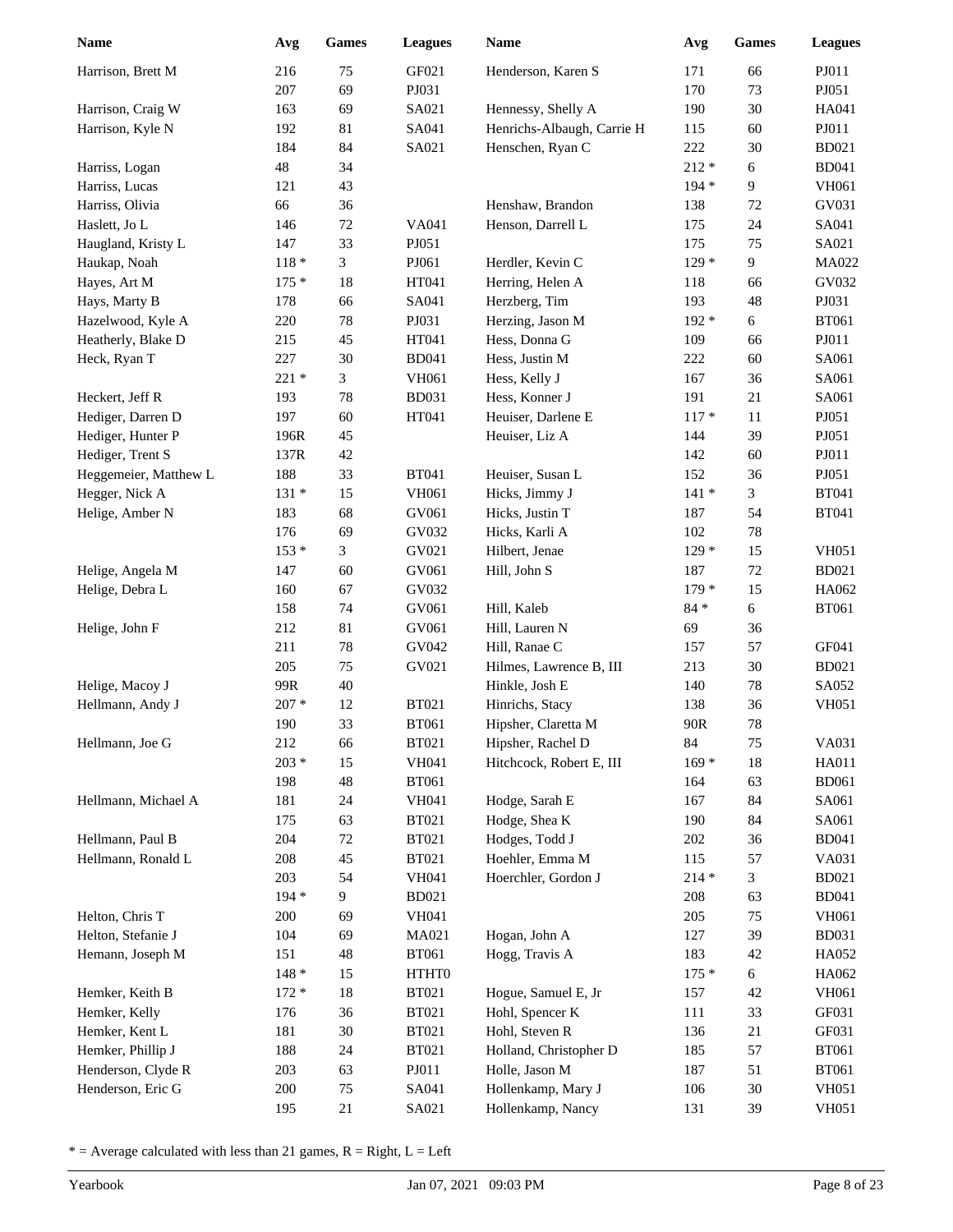| <b>Name</b>           | Avg        | <b>Games</b> | <b>Leagues</b>        | <b>Name</b>                     | Avg        | <b>Games</b> | <b>Leagues</b> |
|-----------------------|------------|--------------|-----------------------|---------------------------------|------------|--------------|----------------|
| Harrison, Brett M     | 216        | 75           | GF021                 | Henderson, Karen S              | 171        | 66           | PJ011          |
|                       | 207        | 69           | PJ031                 |                                 | 170        | 73           | PJ051          |
| Harrison, Craig W     | 163        | 69           | SA021                 | Hennessy, Shelly A              | 190        | 30           | HA041          |
| Harrison, Kyle N      | 192        | 81           | SA041                 | Henrichs-Albaugh, Carrie H      | 115        | 60           | PJ011          |
|                       | 184        | 84           | SA021                 | Henschen, Ryan C                | 222        | 30           | <b>BD021</b>   |
| Harriss, Logan        | 48         | 34           |                       |                                 | $212 *$    | 6            | <b>BD041</b>   |
| Harriss, Lucas        | 121        | 43           |                       |                                 | 194 *      | 9            | VH061          |
| Harriss, Olivia       | 66         | 36           |                       | Henshaw, Brandon                | 138        | 72           | GV031          |
| Haslett, Jo L         | 146        | $72\,$       | VA041                 | Henson, Darrell L               | 175        | 24           | SA041          |
| Haugland, Kristy L    | 147        | 33           | PJ051                 |                                 | 175        | 75           | SA021          |
| Haukap, Noah          | $118 *$    | 3            | PJ061                 | Herdler, Kevin C                | $129*$     | 9            | MA022          |
| Hayes, Art M          | $175*$     | 18           | HT041                 | Herring, Helen A                | 118        | 66           | GV032          |
| Hays, Marty B         | 178        | 66           | SA041                 | Herzberg, Tim                   | 193        | 48           | PJ031          |
| Hazelwood, Kyle A     | 220        | $78\,$       | PJ031                 | Herzing, Jason M                | 192 *      | 6            | <b>BT061</b>   |
| Heatherly, Blake D    | 215        | 45           | HT041                 | Hess, Donna G                   | 109        | 66           | PJ011          |
| Heck, Ryan T          | 227        | 30           | <b>BD041</b>          | Hess, Justin M                  | 222        | 60           | SA061          |
|                       | $221*$     | 3            | <b>VH061</b>          | Hess, Kelly J                   | 167        | 36           | SA061          |
| Heckert, Jeff R       | 193        | $78\,$       | <b>BD031</b>          | Hess, Konner J                  | 191        | 21           | SA061          |
| Hediger, Darren D     | 197        | 60           | HT041                 | Heuiser, Darlene E              | $117*$     | 11           | PJ051          |
| Hediger, Hunter P     | 196R       | 45           |                       | Heuiser, Liz A                  | 144        | 39           | PJ051          |
| Hediger, Trent S      | 137R       | 42           |                       |                                 | 142        | 60           | PJ011          |
| Heggemeier, Matthew L | 188        | 33           | <b>BT041</b>          | Heuiser, Susan L                | 152        | 36           | PJ051          |
| Hegger, Nick A        | $131 *$    | 15           | <b>VH061</b>          | Hicks, Jimmy J                  | $141 *$    | 3            | <b>BT041</b>   |
| Helige, Amber N       | 183        | 68           | GV061                 | Hicks, Justin T                 | 187        | 54           | <b>BT041</b>   |
|                       | 176        | 69           | GV032                 | Hicks, Karli A                  | 102        | 78           |                |
|                       | $153*$     | 3            | GV021                 | Hilbert, Jenae                  | $129*$     | 15           | <b>VH051</b>   |
| Helige, Angela M      | 147        | 60           | GV061                 | Hill, John S                    | 187        | $72\,$       | <b>BD021</b>   |
| Helige, Debra L       | 160        | 67           | GV032                 |                                 | $179*$     | 15           | HA062          |
|                       | 158        | 74           | GV061                 | Hill, Kaleb                     | $84 *$     | 6            | <b>BT061</b>   |
| Helige, John F        | 212        | 81           | GV061                 | Hill, Lauren N                  | 69         | 36           |                |
|                       | 211        | $78\,$       | GV042                 | Hill, Ranae C                   | 157        | 57           | GF041          |
|                       | 205        | 75           | GV021                 | Hilmes, Lawrence B, III         | 213        | 30           | <b>BD021</b>   |
| Helige, Macoy J       | 99R        | 40           |                       | Hinkle, Josh E                  | 140        | $78\,$       | SA052          |
| Hellmann, Andy J      | $207 *$    | 12           | <b>BT021</b>          | Hinrichs, Stacy                 | 138        | 36           | <b>VH051</b>   |
|                       | 190        | 33           | <b>BT061</b>          | Hipsher, Claretta M             | 90R        | 78           |                |
| Hellmann, Joe G       | 212        | 66           | <b>BT021</b>          | Hipsher, Rachel D               | 84         | $75\,$       | VA031          |
|                       | $203 *$    | 15           | VH041                 | Hitchcock, Robert E, III        | $169*$     | $18\,$       | HA011          |
|                       | 198        | $\sqrt{48}$  | <b>BT061</b>          |                                 | 164        | 63           | <b>BD061</b>   |
| Hellmann, Michael A   | 181<br>175 | 24<br>63     | VH041<br><b>BT021</b> | Hodge, Sarah E<br>Hodge, Shea K | 167<br>190 | 84<br>84     | SA061<br>SA061 |
| Hellmann, Paul B      | 204        | $72\,$       | <b>BT021</b>          | Hodges, Todd J                  | $202\,$    | 36           | <b>BD041</b>   |
| Hellmann, Ronald L    | 208        | 45           | <b>BT021</b>          | Hoehler, Emma M                 | 115        | 57           | VA031          |
|                       | 203        | 54           | VH041                 | Hoerchler, Gordon J             | $214 *$    | 3            | <b>BD021</b>   |
|                       | 194 *      | 9            | <b>BD021</b>          |                                 | 208        | 63           | <b>BD041</b>   |
| Helton, Chris T       | 200        | 69           | VH041                 |                                 | 205        | 75           | VH061          |
| Helton, Stefanie J    | 104        | 69           | MA021                 | Hogan, John A                   | 127        | 39           | <b>BD031</b>   |
| Hemann, Joseph M      | 151        | 48           | <b>BT061</b>          | Hogg, Travis A                  | 183        | 42           | HA052          |
|                       | $148 *$    | 15           | HTHT0                 |                                 | $175*$     | $\sqrt{6}$   | HA062          |
| Hemker, Keith B       | $172 *$    | 18           | <b>BT021</b>          | Hogue, Samuel E, Jr             | 157        | 42           | <b>VH061</b>   |
| Hemker, Kelly         | 176        | 36           | <b>BT021</b>          | Hohl, Spencer K                 | 111        | 33           | GF031          |
| Hemker, Kent L        | 181        | $30\,$       | <b>BT021</b>          | Hohl, Steven R                  | 136        | 21           | GF031          |
| Hemker, Phillip J     | 188        | 24           | <b>BT021</b>          | Holland, Christopher D          | 185        | 57           | <b>BT061</b>   |
| Henderson, Clyde R    | 203        | 63           | PJ011                 | Holle, Jason M                  | 187        | 51           | <b>BT061</b>   |
| Henderson, Eric G     | 200        | 75           | SA041                 | Hollenkamp, Mary J              | 106        | $30\,$       | <b>VH051</b>   |
|                       | 195        | 21           | SA021                 | Hollenkamp, Nancy               | 131        | 39           | <b>VH051</b>   |
|                       |            |              |                       |                                 |            |              |                |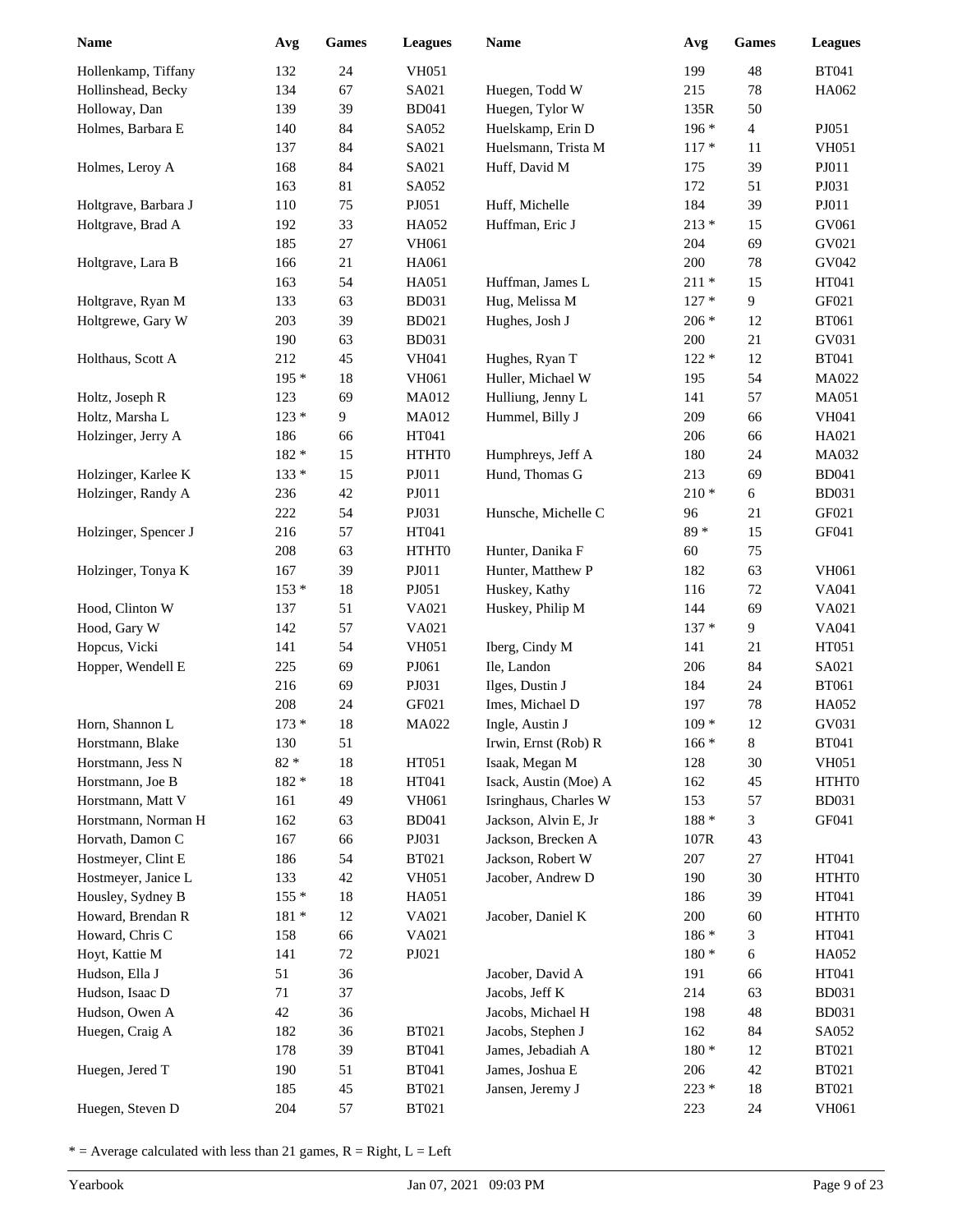| 24<br>199<br>48<br><b>BT041</b><br>Hollenkamp, Tiffany<br>132<br><b>VH051</b><br>134<br>67<br>SA021<br>$78\,$<br>HA062<br>Hollinshead, Becky<br>Huegen, Todd W<br>215<br>Holloway, Dan<br>39<br>Huegen, Tylor W<br>50<br>139<br><b>BD041</b><br>135R<br>Holmes, Barbara E<br>84<br>Huelskamp, Erin D<br>$\overline{4}$<br>PJ051<br>140<br>SA052<br>$196*$<br>84<br>Huelsmann, Trista M<br>$117 *$<br><b>VH051</b><br>137<br>SA021<br>11<br>168<br>84<br>SA021<br>39<br>PJ011<br>Holmes, Leroy A<br>Huff, David M<br>175<br>163<br>81<br>172<br>51<br>PJ031<br>SA052<br>75<br>Huff, Michelle<br>184<br>PJ011<br>Holtgrave, Barbara J<br>110<br>PJ051<br>39<br>33<br>Huffman, Eric J<br>$213*$<br>GV061<br>Holtgrave, Brad A<br>192<br>HA052<br>15<br>185<br>$27\,$<br><b>VH061</b><br>204<br>69<br>GV021<br>GV042<br>$21\,$<br>200<br>$78\,$<br>Holtgrave, Lara B<br>166<br>HA061<br>163<br>54<br>Huffman, James L<br>$211 *$<br>15<br>HT041<br>HA051<br>9<br>GF021<br>133<br>63<br>Hug, Melissa M<br>$127*$<br>Holtgrave, Ryan M<br><b>BD031</b><br>203<br>39<br>Hughes, Josh J<br>12<br><b>BT061</b><br>Holtgrewe, Gary W<br><b>BD021</b><br>$206 *$<br>63<br>21<br>GV031<br>190<br><b>BD031</b><br>200<br>212<br>45<br>$122 *$<br>12<br><b>BT041</b><br>Holthaus, Scott A<br><b>VH041</b><br>Hughes, Ryan T<br>$18\,$<br>Huller, Michael W<br>54<br>MA022<br>$195*$<br><b>VH061</b><br>195<br>123<br>69<br>141<br>57<br><b>MA051</b><br>Holtz, Joseph R<br><b>MA012</b><br>Hulliung, Jenny L<br>Holtz, Marsha L<br>$123*$<br>9<br>Hummel, Billy J<br>209<br><b>VH041</b><br><b>MA012</b><br>66<br>HT041<br>HA021<br>Holzinger, Jerry A<br>186<br>66<br>206<br>66<br>182 *<br>24<br>MA032<br>15<br>HTHT0<br>Humphreys, Jeff A<br>180<br>Hund, Thomas G<br>133 *<br>PJ011<br>213<br>69<br><b>BD041</b><br>Holzinger, Karlee K<br>15<br>Holzinger, Randy A<br>42<br>PJ011<br>$210*$<br>$6\,$<br><b>BD031</b><br>236<br>222<br>54<br>PJ031<br>GF021<br>Hunsche, Michelle C<br>96<br>21<br>$89*$<br>15<br>GF041<br>Holzinger, Spencer J<br>216<br>57<br>HT041<br>208<br>63<br>75<br>HTHT0<br>Hunter, Danika F<br>60<br>167<br>39<br>PJ011<br>Hunter, Matthew P<br>63<br>VH061<br>Holzinger, Tonya K<br>182<br>$153*$<br>18<br>PJ051<br>$72\,$<br>VA041<br>Huskey, Kathy<br>116<br>51<br>Huskey, Philip M<br>69<br>VA021<br>Hood, Clinton W<br>137<br>VA021<br>144<br>142<br>57<br>$137 *$<br>9<br>VA041<br>Hood, Gary W<br>VA021<br>Iberg, Cindy M<br>HT051<br>Hopcus, Vicki<br>141<br>54<br><b>VH051</b><br>141<br>21<br>69<br>84<br>SA021<br>Hopper, Wendell E<br>225<br>PJ061<br>Ile, Landon<br>206<br>69<br><b>BT061</b><br>216<br>PJ031<br>Ilges, Dustin J<br>184<br>24<br>208<br>$78\,$<br>HA052<br>24<br>GF021<br>Imes, Michael D<br>197<br>$173 *$<br>18<br>$109*$<br>12<br>GV031<br>Horn, Shannon L<br>MA022<br>Ingle, Austin J<br>$\,8$<br>130<br>51<br><b>BT041</b><br>Horstmann, Blake<br>Irwin, Ernst (Rob) R<br>$166*$<br>$82\; *$<br>$18\,$<br>HT051<br>Horstmann, Jess N<br>Isaak, Megan M<br>128<br>$30\,$<br><b>VH051</b><br>$18\,$<br>Horstmann, Joe B<br>182 *<br>HT041<br>Isack, Austin (Moe) A<br>162<br>45<br>HTHT0<br>49<br>153<br>Horstmann, Matt V<br>161<br><b>VH061</b><br>Isringhaus, Charles W<br>57<br><b>BD031</b><br>162<br>$188 *$<br>GF041<br>Horstmann, Norman H<br>63<br><b>BD041</b><br>Jackson, Alvin E, Jr<br>3<br>Horvath, Damon C<br>167<br>66<br>PJ031<br>Jackson, Brecken A<br>107R<br>43<br>Hostmeyer, Clint E<br>186<br>54<br><b>BT021</b><br>Jackson, Robert W<br>207<br>27<br>HT041<br>$30\,$<br>Hostmeyer, Janice L<br>133<br>42<br><b>VH051</b><br>Jacober, Andrew D<br>190<br>HTHT0<br>Housley, Sydney B<br>155 *<br>18<br>HA051<br>39<br>HT041<br>186<br>HTHT0<br>Howard, Brendan R<br>$181 *$<br>12<br>VA021<br>Jacober, Daniel K<br>200<br>60<br>Howard, Chris C<br>158<br>66<br>VA021<br>186 *<br>3<br>HT041<br>141<br>Hoyt, Kattie M<br>72<br>PJ021<br>$180 *$<br>6<br>HA052<br>Hudson, Ella J<br>51<br>36<br>Jacober, David A<br>191<br>HT041<br>66<br>$71\,$<br>Hudson, Isaac D<br>37<br>Jacobs, Jeff K<br>214<br>63<br><b>BD031</b><br>$42\,$<br>Hudson, Owen A<br>36<br>Jacobs, Michael H<br>198<br>48<br><b>BD031</b><br>Huegen, Craig A<br>182<br>36<br><b>BT021</b><br>Jacobs, Stephen J<br>162<br>84<br>SA052<br>39<br>$180 *$<br>178<br><b>BT041</b><br>James, Jebadiah A<br>12<br><b>BT021</b><br>51<br>Huegen, Jered T<br>190<br><b>BT041</b><br>James, Joshua E<br>42<br><b>BT021</b><br>206<br>$223 *$<br>185<br>45<br><b>BT021</b><br>Jansen, Jeremy J<br>18<br><b>BT021</b><br>Huegen, Steven D<br>204<br>57<br><b>BT021</b><br>223<br>24<br>VH061 | <b>Name</b> | Avg | <b>Games</b> | <b>Leagues</b> | Name | Avg | Games | <b>Leagues</b> |
|------------------------------------------------------------------------------------------------------------------------------------------------------------------------------------------------------------------------------------------------------------------------------------------------------------------------------------------------------------------------------------------------------------------------------------------------------------------------------------------------------------------------------------------------------------------------------------------------------------------------------------------------------------------------------------------------------------------------------------------------------------------------------------------------------------------------------------------------------------------------------------------------------------------------------------------------------------------------------------------------------------------------------------------------------------------------------------------------------------------------------------------------------------------------------------------------------------------------------------------------------------------------------------------------------------------------------------------------------------------------------------------------------------------------------------------------------------------------------------------------------------------------------------------------------------------------------------------------------------------------------------------------------------------------------------------------------------------------------------------------------------------------------------------------------------------------------------------------------------------------------------------------------------------------------------------------------------------------------------------------------------------------------------------------------------------------------------------------------------------------------------------------------------------------------------------------------------------------------------------------------------------------------------------------------------------------------------------------------------------------------------------------------------------------------------------------------------------------------------------------------------------------------------------------------------------------------------------------------------------------------------------------------------------------------------------------------------------------------------------------------------------------------------------------------------------------------------------------------------------------------------------------------------------------------------------------------------------------------------------------------------------------------------------------------------------------------------------------------------------------------------------------------------------------------------------------------------------------------------------------------------------------------------------------------------------------------------------------------------------------------------------------------------------------------------------------------------------------------------------------------------------------------------------------------------------------------------------------------------------------------------------------------------------------------------------------------------------------------------------------------------------------------------------------------------------------------------------------------------------------------------------------------------------------------------------------------------------------------------------------------------------------------------------------------------------------------------------------------------------------------------------------------------------------------------------------------------------------------------------------------------------------------------------------------------------------------------------------------------------------------------------------------------------------------------------------------------------------------------------------------------------------------------------------------------------------------------------------------------------------|-------------|-----|--------------|----------------|------|-----|-------|----------------|
|                                                                                                                                                                                                                                                                                                                                                                                                                                                                                                                                                                                                                                                                                                                                                                                                                                                                                                                                                                                                                                                                                                                                                                                                                                                                                                                                                                                                                                                                                                                                                                                                                                                                                                                                                                                                                                                                                                                                                                                                                                                                                                                                                                                                                                                                                                                                                                                                                                                                                                                                                                                                                                                                                                                                                                                                                                                                                                                                                                                                                                                                                                                                                                                                                                                                                                                                                                                                                                                                                                                                                                                                                                                                                                                                                                                                                                                                                                                                                                                                                                                                                                                                                                                                                                                                                                                                                                                                                                                                                                                                                                                                                        |             |     |              |                |      |     |       |                |
|                                                                                                                                                                                                                                                                                                                                                                                                                                                                                                                                                                                                                                                                                                                                                                                                                                                                                                                                                                                                                                                                                                                                                                                                                                                                                                                                                                                                                                                                                                                                                                                                                                                                                                                                                                                                                                                                                                                                                                                                                                                                                                                                                                                                                                                                                                                                                                                                                                                                                                                                                                                                                                                                                                                                                                                                                                                                                                                                                                                                                                                                                                                                                                                                                                                                                                                                                                                                                                                                                                                                                                                                                                                                                                                                                                                                                                                                                                                                                                                                                                                                                                                                                                                                                                                                                                                                                                                                                                                                                                                                                                                                                        |             |     |              |                |      |     |       |                |
|                                                                                                                                                                                                                                                                                                                                                                                                                                                                                                                                                                                                                                                                                                                                                                                                                                                                                                                                                                                                                                                                                                                                                                                                                                                                                                                                                                                                                                                                                                                                                                                                                                                                                                                                                                                                                                                                                                                                                                                                                                                                                                                                                                                                                                                                                                                                                                                                                                                                                                                                                                                                                                                                                                                                                                                                                                                                                                                                                                                                                                                                                                                                                                                                                                                                                                                                                                                                                                                                                                                                                                                                                                                                                                                                                                                                                                                                                                                                                                                                                                                                                                                                                                                                                                                                                                                                                                                                                                                                                                                                                                                                                        |             |     |              |                |      |     |       |                |
|                                                                                                                                                                                                                                                                                                                                                                                                                                                                                                                                                                                                                                                                                                                                                                                                                                                                                                                                                                                                                                                                                                                                                                                                                                                                                                                                                                                                                                                                                                                                                                                                                                                                                                                                                                                                                                                                                                                                                                                                                                                                                                                                                                                                                                                                                                                                                                                                                                                                                                                                                                                                                                                                                                                                                                                                                                                                                                                                                                                                                                                                                                                                                                                                                                                                                                                                                                                                                                                                                                                                                                                                                                                                                                                                                                                                                                                                                                                                                                                                                                                                                                                                                                                                                                                                                                                                                                                                                                                                                                                                                                                                                        |             |     |              |                |      |     |       |                |
|                                                                                                                                                                                                                                                                                                                                                                                                                                                                                                                                                                                                                                                                                                                                                                                                                                                                                                                                                                                                                                                                                                                                                                                                                                                                                                                                                                                                                                                                                                                                                                                                                                                                                                                                                                                                                                                                                                                                                                                                                                                                                                                                                                                                                                                                                                                                                                                                                                                                                                                                                                                                                                                                                                                                                                                                                                                                                                                                                                                                                                                                                                                                                                                                                                                                                                                                                                                                                                                                                                                                                                                                                                                                                                                                                                                                                                                                                                                                                                                                                                                                                                                                                                                                                                                                                                                                                                                                                                                                                                                                                                                                                        |             |     |              |                |      |     |       |                |
|                                                                                                                                                                                                                                                                                                                                                                                                                                                                                                                                                                                                                                                                                                                                                                                                                                                                                                                                                                                                                                                                                                                                                                                                                                                                                                                                                                                                                                                                                                                                                                                                                                                                                                                                                                                                                                                                                                                                                                                                                                                                                                                                                                                                                                                                                                                                                                                                                                                                                                                                                                                                                                                                                                                                                                                                                                                                                                                                                                                                                                                                                                                                                                                                                                                                                                                                                                                                                                                                                                                                                                                                                                                                                                                                                                                                                                                                                                                                                                                                                                                                                                                                                                                                                                                                                                                                                                                                                                                                                                                                                                                                                        |             |     |              |                |      |     |       |                |
|                                                                                                                                                                                                                                                                                                                                                                                                                                                                                                                                                                                                                                                                                                                                                                                                                                                                                                                                                                                                                                                                                                                                                                                                                                                                                                                                                                                                                                                                                                                                                                                                                                                                                                                                                                                                                                                                                                                                                                                                                                                                                                                                                                                                                                                                                                                                                                                                                                                                                                                                                                                                                                                                                                                                                                                                                                                                                                                                                                                                                                                                                                                                                                                                                                                                                                                                                                                                                                                                                                                                                                                                                                                                                                                                                                                                                                                                                                                                                                                                                                                                                                                                                                                                                                                                                                                                                                                                                                                                                                                                                                                                                        |             |     |              |                |      |     |       |                |
|                                                                                                                                                                                                                                                                                                                                                                                                                                                                                                                                                                                                                                                                                                                                                                                                                                                                                                                                                                                                                                                                                                                                                                                                                                                                                                                                                                                                                                                                                                                                                                                                                                                                                                                                                                                                                                                                                                                                                                                                                                                                                                                                                                                                                                                                                                                                                                                                                                                                                                                                                                                                                                                                                                                                                                                                                                                                                                                                                                                                                                                                                                                                                                                                                                                                                                                                                                                                                                                                                                                                                                                                                                                                                                                                                                                                                                                                                                                                                                                                                                                                                                                                                                                                                                                                                                                                                                                                                                                                                                                                                                                                                        |             |     |              |                |      |     |       |                |
|                                                                                                                                                                                                                                                                                                                                                                                                                                                                                                                                                                                                                                                                                                                                                                                                                                                                                                                                                                                                                                                                                                                                                                                                                                                                                                                                                                                                                                                                                                                                                                                                                                                                                                                                                                                                                                                                                                                                                                                                                                                                                                                                                                                                                                                                                                                                                                                                                                                                                                                                                                                                                                                                                                                                                                                                                                                                                                                                                                                                                                                                                                                                                                                                                                                                                                                                                                                                                                                                                                                                                                                                                                                                                                                                                                                                                                                                                                                                                                                                                                                                                                                                                                                                                                                                                                                                                                                                                                                                                                                                                                                                                        |             |     |              |                |      |     |       |                |
|                                                                                                                                                                                                                                                                                                                                                                                                                                                                                                                                                                                                                                                                                                                                                                                                                                                                                                                                                                                                                                                                                                                                                                                                                                                                                                                                                                                                                                                                                                                                                                                                                                                                                                                                                                                                                                                                                                                                                                                                                                                                                                                                                                                                                                                                                                                                                                                                                                                                                                                                                                                                                                                                                                                                                                                                                                                                                                                                                                                                                                                                                                                                                                                                                                                                                                                                                                                                                                                                                                                                                                                                                                                                                                                                                                                                                                                                                                                                                                                                                                                                                                                                                                                                                                                                                                                                                                                                                                                                                                                                                                                                                        |             |     |              |                |      |     |       |                |
|                                                                                                                                                                                                                                                                                                                                                                                                                                                                                                                                                                                                                                                                                                                                                                                                                                                                                                                                                                                                                                                                                                                                                                                                                                                                                                                                                                                                                                                                                                                                                                                                                                                                                                                                                                                                                                                                                                                                                                                                                                                                                                                                                                                                                                                                                                                                                                                                                                                                                                                                                                                                                                                                                                                                                                                                                                                                                                                                                                                                                                                                                                                                                                                                                                                                                                                                                                                                                                                                                                                                                                                                                                                                                                                                                                                                                                                                                                                                                                                                                                                                                                                                                                                                                                                                                                                                                                                                                                                                                                                                                                                                                        |             |     |              |                |      |     |       |                |
|                                                                                                                                                                                                                                                                                                                                                                                                                                                                                                                                                                                                                                                                                                                                                                                                                                                                                                                                                                                                                                                                                                                                                                                                                                                                                                                                                                                                                                                                                                                                                                                                                                                                                                                                                                                                                                                                                                                                                                                                                                                                                                                                                                                                                                                                                                                                                                                                                                                                                                                                                                                                                                                                                                                                                                                                                                                                                                                                                                                                                                                                                                                                                                                                                                                                                                                                                                                                                                                                                                                                                                                                                                                                                                                                                                                                                                                                                                                                                                                                                                                                                                                                                                                                                                                                                                                                                                                                                                                                                                                                                                                                                        |             |     |              |                |      |     |       |                |
|                                                                                                                                                                                                                                                                                                                                                                                                                                                                                                                                                                                                                                                                                                                                                                                                                                                                                                                                                                                                                                                                                                                                                                                                                                                                                                                                                                                                                                                                                                                                                                                                                                                                                                                                                                                                                                                                                                                                                                                                                                                                                                                                                                                                                                                                                                                                                                                                                                                                                                                                                                                                                                                                                                                                                                                                                                                                                                                                                                                                                                                                                                                                                                                                                                                                                                                                                                                                                                                                                                                                                                                                                                                                                                                                                                                                                                                                                                                                                                                                                                                                                                                                                                                                                                                                                                                                                                                                                                                                                                                                                                                                                        |             |     |              |                |      |     |       |                |
|                                                                                                                                                                                                                                                                                                                                                                                                                                                                                                                                                                                                                                                                                                                                                                                                                                                                                                                                                                                                                                                                                                                                                                                                                                                                                                                                                                                                                                                                                                                                                                                                                                                                                                                                                                                                                                                                                                                                                                                                                                                                                                                                                                                                                                                                                                                                                                                                                                                                                                                                                                                                                                                                                                                                                                                                                                                                                                                                                                                                                                                                                                                                                                                                                                                                                                                                                                                                                                                                                                                                                                                                                                                                                                                                                                                                                                                                                                                                                                                                                                                                                                                                                                                                                                                                                                                                                                                                                                                                                                                                                                                                                        |             |     |              |                |      |     |       |                |
|                                                                                                                                                                                                                                                                                                                                                                                                                                                                                                                                                                                                                                                                                                                                                                                                                                                                                                                                                                                                                                                                                                                                                                                                                                                                                                                                                                                                                                                                                                                                                                                                                                                                                                                                                                                                                                                                                                                                                                                                                                                                                                                                                                                                                                                                                                                                                                                                                                                                                                                                                                                                                                                                                                                                                                                                                                                                                                                                                                                                                                                                                                                                                                                                                                                                                                                                                                                                                                                                                                                                                                                                                                                                                                                                                                                                                                                                                                                                                                                                                                                                                                                                                                                                                                                                                                                                                                                                                                                                                                                                                                                                                        |             |     |              |                |      |     |       |                |
|                                                                                                                                                                                                                                                                                                                                                                                                                                                                                                                                                                                                                                                                                                                                                                                                                                                                                                                                                                                                                                                                                                                                                                                                                                                                                                                                                                                                                                                                                                                                                                                                                                                                                                                                                                                                                                                                                                                                                                                                                                                                                                                                                                                                                                                                                                                                                                                                                                                                                                                                                                                                                                                                                                                                                                                                                                                                                                                                                                                                                                                                                                                                                                                                                                                                                                                                                                                                                                                                                                                                                                                                                                                                                                                                                                                                                                                                                                                                                                                                                                                                                                                                                                                                                                                                                                                                                                                                                                                                                                                                                                                                                        |             |     |              |                |      |     |       |                |
|                                                                                                                                                                                                                                                                                                                                                                                                                                                                                                                                                                                                                                                                                                                                                                                                                                                                                                                                                                                                                                                                                                                                                                                                                                                                                                                                                                                                                                                                                                                                                                                                                                                                                                                                                                                                                                                                                                                                                                                                                                                                                                                                                                                                                                                                                                                                                                                                                                                                                                                                                                                                                                                                                                                                                                                                                                                                                                                                                                                                                                                                                                                                                                                                                                                                                                                                                                                                                                                                                                                                                                                                                                                                                                                                                                                                                                                                                                                                                                                                                                                                                                                                                                                                                                                                                                                                                                                                                                                                                                                                                                                                                        |             |     |              |                |      |     |       |                |
|                                                                                                                                                                                                                                                                                                                                                                                                                                                                                                                                                                                                                                                                                                                                                                                                                                                                                                                                                                                                                                                                                                                                                                                                                                                                                                                                                                                                                                                                                                                                                                                                                                                                                                                                                                                                                                                                                                                                                                                                                                                                                                                                                                                                                                                                                                                                                                                                                                                                                                                                                                                                                                                                                                                                                                                                                                                                                                                                                                                                                                                                                                                                                                                                                                                                                                                                                                                                                                                                                                                                                                                                                                                                                                                                                                                                                                                                                                                                                                                                                                                                                                                                                                                                                                                                                                                                                                                                                                                                                                                                                                                                                        |             |     |              |                |      |     |       |                |
|                                                                                                                                                                                                                                                                                                                                                                                                                                                                                                                                                                                                                                                                                                                                                                                                                                                                                                                                                                                                                                                                                                                                                                                                                                                                                                                                                                                                                                                                                                                                                                                                                                                                                                                                                                                                                                                                                                                                                                                                                                                                                                                                                                                                                                                                                                                                                                                                                                                                                                                                                                                                                                                                                                                                                                                                                                                                                                                                                                                                                                                                                                                                                                                                                                                                                                                                                                                                                                                                                                                                                                                                                                                                                                                                                                                                                                                                                                                                                                                                                                                                                                                                                                                                                                                                                                                                                                                                                                                                                                                                                                                                                        |             |     |              |                |      |     |       |                |
|                                                                                                                                                                                                                                                                                                                                                                                                                                                                                                                                                                                                                                                                                                                                                                                                                                                                                                                                                                                                                                                                                                                                                                                                                                                                                                                                                                                                                                                                                                                                                                                                                                                                                                                                                                                                                                                                                                                                                                                                                                                                                                                                                                                                                                                                                                                                                                                                                                                                                                                                                                                                                                                                                                                                                                                                                                                                                                                                                                                                                                                                                                                                                                                                                                                                                                                                                                                                                                                                                                                                                                                                                                                                                                                                                                                                                                                                                                                                                                                                                                                                                                                                                                                                                                                                                                                                                                                                                                                                                                                                                                                                                        |             |     |              |                |      |     |       |                |
|                                                                                                                                                                                                                                                                                                                                                                                                                                                                                                                                                                                                                                                                                                                                                                                                                                                                                                                                                                                                                                                                                                                                                                                                                                                                                                                                                                                                                                                                                                                                                                                                                                                                                                                                                                                                                                                                                                                                                                                                                                                                                                                                                                                                                                                                                                                                                                                                                                                                                                                                                                                                                                                                                                                                                                                                                                                                                                                                                                                                                                                                                                                                                                                                                                                                                                                                                                                                                                                                                                                                                                                                                                                                                                                                                                                                                                                                                                                                                                                                                                                                                                                                                                                                                                                                                                                                                                                                                                                                                                                                                                                                                        |             |     |              |                |      |     |       |                |
|                                                                                                                                                                                                                                                                                                                                                                                                                                                                                                                                                                                                                                                                                                                                                                                                                                                                                                                                                                                                                                                                                                                                                                                                                                                                                                                                                                                                                                                                                                                                                                                                                                                                                                                                                                                                                                                                                                                                                                                                                                                                                                                                                                                                                                                                                                                                                                                                                                                                                                                                                                                                                                                                                                                                                                                                                                                                                                                                                                                                                                                                                                                                                                                                                                                                                                                                                                                                                                                                                                                                                                                                                                                                                                                                                                                                                                                                                                                                                                                                                                                                                                                                                                                                                                                                                                                                                                                                                                                                                                                                                                                                                        |             |     |              |                |      |     |       |                |
|                                                                                                                                                                                                                                                                                                                                                                                                                                                                                                                                                                                                                                                                                                                                                                                                                                                                                                                                                                                                                                                                                                                                                                                                                                                                                                                                                                                                                                                                                                                                                                                                                                                                                                                                                                                                                                                                                                                                                                                                                                                                                                                                                                                                                                                                                                                                                                                                                                                                                                                                                                                                                                                                                                                                                                                                                                                                                                                                                                                                                                                                                                                                                                                                                                                                                                                                                                                                                                                                                                                                                                                                                                                                                                                                                                                                                                                                                                                                                                                                                                                                                                                                                                                                                                                                                                                                                                                                                                                                                                                                                                                                                        |             |     |              |                |      |     |       |                |
|                                                                                                                                                                                                                                                                                                                                                                                                                                                                                                                                                                                                                                                                                                                                                                                                                                                                                                                                                                                                                                                                                                                                                                                                                                                                                                                                                                                                                                                                                                                                                                                                                                                                                                                                                                                                                                                                                                                                                                                                                                                                                                                                                                                                                                                                                                                                                                                                                                                                                                                                                                                                                                                                                                                                                                                                                                                                                                                                                                                                                                                                                                                                                                                                                                                                                                                                                                                                                                                                                                                                                                                                                                                                                                                                                                                                                                                                                                                                                                                                                                                                                                                                                                                                                                                                                                                                                                                                                                                                                                                                                                                                                        |             |     |              |                |      |     |       |                |
|                                                                                                                                                                                                                                                                                                                                                                                                                                                                                                                                                                                                                                                                                                                                                                                                                                                                                                                                                                                                                                                                                                                                                                                                                                                                                                                                                                                                                                                                                                                                                                                                                                                                                                                                                                                                                                                                                                                                                                                                                                                                                                                                                                                                                                                                                                                                                                                                                                                                                                                                                                                                                                                                                                                                                                                                                                                                                                                                                                                                                                                                                                                                                                                                                                                                                                                                                                                                                                                                                                                                                                                                                                                                                                                                                                                                                                                                                                                                                                                                                                                                                                                                                                                                                                                                                                                                                                                                                                                                                                                                                                                                                        |             |     |              |                |      |     |       |                |
|                                                                                                                                                                                                                                                                                                                                                                                                                                                                                                                                                                                                                                                                                                                                                                                                                                                                                                                                                                                                                                                                                                                                                                                                                                                                                                                                                                                                                                                                                                                                                                                                                                                                                                                                                                                                                                                                                                                                                                                                                                                                                                                                                                                                                                                                                                                                                                                                                                                                                                                                                                                                                                                                                                                                                                                                                                                                                                                                                                                                                                                                                                                                                                                                                                                                                                                                                                                                                                                                                                                                                                                                                                                                                                                                                                                                                                                                                                                                                                                                                                                                                                                                                                                                                                                                                                                                                                                                                                                                                                                                                                                                                        |             |     |              |                |      |     |       |                |
|                                                                                                                                                                                                                                                                                                                                                                                                                                                                                                                                                                                                                                                                                                                                                                                                                                                                                                                                                                                                                                                                                                                                                                                                                                                                                                                                                                                                                                                                                                                                                                                                                                                                                                                                                                                                                                                                                                                                                                                                                                                                                                                                                                                                                                                                                                                                                                                                                                                                                                                                                                                                                                                                                                                                                                                                                                                                                                                                                                                                                                                                                                                                                                                                                                                                                                                                                                                                                                                                                                                                                                                                                                                                                                                                                                                                                                                                                                                                                                                                                                                                                                                                                                                                                                                                                                                                                                                                                                                                                                                                                                                                                        |             |     |              |                |      |     |       |                |
|                                                                                                                                                                                                                                                                                                                                                                                                                                                                                                                                                                                                                                                                                                                                                                                                                                                                                                                                                                                                                                                                                                                                                                                                                                                                                                                                                                                                                                                                                                                                                                                                                                                                                                                                                                                                                                                                                                                                                                                                                                                                                                                                                                                                                                                                                                                                                                                                                                                                                                                                                                                                                                                                                                                                                                                                                                                                                                                                                                                                                                                                                                                                                                                                                                                                                                                                                                                                                                                                                                                                                                                                                                                                                                                                                                                                                                                                                                                                                                                                                                                                                                                                                                                                                                                                                                                                                                                                                                                                                                                                                                                                                        |             |     |              |                |      |     |       |                |
|                                                                                                                                                                                                                                                                                                                                                                                                                                                                                                                                                                                                                                                                                                                                                                                                                                                                                                                                                                                                                                                                                                                                                                                                                                                                                                                                                                                                                                                                                                                                                                                                                                                                                                                                                                                                                                                                                                                                                                                                                                                                                                                                                                                                                                                                                                                                                                                                                                                                                                                                                                                                                                                                                                                                                                                                                                                                                                                                                                                                                                                                                                                                                                                                                                                                                                                                                                                                                                                                                                                                                                                                                                                                                                                                                                                                                                                                                                                                                                                                                                                                                                                                                                                                                                                                                                                                                                                                                                                                                                                                                                                                                        |             |     |              |                |      |     |       |                |
|                                                                                                                                                                                                                                                                                                                                                                                                                                                                                                                                                                                                                                                                                                                                                                                                                                                                                                                                                                                                                                                                                                                                                                                                                                                                                                                                                                                                                                                                                                                                                                                                                                                                                                                                                                                                                                                                                                                                                                                                                                                                                                                                                                                                                                                                                                                                                                                                                                                                                                                                                                                                                                                                                                                                                                                                                                                                                                                                                                                                                                                                                                                                                                                                                                                                                                                                                                                                                                                                                                                                                                                                                                                                                                                                                                                                                                                                                                                                                                                                                                                                                                                                                                                                                                                                                                                                                                                                                                                                                                                                                                                                                        |             |     |              |                |      |     |       |                |
|                                                                                                                                                                                                                                                                                                                                                                                                                                                                                                                                                                                                                                                                                                                                                                                                                                                                                                                                                                                                                                                                                                                                                                                                                                                                                                                                                                                                                                                                                                                                                                                                                                                                                                                                                                                                                                                                                                                                                                                                                                                                                                                                                                                                                                                                                                                                                                                                                                                                                                                                                                                                                                                                                                                                                                                                                                                                                                                                                                                                                                                                                                                                                                                                                                                                                                                                                                                                                                                                                                                                                                                                                                                                                                                                                                                                                                                                                                                                                                                                                                                                                                                                                                                                                                                                                                                                                                                                                                                                                                                                                                                                                        |             |     |              |                |      |     |       |                |
|                                                                                                                                                                                                                                                                                                                                                                                                                                                                                                                                                                                                                                                                                                                                                                                                                                                                                                                                                                                                                                                                                                                                                                                                                                                                                                                                                                                                                                                                                                                                                                                                                                                                                                                                                                                                                                                                                                                                                                                                                                                                                                                                                                                                                                                                                                                                                                                                                                                                                                                                                                                                                                                                                                                                                                                                                                                                                                                                                                                                                                                                                                                                                                                                                                                                                                                                                                                                                                                                                                                                                                                                                                                                                                                                                                                                                                                                                                                                                                                                                                                                                                                                                                                                                                                                                                                                                                                                                                                                                                                                                                                                                        |             |     |              |                |      |     |       |                |
|                                                                                                                                                                                                                                                                                                                                                                                                                                                                                                                                                                                                                                                                                                                                                                                                                                                                                                                                                                                                                                                                                                                                                                                                                                                                                                                                                                                                                                                                                                                                                                                                                                                                                                                                                                                                                                                                                                                                                                                                                                                                                                                                                                                                                                                                                                                                                                                                                                                                                                                                                                                                                                                                                                                                                                                                                                                                                                                                                                                                                                                                                                                                                                                                                                                                                                                                                                                                                                                                                                                                                                                                                                                                                                                                                                                                                                                                                                                                                                                                                                                                                                                                                                                                                                                                                                                                                                                                                                                                                                                                                                                                                        |             |     |              |                |      |     |       |                |
|                                                                                                                                                                                                                                                                                                                                                                                                                                                                                                                                                                                                                                                                                                                                                                                                                                                                                                                                                                                                                                                                                                                                                                                                                                                                                                                                                                                                                                                                                                                                                                                                                                                                                                                                                                                                                                                                                                                                                                                                                                                                                                                                                                                                                                                                                                                                                                                                                                                                                                                                                                                                                                                                                                                                                                                                                                                                                                                                                                                                                                                                                                                                                                                                                                                                                                                                                                                                                                                                                                                                                                                                                                                                                                                                                                                                                                                                                                                                                                                                                                                                                                                                                                                                                                                                                                                                                                                                                                                                                                                                                                                                                        |             |     |              |                |      |     |       |                |
|                                                                                                                                                                                                                                                                                                                                                                                                                                                                                                                                                                                                                                                                                                                                                                                                                                                                                                                                                                                                                                                                                                                                                                                                                                                                                                                                                                                                                                                                                                                                                                                                                                                                                                                                                                                                                                                                                                                                                                                                                                                                                                                                                                                                                                                                                                                                                                                                                                                                                                                                                                                                                                                                                                                                                                                                                                                                                                                                                                                                                                                                                                                                                                                                                                                                                                                                                                                                                                                                                                                                                                                                                                                                                                                                                                                                                                                                                                                                                                                                                                                                                                                                                                                                                                                                                                                                                                                                                                                                                                                                                                                                                        |             |     |              |                |      |     |       |                |
|                                                                                                                                                                                                                                                                                                                                                                                                                                                                                                                                                                                                                                                                                                                                                                                                                                                                                                                                                                                                                                                                                                                                                                                                                                                                                                                                                                                                                                                                                                                                                                                                                                                                                                                                                                                                                                                                                                                                                                                                                                                                                                                                                                                                                                                                                                                                                                                                                                                                                                                                                                                                                                                                                                                                                                                                                                                                                                                                                                                                                                                                                                                                                                                                                                                                                                                                                                                                                                                                                                                                                                                                                                                                                                                                                                                                                                                                                                                                                                                                                                                                                                                                                                                                                                                                                                                                                                                                                                                                                                                                                                                                                        |             |     |              |                |      |     |       |                |
|                                                                                                                                                                                                                                                                                                                                                                                                                                                                                                                                                                                                                                                                                                                                                                                                                                                                                                                                                                                                                                                                                                                                                                                                                                                                                                                                                                                                                                                                                                                                                                                                                                                                                                                                                                                                                                                                                                                                                                                                                                                                                                                                                                                                                                                                                                                                                                                                                                                                                                                                                                                                                                                                                                                                                                                                                                                                                                                                                                                                                                                                                                                                                                                                                                                                                                                                                                                                                                                                                                                                                                                                                                                                                                                                                                                                                                                                                                                                                                                                                                                                                                                                                                                                                                                                                                                                                                                                                                                                                                                                                                                                                        |             |     |              |                |      |     |       |                |
|                                                                                                                                                                                                                                                                                                                                                                                                                                                                                                                                                                                                                                                                                                                                                                                                                                                                                                                                                                                                                                                                                                                                                                                                                                                                                                                                                                                                                                                                                                                                                                                                                                                                                                                                                                                                                                                                                                                                                                                                                                                                                                                                                                                                                                                                                                                                                                                                                                                                                                                                                                                                                                                                                                                                                                                                                                                                                                                                                                                                                                                                                                                                                                                                                                                                                                                                                                                                                                                                                                                                                                                                                                                                                                                                                                                                                                                                                                                                                                                                                                                                                                                                                                                                                                                                                                                                                                                                                                                                                                                                                                                                                        |             |     |              |                |      |     |       |                |
|                                                                                                                                                                                                                                                                                                                                                                                                                                                                                                                                                                                                                                                                                                                                                                                                                                                                                                                                                                                                                                                                                                                                                                                                                                                                                                                                                                                                                                                                                                                                                                                                                                                                                                                                                                                                                                                                                                                                                                                                                                                                                                                                                                                                                                                                                                                                                                                                                                                                                                                                                                                                                                                                                                                                                                                                                                                                                                                                                                                                                                                                                                                                                                                                                                                                                                                                                                                                                                                                                                                                                                                                                                                                                                                                                                                                                                                                                                                                                                                                                                                                                                                                                                                                                                                                                                                                                                                                                                                                                                                                                                                                                        |             |     |              |                |      |     |       |                |
|                                                                                                                                                                                                                                                                                                                                                                                                                                                                                                                                                                                                                                                                                                                                                                                                                                                                                                                                                                                                                                                                                                                                                                                                                                                                                                                                                                                                                                                                                                                                                                                                                                                                                                                                                                                                                                                                                                                                                                                                                                                                                                                                                                                                                                                                                                                                                                                                                                                                                                                                                                                                                                                                                                                                                                                                                                                                                                                                                                                                                                                                                                                                                                                                                                                                                                                                                                                                                                                                                                                                                                                                                                                                                                                                                                                                                                                                                                                                                                                                                                                                                                                                                                                                                                                                                                                                                                                                                                                                                                                                                                                                                        |             |     |              |                |      |     |       |                |
|                                                                                                                                                                                                                                                                                                                                                                                                                                                                                                                                                                                                                                                                                                                                                                                                                                                                                                                                                                                                                                                                                                                                                                                                                                                                                                                                                                                                                                                                                                                                                                                                                                                                                                                                                                                                                                                                                                                                                                                                                                                                                                                                                                                                                                                                                                                                                                                                                                                                                                                                                                                                                                                                                                                                                                                                                                                                                                                                                                                                                                                                                                                                                                                                                                                                                                                                                                                                                                                                                                                                                                                                                                                                                                                                                                                                                                                                                                                                                                                                                                                                                                                                                                                                                                                                                                                                                                                                                                                                                                                                                                                                                        |             |     |              |                |      |     |       |                |
|                                                                                                                                                                                                                                                                                                                                                                                                                                                                                                                                                                                                                                                                                                                                                                                                                                                                                                                                                                                                                                                                                                                                                                                                                                                                                                                                                                                                                                                                                                                                                                                                                                                                                                                                                                                                                                                                                                                                                                                                                                                                                                                                                                                                                                                                                                                                                                                                                                                                                                                                                                                                                                                                                                                                                                                                                                                                                                                                                                                                                                                                                                                                                                                                                                                                                                                                                                                                                                                                                                                                                                                                                                                                                                                                                                                                                                                                                                                                                                                                                                                                                                                                                                                                                                                                                                                                                                                                                                                                                                                                                                                                                        |             |     |              |                |      |     |       |                |
|                                                                                                                                                                                                                                                                                                                                                                                                                                                                                                                                                                                                                                                                                                                                                                                                                                                                                                                                                                                                                                                                                                                                                                                                                                                                                                                                                                                                                                                                                                                                                                                                                                                                                                                                                                                                                                                                                                                                                                                                                                                                                                                                                                                                                                                                                                                                                                                                                                                                                                                                                                                                                                                                                                                                                                                                                                                                                                                                                                                                                                                                                                                                                                                                                                                                                                                                                                                                                                                                                                                                                                                                                                                                                                                                                                                                                                                                                                                                                                                                                                                                                                                                                                                                                                                                                                                                                                                                                                                                                                                                                                                                                        |             |     |              |                |      |     |       |                |
|                                                                                                                                                                                                                                                                                                                                                                                                                                                                                                                                                                                                                                                                                                                                                                                                                                                                                                                                                                                                                                                                                                                                                                                                                                                                                                                                                                                                                                                                                                                                                                                                                                                                                                                                                                                                                                                                                                                                                                                                                                                                                                                                                                                                                                                                                                                                                                                                                                                                                                                                                                                                                                                                                                                                                                                                                                                                                                                                                                                                                                                                                                                                                                                                                                                                                                                                                                                                                                                                                                                                                                                                                                                                                                                                                                                                                                                                                                                                                                                                                                                                                                                                                                                                                                                                                                                                                                                                                                                                                                                                                                                                                        |             |     |              |                |      |     |       |                |
|                                                                                                                                                                                                                                                                                                                                                                                                                                                                                                                                                                                                                                                                                                                                                                                                                                                                                                                                                                                                                                                                                                                                                                                                                                                                                                                                                                                                                                                                                                                                                                                                                                                                                                                                                                                                                                                                                                                                                                                                                                                                                                                                                                                                                                                                                                                                                                                                                                                                                                                                                                                                                                                                                                                                                                                                                                                                                                                                                                                                                                                                                                                                                                                                                                                                                                                                                                                                                                                                                                                                                                                                                                                                                                                                                                                                                                                                                                                                                                                                                                                                                                                                                                                                                                                                                                                                                                                                                                                                                                                                                                                                                        |             |     |              |                |      |     |       |                |
|                                                                                                                                                                                                                                                                                                                                                                                                                                                                                                                                                                                                                                                                                                                                                                                                                                                                                                                                                                                                                                                                                                                                                                                                                                                                                                                                                                                                                                                                                                                                                                                                                                                                                                                                                                                                                                                                                                                                                                                                                                                                                                                                                                                                                                                                                                                                                                                                                                                                                                                                                                                                                                                                                                                                                                                                                                                                                                                                                                                                                                                                                                                                                                                                                                                                                                                                                                                                                                                                                                                                                                                                                                                                                                                                                                                                                                                                                                                                                                                                                                                                                                                                                                                                                                                                                                                                                                                                                                                                                                                                                                                                                        |             |     |              |                |      |     |       |                |
|                                                                                                                                                                                                                                                                                                                                                                                                                                                                                                                                                                                                                                                                                                                                                                                                                                                                                                                                                                                                                                                                                                                                                                                                                                                                                                                                                                                                                                                                                                                                                                                                                                                                                                                                                                                                                                                                                                                                                                                                                                                                                                                                                                                                                                                                                                                                                                                                                                                                                                                                                                                                                                                                                                                                                                                                                                                                                                                                                                                                                                                                                                                                                                                                                                                                                                                                                                                                                                                                                                                                                                                                                                                                                                                                                                                                                                                                                                                                                                                                                                                                                                                                                                                                                                                                                                                                                                                                                                                                                                                                                                                                                        |             |     |              |                |      |     |       |                |
|                                                                                                                                                                                                                                                                                                                                                                                                                                                                                                                                                                                                                                                                                                                                                                                                                                                                                                                                                                                                                                                                                                                                                                                                                                                                                                                                                                                                                                                                                                                                                                                                                                                                                                                                                                                                                                                                                                                                                                                                                                                                                                                                                                                                                                                                                                                                                                                                                                                                                                                                                                                                                                                                                                                                                                                                                                                                                                                                                                                                                                                                                                                                                                                                                                                                                                                                                                                                                                                                                                                                                                                                                                                                                                                                                                                                                                                                                                                                                                                                                                                                                                                                                                                                                                                                                                                                                                                                                                                                                                                                                                                                                        |             |     |              |                |      |     |       |                |
|                                                                                                                                                                                                                                                                                                                                                                                                                                                                                                                                                                                                                                                                                                                                                                                                                                                                                                                                                                                                                                                                                                                                                                                                                                                                                                                                                                                                                                                                                                                                                                                                                                                                                                                                                                                                                                                                                                                                                                                                                                                                                                                                                                                                                                                                                                                                                                                                                                                                                                                                                                                                                                                                                                                                                                                                                                                                                                                                                                                                                                                                                                                                                                                                                                                                                                                                                                                                                                                                                                                                                                                                                                                                                                                                                                                                                                                                                                                                                                                                                                                                                                                                                                                                                                                                                                                                                                                                                                                                                                                                                                                                                        |             |     |              |                |      |     |       |                |
|                                                                                                                                                                                                                                                                                                                                                                                                                                                                                                                                                                                                                                                                                                                                                                                                                                                                                                                                                                                                                                                                                                                                                                                                                                                                                                                                                                                                                                                                                                                                                                                                                                                                                                                                                                                                                                                                                                                                                                                                                                                                                                                                                                                                                                                                                                                                                                                                                                                                                                                                                                                                                                                                                                                                                                                                                                                                                                                                                                                                                                                                                                                                                                                                                                                                                                                                                                                                                                                                                                                                                                                                                                                                                                                                                                                                                                                                                                                                                                                                                                                                                                                                                                                                                                                                                                                                                                                                                                                                                                                                                                                                                        |             |     |              |                |      |     |       |                |
|                                                                                                                                                                                                                                                                                                                                                                                                                                                                                                                                                                                                                                                                                                                                                                                                                                                                                                                                                                                                                                                                                                                                                                                                                                                                                                                                                                                                                                                                                                                                                                                                                                                                                                                                                                                                                                                                                                                                                                                                                                                                                                                                                                                                                                                                                                                                                                                                                                                                                                                                                                                                                                                                                                                                                                                                                                                                                                                                                                                                                                                                                                                                                                                                                                                                                                                                                                                                                                                                                                                                                                                                                                                                                                                                                                                                                                                                                                                                                                                                                                                                                                                                                                                                                                                                                                                                                                                                                                                                                                                                                                                                                        |             |     |              |                |      |     |       |                |
|                                                                                                                                                                                                                                                                                                                                                                                                                                                                                                                                                                                                                                                                                                                                                                                                                                                                                                                                                                                                                                                                                                                                                                                                                                                                                                                                                                                                                                                                                                                                                                                                                                                                                                                                                                                                                                                                                                                                                                                                                                                                                                                                                                                                                                                                                                                                                                                                                                                                                                                                                                                                                                                                                                                                                                                                                                                                                                                                                                                                                                                                                                                                                                                                                                                                                                                                                                                                                                                                                                                                                                                                                                                                                                                                                                                                                                                                                                                                                                                                                                                                                                                                                                                                                                                                                                                                                                                                                                                                                                                                                                                                                        |             |     |              |                |      |     |       |                |
|                                                                                                                                                                                                                                                                                                                                                                                                                                                                                                                                                                                                                                                                                                                                                                                                                                                                                                                                                                                                                                                                                                                                                                                                                                                                                                                                                                                                                                                                                                                                                                                                                                                                                                                                                                                                                                                                                                                                                                                                                                                                                                                                                                                                                                                                                                                                                                                                                                                                                                                                                                                                                                                                                                                                                                                                                                                                                                                                                                                                                                                                                                                                                                                                                                                                                                                                                                                                                                                                                                                                                                                                                                                                                                                                                                                                                                                                                                                                                                                                                                                                                                                                                                                                                                                                                                                                                                                                                                                                                                                                                                                                                        |             |     |              |                |      |     |       |                |
|                                                                                                                                                                                                                                                                                                                                                                                                                                                                                                                                                                                                                                                                                                                                                                                                                                                                                                                                                                                                                                                                                                                                                                                                                                                                                                                                                                                                                                                                                                                                                                                                                                                                                                                                                                                                                                                                                                                                                                                                                                                                                                                                                                                                                                                                                                                                                                                                                                                                                                                                                                                                                                                                                                                                                                                                                                                                                                                                                                                                                                                                                                                                                                                                                                                                                                                                                                                                                                                                                                                                                                                                                                                                                                                                                                                                                                                                                                                                                                                                                                                                                                                                                                                                                                                                                                                                                                                                                                                                                                                                                                                                                        |             |     |              |                |      |     |       |                |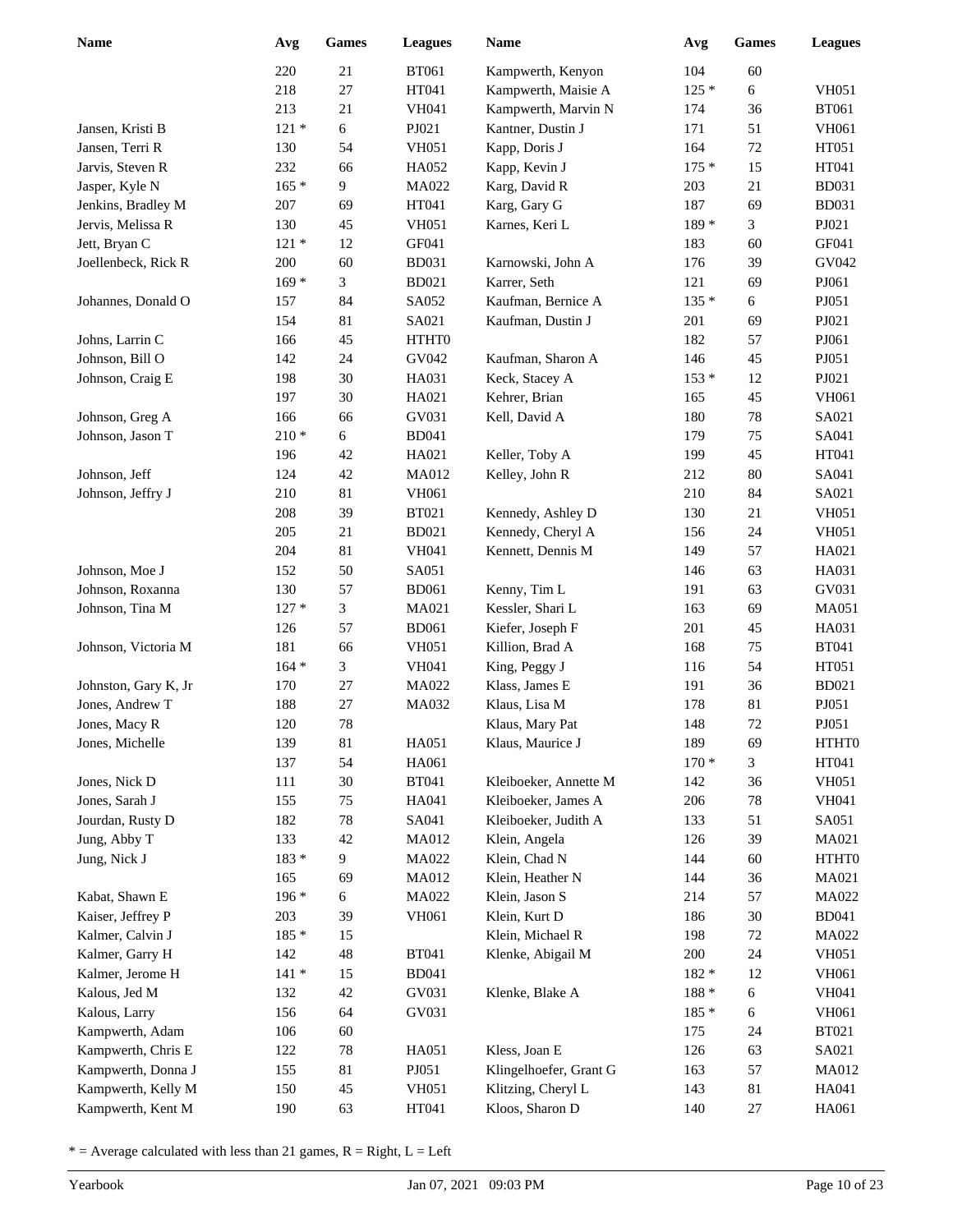| <b>Name</b>          | Avg     | Games  | <b>Leagues</b> | <b>Name</b>            | Avg     | <b>Games</b> | <b>Leagues</b> |
|----------------------|---------|--------|----------------|------------------------|---------|--------------|----------------|
|                      | 220     | 21     | <b>BT061</b>   | Kampwerth, Kenyon      | 104     | 60           |                |
|                      | 218     | 27     | HT041          | Kampwerth, Maisie A    | $125*$  | 6            | <b>VH051</b>   |
|                      | 213     | 21     | <b>VH041</b>   | Kampwerth, Marvin N    | 174     | 36           | <b>BT061</b>   |
| Jansen, Kristi B     | $121 *$ | 6      | PJ021          | Kantner, Dustin J      | 171     | 51           | <b>VH061</b>   |
| Jansen, Terri R      | 130     | 54     | <b>VH051</b>   | Kapp, Doris J          | 164     | $72\,$       | HT051          |
| Jarvis, Steven R     | 232     | 66     | HA052          | Kapp, Kevin J          | $175*$  | 15           | HT041          |
| Jasper, Kyle N       | $165 *$ | 9      | MA022          | Karg, David R          | 203     | 21           | <b>BD031</b>   |
| Jenkins, Bradley M   | 207     | 69     | HT041          | Karg, Gary G           | 187     | 69           | <b>BD031</b>   |
| Jervis, Melissa R    | 130     | 45     | <b>VH051</b>   | Karnes, Keri L         | 189 *   | 3            | PJ021          |
| Jett, Bryan C        | $121 *$ | 12     | GF041          |                        | 183     | 60           | GF041          |
| Joellenbeck, Rick R  | 200     | 60     | <b>BD031</b>   | Karnowski, John A      | 176     | 39           | GV042          |
|                      | $169*$  | 3      | <b>BD021</b>   | Karrer, Seth           | 121     | 69           | PJ061          |
| Johannes, Donald O   | 157     | 84     | SA052          | Kaufman, Bernice A     | $135*$  | 6            | PJ051          |
|                      | 154     | 81     | SA021          | Kaufman, Dustin J      | 201     | 69           | PJ021          |
| Johns, Larrin C      | 166     | 45     | HTHT0          |                        | 182     | 57           | PJ061          |
| Johnson, Bill O      | 142     | 24     | GV042          | Kaufman, Sharon A      | 146     | 45           | PJ051          |
| Johnson, Craig E     | 198     | 30     | HA031          | Keck, Stacey A         | $153*$  | 12           | PJ021          |
|                      | 197     | $30\,$ | HA021          | Kehrer, Brian          | 165     | 45           | <b>VH061</b>   |
| Johnson, Greg A      | 166     | 66     | GV031          | Kell, David A          | 180     | $78\,$       | SA021          |
| Johnson, Jason T     | $210 *$ | 6      | <b>BD041</b>   |                        | 179     | 75           | SA041          |
|                      | 196     | 42     | HA021          | Keller, Toby A         | 199     | 45           | HT041          |
| Johnson, Jeff        | 124     | 42     | <b>MA012</b>   | Kelley, John R         | 212     | $80\,$       | SA041          |
| Johnson, Jeffry J    | 210     | 81     | VH061          |                        | 210     | 84           | SA021          |
|                      | 208     | 39     | <b>BT021</b>   | Kennedy, Ashley D      | 130     | 21           | <b>VH051</b>   |
|                      | 205     | 21     | <b>BD021</b>   | Kennedy, Cheryl A      | 156     | 24           | <b>VH051</b>   |
|                      | 204     | 81     | <b>VH041</b>   | Kennett, Dennis M      | 149     | 57           | HA021          |
| Johnson, Moe J       | 152     | 50     | SA051          |                        | 146     | 63           | HA031          |
| Johnson, Roxanna     | 130     | 57     | <b>BD061</b>   | Kenny, Tim L           | 191     | 63           | GV031          |
| Johnson, Tina M      | $127*$  | 3      | MA021          | Kessler, Shari L       | 163     | 69           | <b>MA051</b>   |
|                      | 126     | 57     | <b>BD061</b>   | Kiefer, Joseph F       | 201     | 45           | HA031          |
| Johnson, Victoria M  | 181     | 66     | <b>VH051</b>   | Killion, Brad A        | 168     | 75           | <b>BT041</b>   |
|                      | $164 *$ | 3      | <b>VH041</b>   | King, Peggy J          | 116     | 54           | HT051          |
| Johnston, Gary K, Jr | 170     | 27     | MA022          | Klass, James E         | 191     | 36           | <b>BD021</b>   |
| Jones, Andrew T      | 188     | 27     | MA032          | Klaus, Lisa M          | 178     | 81           | PJ051          |
| Jones, Macy R        | 120     | 78     |                | Klaus, Mary Pat        | 148     | 72           | PJ051          |
| Jones, Michelle      | 139     | 81     | HA051          | Klaus, Maurice J       | 189     | 69           | HTHT0          |
|                      | 137     | 54     | HA061          |                        | $170*$  | 3            | HT041          |
| Jones, Nick D        | 111     | $30\,$ | <b>BT041</b>   | Kleiboeker, Annette M  | 142     | 36           | <b>VH051</b>   |
| Jones, Sarah J       | 155     | 75     | HA041          | Kleiboeker, James A    | 206     | 78           | VH041          |
| Jourdan, Rusty D     | 182     | $78\,$ | SA041          | Kleiboeker, Judith A   | 133     | 51           | SA051          |
| Jung, Abby T         | 133     | 42     | MA012          | Klein, Angela          | 126     | 39           | MA021          |
| Jung, Nick J         | $183 *$ | 9      | MA022          | Klein, Chad N          | 144     | 60           | HTHT0          |
|                      | 165     | 69     | MA012          | Klein, Heather N       | 144     | 36           | MA021          |
| Kabat, Shawn E       | 196 *   | 6      | MA022          | Klein, Jason S         | 214     | 57           | MA022          |
| Kaiser, Jeffrey P    | 203     | 39     | VH061          | Klein, Kurt D          | 186     | $30\,$       | <b>BD041</b>   |
| Kalmer, Calvin J     | 185 *   | 15     |                | Klein, Michael R       | 198     | 72           | MA022          |
| Kalmer, Garry H      | 142     | 48     | <b>BT041</b>   | Klenke, Abigail M      | 200     | 24           | <b>VH051</b>   |
| Kalmer, Jerome H     | $141 *$ | 15     | <b>BD041</b>   |                        | 182 *   | 12           | VH061          |
| Kalous, Jed M        | 132     | 42     | GV031          | Klenke, Blake A        | $188 *$ | 6            | VH041          |
| Kalous, Larry        | 156     | 64     | GV031          |                        | $185*$  | 6            | <b>VH061</b>   |
| Kampwerth, Adam      | 106     | $60\,$ |                |                        | 175     | 24           | <b>BT021</b>   |
| Kampwerth, Chris E   | 122     | 78     | HA051          | Kless, Joan E          | 126     | 63           | SA021          |
| Kampwerth, Donna J   | 155     | 81     | PJ051          | Klingelhoefer, Grant G | 163     | 57           | <b>MA012</b>   |
| Kampwerth, Kelly M   | 150     | 45     | <b>VH051</b>   | Klitzing, Cheryl L     | 143     | 81           | HA041          |
| Kampwerth, Kent M    | 190     | 63     | HT041          | Kloos, Sharon D        | 140     | 27           | HA061          |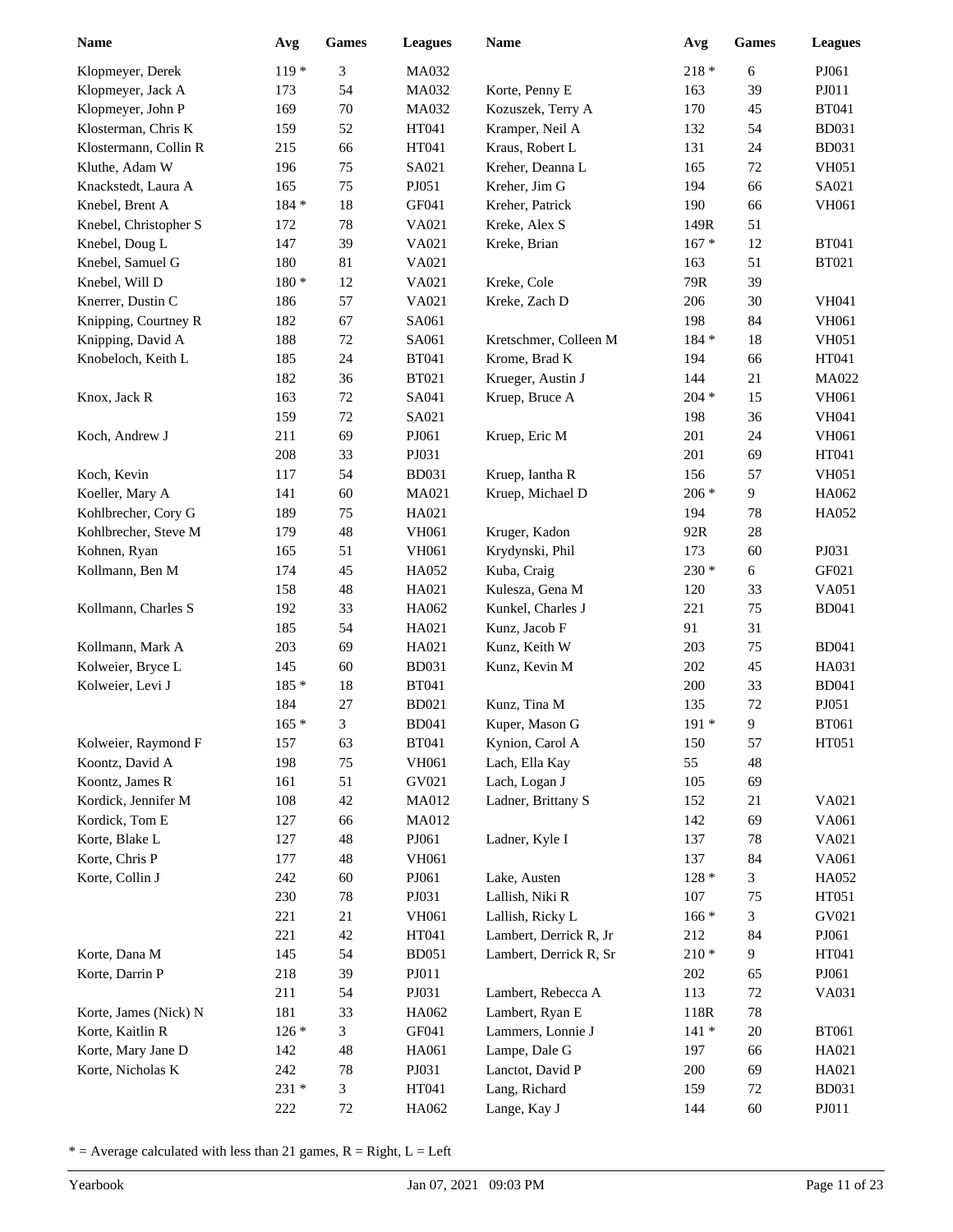| <b>Name</b>                      | Avg        | Games    | <b>Leagues</b> | Name                   | Avg        | <b>Games</b> | <b>Leagues</b> |
|----------------------------------|------------|----------|----------------|------------------------|------------|--------------|----------------|
| Klopmeyer, Derek                 | $119*$     | 3        | MA032          |                        | $218 *$    | 6            | PJ061          |
| Klopmeyer, Jack A                | 173        | 54       | MA032          | Korte, Penny E         | 163        | 39           | PJ011          |
| Klopmeyer, John P                | 169        | $70\,$   | <b>MA032</b>   | Kozuszek, Terry A      | 170        | 45           | <b>BT041</b>   |
| Klosterman, Chris K              | 159        | 52       | HT041          | Kramper, Neil A        | 132        | 54           | <b>BD031</b>   |
| Klostermann, Collin R            | 215        | 66       | HT041          | Kraus, Robert L        | 131        | 24           | <b>BD031</b>   |
| Kluthe, Adam W                   | 196        | 75       | SA021          | Kreher, Deanna L       | 165        | $72\,$       | <b>VH051</b>   |
| Knackstedt, Laura A              | 165        | 75       | PJ051          | Kreher, Jim G          | 194        | 66           | SA021          |
| Knebel, Brent A                  | 184 *      | 18       | GF041          | Kreher, Patrick        | 190        | 66           | <b>VH061</b>   |
| Knebel, Christopher S            | 172        | $78\,$   | VA021          | Kreke, Alex S          | 149R       | 51           |                |
| Knebel, Doug L                   | 147        | 39       | VA021          | Kreke, Brian           | $167 *$    | 12           | <b>BT041</b>   |
| Knebel, Samuel G                 | 180        | 81       | VA021          |                        | 163        | 51           | <b>BT021</b>   |
| Knebel, Will D                   | 180 *      | 12       | VA021          | Kreke, Cole            | 79R        | 39           |                |
| Knerrer, Dustin C                | 186        | 57       | VA021          | Kreke, Zach D          | 206        | 30           | <b>VH041</b>   |
| Knipping, Courtney R             | 182        | 67       | SA061          |                        | 198        | 84           | VH061          |
| Knipping, David A                | 188        | 72       | SA061          | Kretschmer, Colleen M  | 184 *      | 18           | <b>VH051</b>   |
| Knobeloch, Keith L               | 185        | 24       | <b>BT041</b>   | Krome, Brad K          | 194        | 66           | HT041          |
|                                  | 182        | 36       | <b>BT021</b>   | Krueger, Austin J      | 144        | 21           | <b>MA022</b>   |
| Knox, Jack R                     | 163        | $72\,$   | SA041          | Kruep, Bruce A         | $204 *$    | 15           | <b>VH061</b>   |
|                                  | 159        | $72\,$   | SA021          |                        | 198        | 36           | <b>VH041</b>   |
| Koch, Andrew J                   | 211        | 69       | PJ061          | Kruep, Eric M          | 201        | 24           | <b>VH061</b>   |
|                                  | 208        | 33       | PJ031          |                        | 201        | 69           | HT041          |
| Koch, Kevin                      | 117        | 54       | <b>BD031</b>   | Kruep, Iantha R        | 156        | 57           | <b>VH051</b>   |
| Koeller, Mary A                  | 141        | 60       | MA021          | Kruep, Michael D       | $206 *$    | 9            | HA062          |
| Kohlbrecher, Cory G              | 189        | 75       | HA021          |                        | 194        | $78\,$       | HA052          |
| Kohlbrecher, Steve M             | 179        | 48       | <b>VH061</b>   | Kruger, Kadon          | 92R        | $28\,$       |                |
| Kohnen, Ryan                     | 165        | 51       | <b>VH061</b>   | Krydynski, Phil        | 173        | 60           | PJ031          |
| Kollmann, Ben M                  | 174        | 45       | HA052          | Kuba, Craig            | $230 *$    | $\epsilon$   | GF021          |
|                                  | 158        | 48       | HA021          | Kulesza, Gena M        | 120        | 33           | VA051          |
| Kollmann, Charles S              | 192        | 33       | HA062          | Kunkel, Charles J      | 221        | 75           | <b>BD041</b>   |
|                                  | 185        | 54       | HA021          | Kunz, Jacob F          | 91         | 31           |                |
| Kollmann, Mark A                 | 203        | 69       | HA021          | Kunz, Keith W          | 203        | 75           | <b>BD041</b>   |
| Kolweier, Bryce L                | 145        | 60       | <b>BD031</b>   | Kunz, Kevin M          | 202        | 45           | HA031          |
| Kolweier, Levi J                 | 185 *      | 18       | <b>BT041</b>   |                        | 200        | 33           | <b>BD041</b>   |
|                                  | 184        | 27       | <b>BD021</b>   | Kunz, Tina M           | 135        | 72           | PJ051          |
|                                  | $165*$     | 3        | <b>BD041</b>   | Kuper, Mason G         | $191*$     | 9            | <b>BT061</b>   |
| Kolweier, Raymond F              | 157        | 63       | <b>BT041</b>   | Kynion, Carol A        | 150        | 57           | HT051          |
| Koontz, David A                  | 198        | 75       | VH061          | Lach, Ella Kay         | 55         | 48           |                |
| Koontz, James R                  | 161        | 51       | GV021          | Lach, Logan J          | 105        | 69           |                |
| Kordick, Jennifer M              | 108        | 42       | MA012          | Ladner, Brittany S     | 152        | 21           | VA021          |
| Kordick, Tom E<br>Korte, Blake L | 127<br>127 | 66<br>48 | MA012<br>PJ061 |                        | 142<br>137 | 69<br>$78\,$ | VA061<br>VA021 |
| Korte, Chris P                   | 177        | 48       | <b>VH061</b>   | Ladner, Kyle I         | 137        | 84           | VA061          |
| Korte, Collin J                  | 242        | $60\,$   | PJ061          | Lake, Austen           | $128 *$    | 3            | HA052          |
|                                  | 230        | 78       | PJ031          | Lallish, Niki R        | 107        | 75           | HT051          |
|                                  | 221        | 21       | VH061          | Lallish, Ricky L       | $166*$     | 3            | GV021          |
|                                  | 221        | 42       | HT041          | Lambert, Derrick R, Jr | 212        | 84           | PJ061          |
| Korte, Dana M                    | 145        | 54       | <b>BD051</b>   | Lambert, Derrick R, Sr | $210 *$    | 9            | HT041          |
| Korte, Darrin P                  | 218        | 39       | PJ011          |                        | 202        | 65           | PJ061          |
|                                  | 211        | 54       | PJ031          | Lambert, Rebecca A     | 113        | 72           | VA031          |
| Korte, James (Nick) N            | 181        | 33       | HA062          | Lambert, Ryan E        | 118R       | $78\,$       |                |
| Korte, Kaitlin R                 | $126*$     | 3        | GF041          | Lammers, Lonnie J      | $141 *$    | $20\,$       | <b>BT061</b>   |
| Korte, Mary Jane D               | 142        | 48       | HA061          | Lampe, Dale G          | 197        | 66           | HA021          |
| Korte, Nicholas K                | 242        | 78       | PJ031          | Lanctot, David P       | 200        | 69           | HA021          |
|                                  | 231 *      | 3        | HT041          | Lang, Richard          | 159        | 72           | <b>BD031</b>   |
|                                  | 222        | 72       | HA062          | Lange, Kay J           | 144        | $60\,$       | PJ011          |
|                                  |            |          |                |                        |            |              |                |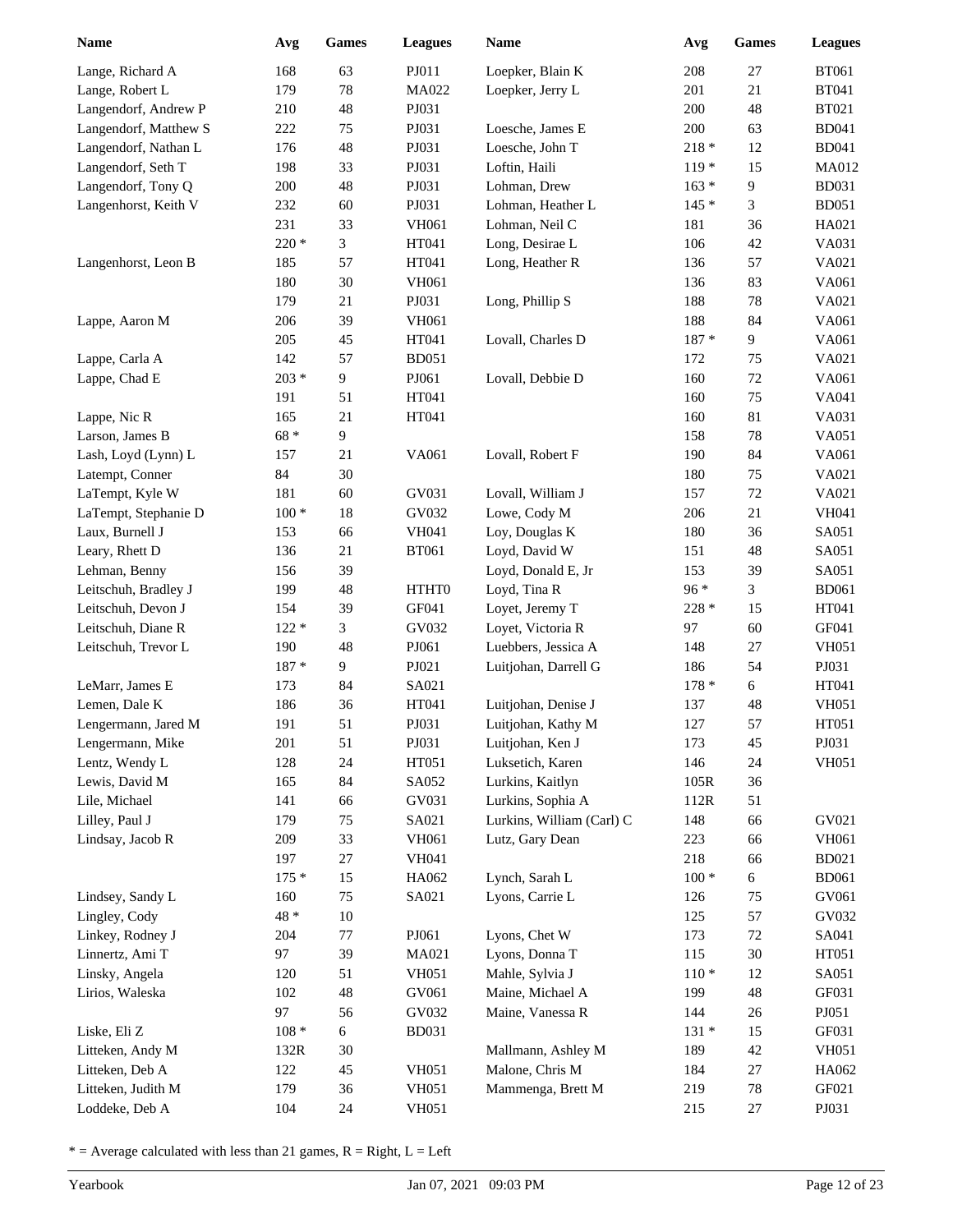| <b>Name</b>           | Avg     | <b>Games</b> | <b>Leagues</b> | <b>Name</b>               | Avg     | <b>Games</b> | <b>Leagues</b> |
|-----------------------|---------|--------------|----------------|---------------------------|---------|--------------|----------------|
| Lange, Richard A      | 168     | 63           | PJ011          | Loepker, Blain K          | 208     | 27           | <b>BT061</b>   |
| Lange, Robert L       | 179     | $78\,$       | MA022          | Loepker, Jerry L          | 201     | 21           | <b>BT041</b>   |
| Langendorf, Andrew P  | 210     | 48           | PJ031          |                           | 200     | 48           | <b>BT021</b>   |
| Langendorf, Matthew S | 222     | 75           | PJ031          | Loesche, James E          | 200     | 63           | <b>BD041</b>   |
| Langendorf, Nathan L  | 176     | 48           | PJ031          | Loesche, John T           | $218 *$ | 12           | <b>BD041</b>   |
| Langendorf, Seth T    | 198     | 33           | PJ031          | Loftin, Haili             | $119*$  | 15           | MA012          |
| Langendorf, Tony Q    | 200     | 48           | PJ031          | Lohman, Drew              | $163 *$ | 9            | <b>BD031</b>   |
| Langenhorst, Keith V  | 232     | 60           | PJ031          | Lohman, Heather L         | $145 *$ | 3            | <b>BD051</b>   |
|                       | 231     | 33           | VH061          | Lohman, Neil C            | 181     | 36           | HA021          |
|                       | 220 *   | 3            | HT041          | Long, Desirae L           | 106     | 42           | VA031          |
| Langenhorst, Leon B   | 185     | 57           | HT041          | Long, Heather R           | 136     | 57           | VA021          |
|                       | 180     | 30           | <b>VH061</b>   |                           | 136     | 83           | VA061          |
|                       | 179     | 21           | PJ031          | Long, Phillip S           | 188     | 78           | VA021          |
| Lappe, Aaron M        | 206     | 39           | <b>VH061</b>   |                           | 188     | 84           | VA061          |
|                       | 205     | 45           | HT041          | Lovall, Charles D         | $187 *$ | 9            | VA061          |
| Lappe, Carla A        | 142     | 57           | <b>BD051</b>   |                           | 172     | 75           | VA021          |
| Lappe, Chad E         | $203 *$ | 9            | PJ061          | Lovall, Debbie D          | 160     | $72\,$       | VA061          |
|                       | 191     | 51           | HT041          |                           | 160     | 75           | VA041          |
| Lappe, Nic R          | 165     | 21           | HT041          |                           | 160     | 81           | VA031          |
| Larson, James B       | 68 *    | 9            |                |                           | 158     | 78           | VA051          |
| Lash, Loyd (Lynn) L   | 157     | 21           | VA061          | Lovall, Robert F          | 190     | 84           | VA061          |
| Latempt, Conner       | 84      | 30           |                |                           | 180     | 75           | VA021          |
| LaTempt, Kyle W       | 181     | 60           | GV031          | Lovall, William J         | 157     | $72\,$       | VA021          |
| LaTempt, Stephanie D  | $100*$  | $18\,$       | GV032          | Lowe, Cody M              | 206     | 21           | <b>VH041</b>   |
| Laux, Burnell J       | 153     | 66           | VH041          | Loy, Douglas K            | 180     | 36           | SA051          |
| Leary, Rhett D        | 136     | 21           | <b>BT061</b>   | Loyd, David W             | 151     | 48           | SA051          |
| Lehman, Benny         | 156     | 39           |                | Loyd, Donald E, Jr        | 153     | 39           | SA051          |
| Leitschuh, Bradley J  | 199     | 48           | HTHT0          | Loyd, Tina R              | 96 *    | 3            | <b>BD061</b>   |
| Leitschuh, Devon J    | 154     | 39           | GF041          | Loyet, Jeremy T           | 228 *   | 15           | HT041          |
| Leitschuh, Diane R    | $122 *$ | 3            | GV032          | Loyet, Victoria R         | 97      | 60           | GF041          |
| Leitschuh, Trevor L   | 190     | 48           | PJ061          | Luebbers, Jessica A       | 148     | 27           | <b>VH051</b>   |
|                       | 187 *   | 9            | ${\bf P}J021$  | Luitjohan, Darrell G      | 186     | 54           | PJ031          |
| LeMarr, James E       | 173     | 84           | SA021          |                           | $178 *$ | 6            | HT041          |
| Lemen, Dale K         | 186     | 36           | HT041          | Luitjohan, Denise J       | 137     | 48           | <b>VH051</b>   |
| Lengermann, Jared M   | 191     | 51           | PJ031          | Luitjohan, Kathy M        | 127     | 57           | HT051          |
| Lengermann, Mike      | 201     | 51           | PJ031          | Luitjohan, Ken J          | 173     | 45           | PJ031          |
| Lentz, Wendy L        | 128     | 24           | HT051          | Luksetich, Karen          | 146     | 24           | <b>VH051</b>   |
| Lewis, David M        | 165     | 84           | SA052          | Lurkins, Kaitlyn          | 105R    | 36           |                |
| Lile, Michael         | 141     | 66           | GV031          | Lurkins, Sophia A         | 112R    | 51           |                |
| Lilley, Paul J        | 179     | 75           | SA021          | Lurkins, William (Carl) C | 148     | 66           | GV021          |
| Lindsay, Jacob R      | 209     | 33           | VH061          | Lutz, Gary Dean           | 223     | 66           | VH061          |
|                       | 197     | 27           | VH041          |                           | 218     | 66           | <b>BD021</b>   |
|                       | $175*$  | 15           | HA062          | Lynch, Sarah L            | $100 *$ | 6            | <b>BD061</b>   |
| Lindsey, Sandy L      | 160     | 75           | SA021          | Lyons, Carrie L           | 126     | 75           | GV061          |
| Lingley, Cody         | 48 *    | $10\,$       |                |                           | 125     | 57           | GV032          |
| Linkey, Rodney J      | 204     | $77 \,$      | PJ061          | Lyons, Chet W             | 173     | 72           | SA041          |
| Linnertz, Ami T       | 97      | 39           | MA021          | Lyons, Donna T            | 115     | $30\,$       | HT051          |
| Linsky, Angela        | 120     | 51           | <b>VH051</b>   | Mahle, Sylvia J           | $110*$  | 12           | SA051          |
| Lirios, Waleska       | 102     | 48           | GV061          | Maine, Michael A          | 199     | 48           | GF031          |
|                       | 97      | 56           | GV032          | Maine, Vanessa R          | 144     | 26           | PJ051          |
| Liske, Eli Z          | $108 *$ | 6            | <b>BD031</b>   |                           | $131 *$ | 15           | GF031          |
| Litteken, Andy M      | 132R    | $30\,$       |                | Mallmann, Ashley M        | 189     | 42           | <b>VH051</b>   |
| Litteken, Deb A       | 122     | 45           | <b>VH051</b>   | Malone, Chris M           | 184     | 27           | HA062          |
| Litteken, Judith M    | 179     | 36           | <b>VH051</b>   | Mammenga, Brett M         | 219     | 78           | GF021          |
| Loddeke, Deb A        | 104     | 24           | <b>VH051</b>   |                           | 215     | 27           | PJ031          |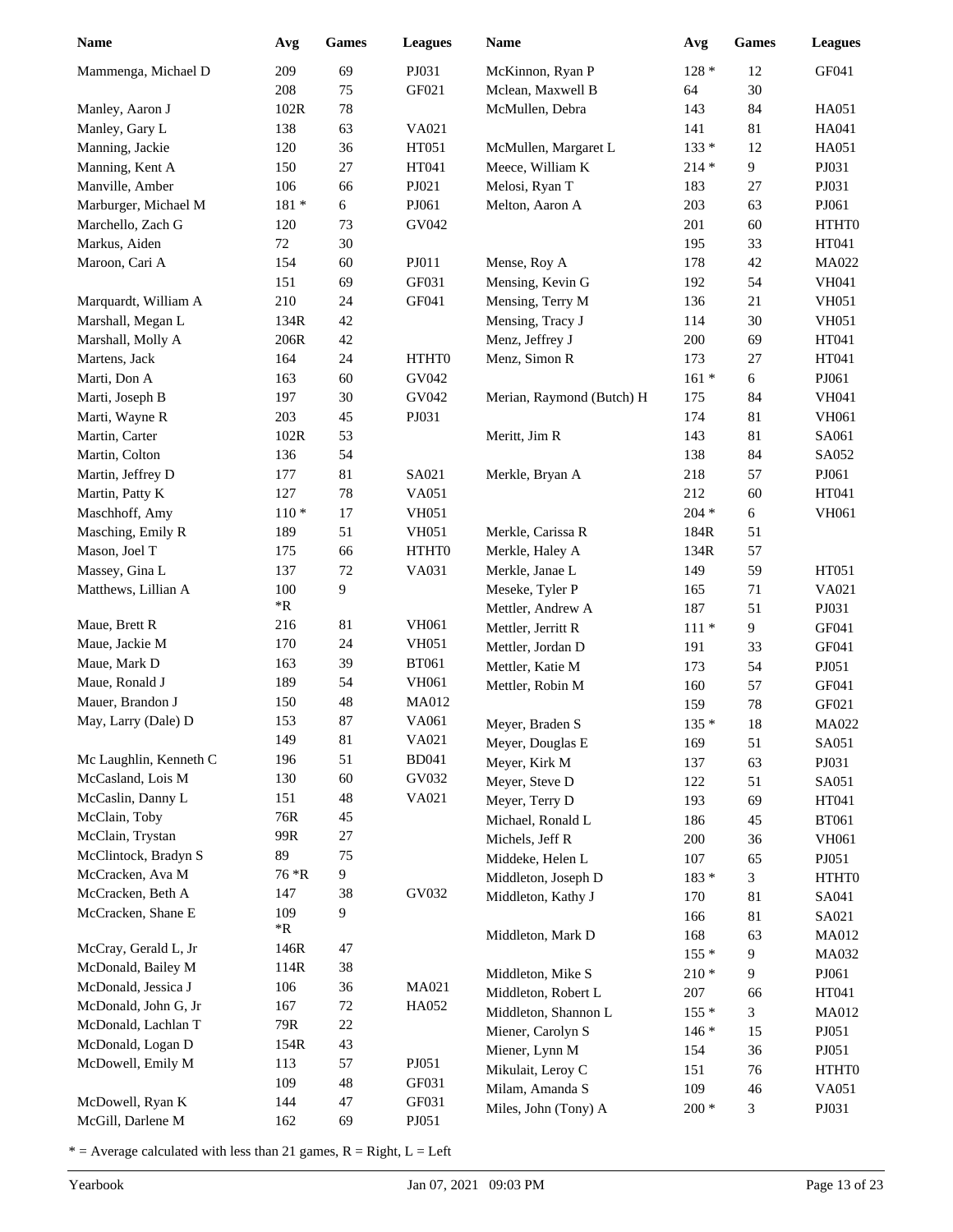| <b>Name</b>            | Avg        | <b>Games</b> | <b>Leagues</b> | <b>Name</b>               | Avg     | Games | <b>Leagues</b> |
|------------------------|------------|--------------|----------------|---------------------------|---------|-------|----------------|
| Mammenga, Michael D    | 209        | 69           | PJ031          | McKinnon, Ryan P          | $128 *$ | 12    | GF041          |
|                        | 208        | 75           | GF021          | Mclean, Maxwell B         | 64      | 30    |                |
| Manley, Aaron J        | 102R       | 78           |                | McMullen, Debra           | 143     | 84    | HA051          |
| Manley, Gary L         | 138        | 63           | VA021          |                           | 141     | 81    | HA041          |
| Manning, Jackie        | 120        | 36           | HT051          | McMullen, Margaret L      | $133*$  | 12    | HA051          |
| Manning, Kent A        | 150        | 27           | HT041          | Meece, William K          | $214 *$ | 9     | PJ031          |
| Manville, Amber        | 106        | 66           | PJ021          | Melosi, Ryan T            | 183     | 27    | PJ031          |
| Marburger, Michael M   | $181 *$    | 6            | PJ061          | Melton, Aaron A           | 203     | 63    | PJ061          |
| Marchello, Zach G      | 120        | 73           | GV042          |                           | 201     | 60    | HTHT0          |
| Markus, Aiden          | 72         | 30           |                |                           | 195     | 33    | HT041          |
| Maroon, Cari A         | 154        | 60           | PJ011          | Mense, Roy A              | 178     | 42    | MA022          |
|                        | 151        | 69           | GF031          | Mensing, Kevin G          | 192     | 54    | <b>VH041</b>   |
| Marquardt, William A   | 210        | 24           | GF041          | Mensing, Terry M          | 136     | 21    | <b>VH051</b>   |
| Marshall, Megan L      | 134R       | 42           |                | Mensing, Tracy J          | 114     | 30    | <b>VH051</b>   |
| Marshall, Molly A      | 206R       | 42           |                | Menz, Jeffrey J           | 200     | 69    | HT041          |
| Martens, Jack          | 164        | 24           | <b>HTHTO</b>   | Menz, Simon R             | 173     | 27    | HT041          |
| Marti, Don A           | 163        | 60           | GV042          |                           | $161 *$ | 6     | PJ061          |
| Marti, Joseph B        | 197        | 30           | GV042          | Merian, Raymond (Butch) H | 175     | 84    | <b>VH041</b>   |
| Marti, Wayne R         | 203        | 45           | PJ031          |                           | 174     | 81    | <b>VH061</b>   |
| Martin, Carter         | 102R       | 53           |                | Meritt, Jim R             | 143     | 81    | SA061          |
| Martin, Colton         | 136        | 54           |                |                           | 138     | 84    | SA052          |
| Martin, Jeffrey D      | 177        | 81           | SA021          | Merkle, Bryan A           | 218     | 57    | PJ061          |
| Martin, Patty K        | 127        | 78           | VA051          |                           | 212     | 60    | HT041          |
| Maschhoff, Amy         | $110 *$    | 17           | <b>VH051</b>   |                           | $204 *$ | 6     | <b>VH061</b>   |
| Masching, Emily R      | 189        | 51           | <b>VH051</b>   | Merkle, Carissa R         | 184R    | 51    |                |
| Mason, Joel T          | 175        | 66           | HTHT0          | Merkle, Haley A           | 134R    | 57    |                |
| Massey, Gina L         | 137        | 72           | VA031          | Merkle, Janae L           | 149     | 59    | HT051          |
| Matthews, Lillian A    | 100        | 9            |                | Meseke, Tyler P           | 165     | 71    | VA021          |
|                        | *R         |              |                | Mettler, Andrew A         | 187     | 51    | PJ031          |
| Maue, Brett R          | 216        | 81           | <b>VH061</b>   | Mettler, Jerritt R        | $111*$  | 9     | GF041          |
| Maue, Jackie M         | 170        | 24           | <b>VH051</b>   | Mettler, Jordan D         | 191     | 33    | GF041          |
| Maue, Mark D           | 163        | 39           | <b>BT061</b>   | Mettler, Katie M          | 173     | 54    | PJ051          |
| Maue, Ronald J         | 189        | 54           | <b>VH061</b>   | Mettler, Robin M          | 160     | 57    | GF041          |
| Mauer, Brandon J       | 150        | 48           | MA012          |                           | 159     | 78    | GF021          |
| May, Larry (Dale) D    | 153        | 87           | VA061          | Meyer, Braden S           | $135*$  | 18    | <b>MA022</b>   |
|                        | 149        | 81           | VA021          | Meyer, Douglas E          | 169     | 51    | SA051          |
| Mc Laughlin, Kenneth C | 196        | 51           | <b>BD041</b>   | Meyer, Kirk M             | 137     | 63    | PJ031          |
| McCasland, Lois M      | 130        | $60\,$       | GV032          | Meyer, Steve D            | 122     | 51    | SA051          |
| McCaslin, Danny L      | 151        | 48           | VA021          | Meyer, Terry D            | 193     | 69    | HT041          |
| McClain, Toby          | 76R        | 45           |                | Michael, Ronald L         | 186     | 45    | <b>BT061</b>   |
| McClain, Trystan       | 99R        | 27           |                | Michels, Jeff R           | 200     | 36    | <b>VH061</b>   |
| McClintock, Bradyn S   | 89         | 75           |                | Middeke, Helen L          | 107     | 65    | PJ051          |
| McCracken, Ava M       | 76 *R      | 9            |                | Middleton, Joseph D       | $183*$  | 3     | HTHT0          |
| McCracken, Beth A      | 147        | 38           | GV032          | Middleton, Kathy J        | 170     | 81    | SA041          |
| McCracken, Shane E     | 109        | 9            |                |                           | 166     | 81    | SA021          |
|                        | $*{\bf R}$ |              |                | Middleton, Mark D         | 168     | 63    | <b>MA012</b>   |
| McCray, Gerald L, Jr   | 146R       | 47           |                |                           | $155*$  | 9     | MA032          |
| McDonald, Bailey M     | 114R       | 38           |                | Middleton, Mike S         | $210 *$ | 9     | PJ061          |
| McDonald, Jessica J    | 106        | 36           | MA021          | Middleton, Robert L       | 207     | 66    | HT041          |
| McDonald, John G, Jr   | 167        | 72           | HA052          | Middleton, Shannon L      | $155*$  | 3     | <b>MA012</b>   |
| McDonald, Lachlan T    | 79R        | 22           |                | Miener, Carolyn S         | $146*$  | 15    | PJ051          |
| McDonald, Logan D      | 154R       | 43           |                | Miener, Lynn M            | 154     | 36    | PJ051          |
| McDowell, Emily M      | 113        | 57           | PJ051          | Mikulait, Leroy C         | 151     | 76    | HTHT0          |
|                        | 109        | 48           | GF031          | Milam, Amanda S           | 109     | 46    | VA051          |
| McDowell, Ryan K       | 144        | 47           | GF031          | Miles, John (Tony) A      | $200 *$ | 3     | PJ031          |
| McGill, Darlene M      | 162        | 69           | PJ051          |                           |         |       |                |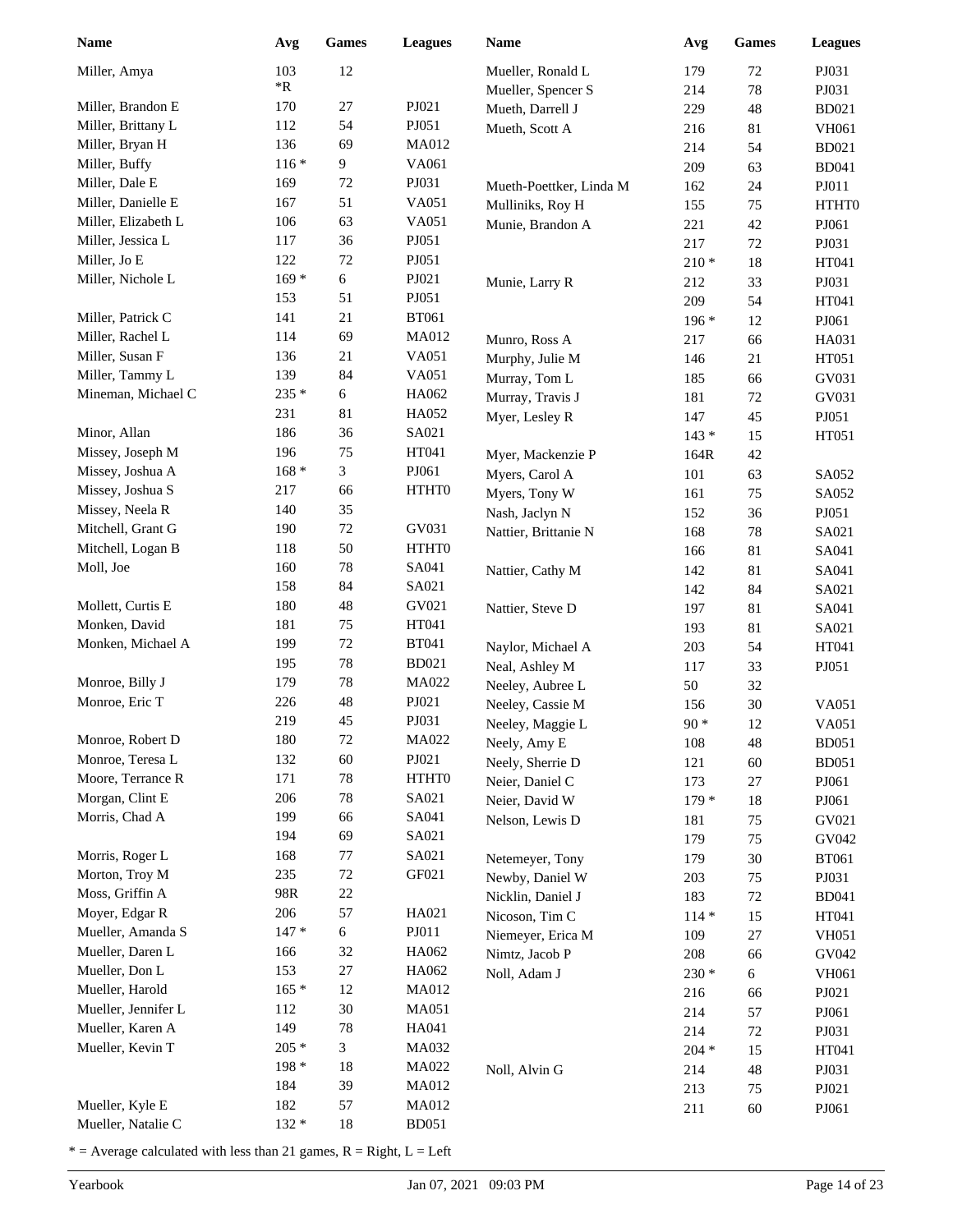| <b>Name</b>         | Avg     | <b>Games</b> | <b>Leagues</b> | <b>Name</b>             | Avg     | <b>Games</b> | <b>Leagues</b> |
|---------------------|---------|--------------|----------------|-------------------------|---------|--------------|----------------|
| Miller, Amya        | 103     | 12           |                | Mueller, Ronald L       | 179     | 72           | PJ031          |
|                     | *R      |              |                | Mueller, Spencer S      | 214     | $78\,$       | PJ031          |
| Miller, Brandon E   | 170     | 27           | PJ021          | Mueth, Darrell J        | 229     | 48           | <b>BD021</b>   |
| Miller, Brittany L  | 112     | 54           | PJ051          | Mueth, Scott A          | 216     | 81           | <b>VH061</b>   |
| Miller, Bryan H     | 136     | 69           | <b>MA012</b>   |                         | 214     | 54           | <b>BD021</b>   |
| Miller, Buffy       | $116*$  | 9            | VA061          |                         | 209     | 63           | <b>BD041</b>   |
| Miller, Dale E      | 169     | 72           | PJ031          | Mueth-Poettker, Linda M | 162     | 24           | PJ011          |
| Miller, Danielle E  | 167     | 51           | VA051          | Mulliniks, Roy H        | 155     | 75           | HTHT0          |
| Miller, Elizabeth L | 106     | 63           | VA051          | Munie, Brandon A        | 221     | 42           | PJ061          |
| Miller, Jessica L   | 117     | 36           | PJ051          |                         | 217     | 72           | PJ031          |
| Miller, Jo E        | 122     | $72\,$       | PJ051          |                         | $210*$  | $18\,$       | HT041          |
| Miller, Nichole L   | $169*$  | 6            | PJ021          | Munie, Larry R          | 212     | 33           | PJ031          |
|                     | 153     | 51           | PJ051          |                         | 209     | 54           | HT041          |
| Miller, Patrick C   | 141     | 21           | <b>BT061</b>   |                         | $196*$  | 12           | PJ061          |
| Miller, Rachel L    | 114     | 69           | <b>MA012</b>   | Munro, Ross A           | 217     | 66           | HA031          |
| Miller, Susan F     | 136     | 21           | VA051          | Murphy, Julie M         | 146     | 21           | HT051          |
| Miller, Tammy L     | 139     | 84           | VA051          | Murray, Tom L           | 185     | 66           | GV031          |
| Mineman, Michael C  | 235 *   | 6            | HA062          | Murray, Travis J        | 181     | 72           | GV031          |
|                     | 231     | 81           | HA052          | Myer, Lesley R          | 147     | 45           | PJ051          |
| Minor, Allan        | 186     | 36           | SA021          |                         | $143*$  | 15           | HT051          |
| Missey, Joseph M    | 196     | 75           | HT041          | Myer, Mackenzie P       | 164R    | 42           |                |
| Missey, Joshua A    | $168 *$ | 3            | PJ061          | Myers, Carol A          | 101     | 63           | SA052          |
| Missey, Joshua S    | 217     | 66           | <b>HTHTO</b>   | Myers, Tony W           | 161     | 75           | SA052          |
| Missey, Neela R     | 140     | 35           |                | Nash, Jaclyn N          | 152     | 36           | PJ051          |
| Mitchell, Grant G   | 190     | $72\,$       | GV031          | Nattier, Brittanie N    | 168     | $78\,$       | SA021          |
| Mitchell, Logan B   | 118     | 50           | HTHT0          |                         | 166     | 81           | SA041          |
| Moll, Joe           | 160     | 78           | SA041          | Nattier, Cathy M        | 142     | 81           | SA041          |
|                     | 158     | 84           | SA021          |                         | 142     | 84           | SA021          |
| Mollett, Curtis E   | 180     | 48           | GV021          | Nattier, Steve D        | 197     | 81           | SA041          |
| Monken, David       | 181     | 75           | HT041          |                         | 193     | 81           | SA021          |
| Monken, Michael A   | 199     | $72\,$       | <b>BT041</b>   | Naylor, Michael A       | 203     | 54           | HT041          |
|                     | 195     | $78\,$       | <b>BD021</b>   | Neal, Ashley M          | 117     | 33           | PJ051          |
| Monroe, Billy J     | 179     | $78\,$       | MA022          | Neeley, Aubree L        | 50      | 32           |                |
| Monroe, Eric T      | 226     | 48           | PJ021          | Neeley, Cassie M        | 156     | 30           | VA051          |
|                     | 219     | 45           | PJ031          | Neeley, Maggie L        | $90*$   | 12           | VA051          |
| Monroe, Robert D    | 180     | $72\,$       | MA022          | Neely, Amy E            | 108     | 48           | <b>BD051</b>   |
| Monroe, Teresa L    | 132     | 60           | PJ021          | Neely, Sherrie D        | 121     | 60           | <b>BD051</b>   |
| Moore, Terrance R   | 171     | 78           | HTHT0          | Neier, Daniel C         | 173     | 27           | PJ061          |
| Morgan, Clint E     | 206     | 78           | SA021          | Neier, David W          | $179*$  | $18\,$       | PJ061          |
| Morris, Chad A      | 199     | 66           | SA041          | Nelson, Lewis D         | 181     | 75           | GV021          |
|                     | 194     | 69           | SA021          |                         | 179     | 75           | GV042          |
| Morris, Roger L     | 168     | $77 \,$      | SA021          | Netemeyer, Tony         | 179     | 30           | <b>BT061</b>   |
| Morton, Troy M      | 235     | $72\,$       | GF021          | Newby, Daniel W         | 203     | 75           | PJ031          |
| Moss, Griffin A     | 98R     | $22\,$       |                | Nicklin, Daniel J       | 183     | 72           | <b>BD041</b>   |
| Moyer, Edgar R      | 206     | 57           | HA021          | Nicoson, Tim C          | $114 *$ | 15           | HT041          |
| Mueller, Amanda S   | $147 *$ | $\sqrt{6}$   | PJO11          | Niemeyer, Erica M       | 109     | $27\,$       | <b>VH051</b>   |
| Mueller, Daren L    | 166     | 32           | HA062          | Nimtz, Jacob P          | 208     | 66           | GV042          |
| Mueller, Don L      | 153     | 27           | HA062          | Noll, Adam J            | $230 *$ | 6            | VH061          |
| Mueller, Harold     | $165*$  | 12           | MA012          |                         | 216     | 66           | PJ021          |
| Mueller, Jennifer L | 112     | $30\,$       | MA051          |                         | 214     | 57           | PJ061          |
| Mueller, Karen A    | 149     | $78\,$       | HA041          |                         | 214     | 72           | PJ031          |
| Mueller, Kevin T    | $205 *$ | 3            | MA032          |                         | $204 *$ | 15           | HT041          |
|                     | $198*$  | 18           | MA022          | Noll, Alvin G           | 214     | 48           | PJ031          |
|                     | 184     | 39           | MA012          |                         | 213     | 75           | PJ021          |
| Mueller, Kyle E     | 182     | 57           | MA012          |                         | 211     | $60\,$       | PJ061          |
| Mueller, Natalie C  | 132 *   | 18           | <b>BD051</b>   |                         |         |              |                |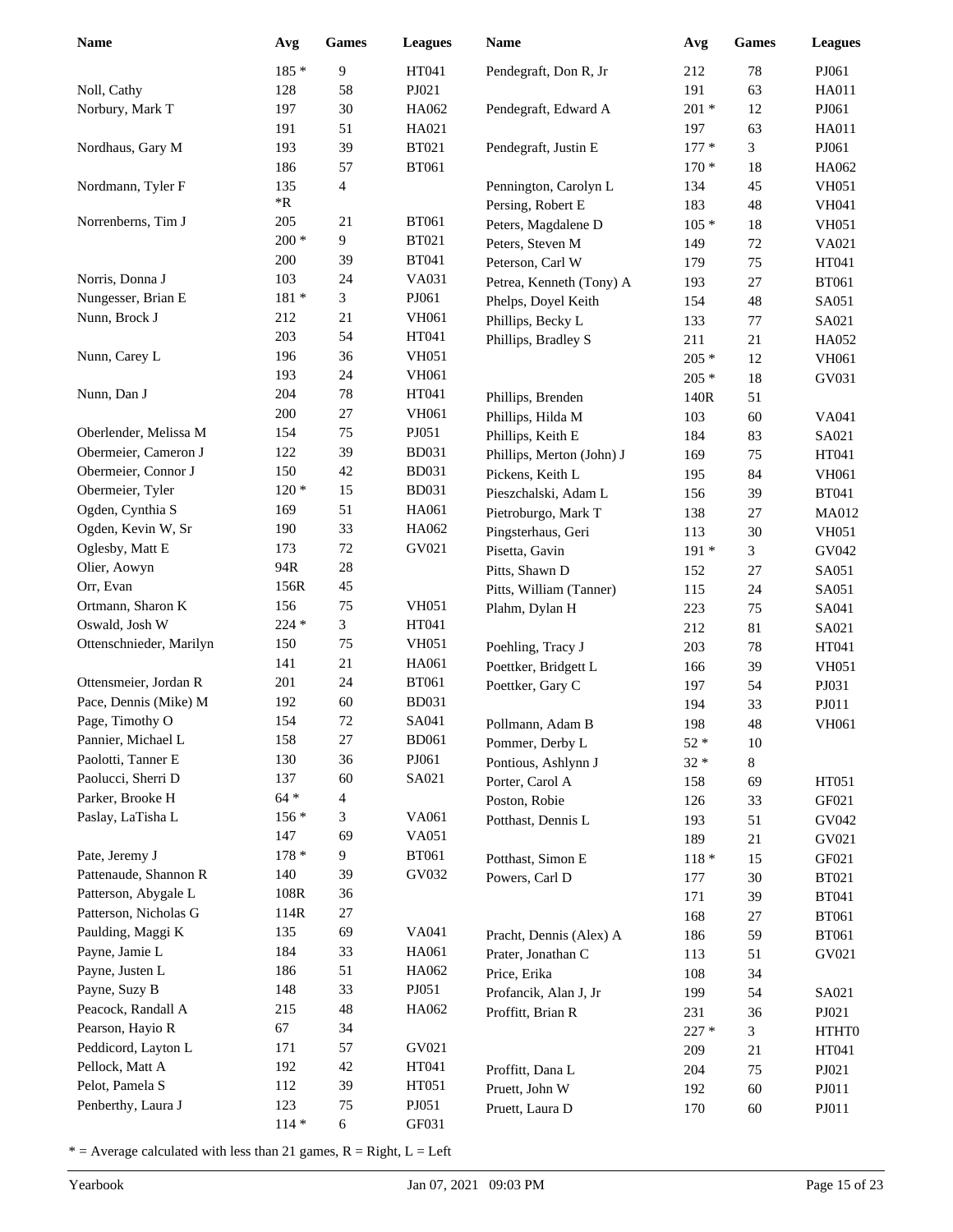| <b>Name</b>             | Avg        | <b>Games</b>   | <b>Leagues</b> | <b>Name</b>               | Avg     | <b>Games</b> | <b>Leagues</b> |
|-------------------------|------------|----------------|----------------|---------------------------|---------|--------------|----------------|
|                         | 185 *      | 9              | HT041          | Pendegraft, Don R, Jr     | 212     | $78\,$       | PJ061          |
| Noll, Cathy             | 128        | 58             | PJ021          |                           | 191     | 63           | <b>HA011</b>   |
| Norbury, Mark T         | 197        | 30             | HA062          | Pendegraft, Edward A      | $201 *$ | 12           | PJ061          |
|                         | 191        | 51             | HA021          |                           | 197     | 63           | <b>HA011</b>   |
| Nordhaus, Gary M        | 193        | 39             | <b>BT021</b>   | Pendegraft, Justin E      | $177*$  | 3            | PJ061          |
|                         | 186        | 57             | <b>BT061</b>   |                           | $170*$  | $18\,$       | HA062          |
| Nordmann, Tyler F       | 135        | $\overline{4}$ |                | Pennington, Carolyn L     | 134     | 45           | <b>VH051</b>   |
|                         | $*{\bf R}$ |                |                | Persing, Robert E         | 183     | 48           | <b>VH041</b>   |
| Norrenberns, Tim J      | 205        | 21             | <b>BT061</b>   | Peters, Magdalene D       | $105*$  | 18           | <b>VH051</b>   |
|                         | $200 *$    | 9              | <b>BT021</b>   | Peters, Steven M          | 149     | $72\,$       | VA021          |
|                         | 200        | 39             | <b>BT041</b>   | Peterson, Carl W          | 179     | 75           | HT041          |
| Norris, Donna J         | 103        | 24             | VA031          | Petrea, Kenneth (Tony) A  | 193     | 27           | <b>BT061</b>   |
| Nungesser, Brian E      | $181 *$    | 3              | PJ061          | Phelps, Doyel Keith       | 154     | 48           | SA051          |
| Nunn, Brock J           | 212        | 21             | <b>VH061</b>   | Phillips, Becky L         | 133     | 77           | SA021          |
|                         | 203        | 54             | HT041          | Phillips, Bradley S       | 211     | 21           | HA052          |
| Nunn, Carey L           | 196        | 36             | <b>VH051</b>   |                           | $205 *$ | 12           | <b>VH061</b>   |
|                         | 193        | 24             | <b>VH061</b>   |                           | $205 *$ | $18\,$       | GV031          |
| Nunn, Dan J             | 204        | 78             | HT041          | Phillips, Brenden         | 140R    | 51           |                |
|                         | 200        | $27\,$         | <b>VH061</b>   | Phillips, Hilda M         | 103     | 60           | VA041          |
| Oberlender, Melissa M   | 154        | 75             | PJ051          | Phillips, Keith E         | 184     | 83           | SA021          |
| Obermeier, Cameron J    | 122        | 39             | <b>BD031</b>   | Phillips, Merton (John) J | 169     | 75           | HT041          |
| Obermeier, Connor J     | 150        | 42             | <b>BD031</b>   | Pickens, Keith L          | 195     | 84           | <b>VH061</b>   |
| Obermeier, Tyler        | $120*$     | 15             | <b>BD031</b>   | Pieszchalski, Adam L      | 156     | 39           | <b>BT041</b>   |
| Ogden, Cynthia S        | 169        | 51             | HA061          | Pietroburgo, Mark T       | 138     | 27           | <b>MA012</b>   |
| Ogden, Kevin W, Sr      | 190        | 33             | HA062          | Pingsterhaus, Geri        | 113     | 30           | <b>VH051</b>   |
| Oglesby, Matt E         | 173        | $72\,$         | GV021          | Pisetta, Gavin            | $191*$  | 3            | GV042          |
| Olier, Aowyn            | 94R        | $28\,$         |                | Pitts, Shawn D            | 152     | 27           | SA051          |
| Orr, Evan               | 156R       | 45             |                | Pitts, William (Tanner)   | 115     | 24           | SA051          |
| Ortmann, Sharon K       | 156        | 75             | <b>VH051</b>   | Plahm, Dylan H            | 223     | 75           | SA041          |
| Oswald, Josh W          | 224 *      | $\overline{3}$ | HT041          |                           | 212     | 81           | SA021          |
| Ottenschnieder, Marilyn | 150        | 75             | <b>VH051</b>   | Poehling, Tracy J         | 203     | 78           | HT041          |
|                         | 141        | 21             | HA061          | Poettker, Bridgett L      | 166     | 39           | <b>VH051</b>   |
| Ottensmeier, Jordan R   | 201        | 24             | <b>BT061</b>   | Poettker, Gary C          | 197     | 54           | PJ031          |
| Pace, Dennis (Mike) M   | 192        | 60             | <b>BD031</b>   |                           | 194     | 33           | PJ011          |
| Page, Timothy O         | 154        | 72             | SA041          | Pollmann, Adam B          | 198     | 48           | <b>VH061</b>   |
| Pannier, Michael L      | 158        | $27\,$         | <b>BD061</b>   | Pommer, Derby L           | $52 *$  | $10\,$       |                |
| Paolotti, Tanner E      | 130        | 36             | PJ061          | Pontious, Ashlynn J       | $32 *$  | 8            |                |
| Paolucci, Sherri D      | 137        | 60             | SA021          | Porter, Carol A           | 158     | 69           | HT051          |
| Parker, Brooke H        | $64 *$     | 4              |                | Poston, Robie             | 126     | 33           | GF021          |
| Paslay, LaTisha L       | $156*$     | 3              | VA061          | Potthast, Dennis L        | 193     | 51           | GV042          |
|                         | 147        | 69             | VA051          |                           | 189     | 21           | GV021          |
| Pate, Jeremy J          | $178 *$    | 9              | <b>BT061</b>   | Potthast, Simon E         | $118 *$ | 15           | GF021          |
| Pattenaude, Shannon R   | 140        | 39             | GV032          | Powers, Carl D            | 177     | $30\,$       | <b>BT021</b>   |
| Patterson, Abygale L    | 108R       | 36             |                |                           | 171     | 39           | <b>BT041</b>   |
| Patterson, Nicholas G   | 114R       | 27             |                |                           | 168     | $27\,$       | <b>BT061</b>   |
| Paulding, Maggi K       | 135        | 69             | VA041          | Pracht, Dennis (Alex) A   | 186     | 59           | <b>BT061</b>   |
| Payne, Jamie L          | 184        | 33             | HA061          | Prater, Jonathan C        | 113     | 51           | GV021          |
| Payne, Justen L         | 186        | 51             | HA062          | Price, Erika              | 108     | 34           |                |
| Payne, Suzy B           | 148        | 33             | PJ051          | Profancik, Alan J, Jr     | 199     | 54           | SA021          |
| Peacock, Randall A      | 215        | 48             | HA062          | Proffitt, Brian R         | 231     | 36           | PJ021          |
| Pearson, Hayio R        | 67         | 34             |                |                           | $227 *$ | 3            | HTHT0          |
| Peddicord, Layton L     | 171        | 57             | GV021          |                           | 209     | 21           | HT041          |
| Pellock, Matt A         | 192        | 42             | HT041          | Proffitt, Dana L          | 204     | 75           | PJ021          |
| Pelot, Pamela S         | 112        | 39             | HT051          | Pruett, John W            | 192     | $60\,$       | PJ011          |
| Penberthy, Laura J      | 123        | 75             | PJ051          | Pruett, Laura D           | 170     | $60\,$       | PJ011          |
|                         | $114*$     | 6              | GF031          |                           |         |              |                |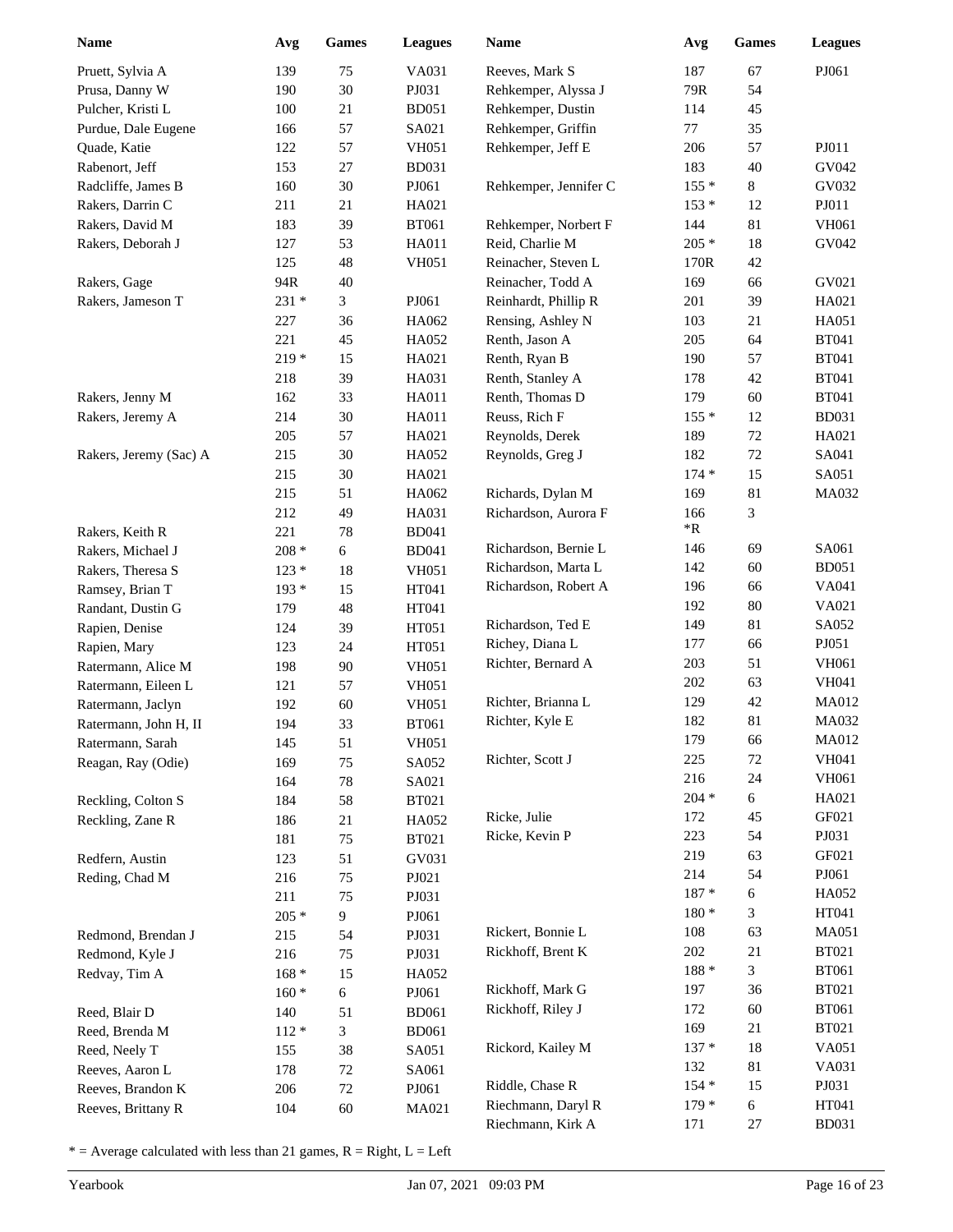| <b>Name</b>                            | Avg        | Games    | <b>Leagues</b>        | Name                                 | Avg        | <b>Games</b> | <b>Leagues</b> |
|----------------------------------------|------------|----------|-----------------------|--------------------------------------|------------|--------------|----------------|
| Pruett, Sylvia A                       | 139        | 75       | VA031                 | Reeves, Mark S                       | 187        | 67           | PJ061          |
| Prusa, Danny W                         | 190        | 30       | PJ031                 | Rehkemper, Alyssa J                  | 79R        | 54           |                |
| Pulcher, Kristi L                      | 100        | 21       | <b>BD051</b>          | Rehkemper, Dustin                    | 114        | 45           |                |
| Purdue, Dale Eugene                    | 166        | 57       | SA021                 | Rehkemper, Griffin                   | 77         | 35           |                |
| Quade, Katie                           | 122        | 57       | <b>VH051</b>          | Rehkemper, Jeff E                    | 206        | 57           | PJ011          |
| Rabenort, Jeff                         | 153        | 27       | <b>BD031</b>          |                                      | 183        | 40           | GV042          |
| Radcliffe, James B                     | 160        | 30       | PJ061                 | Rehkemper, Jennifer C                | $155*$     | $8\,$        | GV032          |
| Rakers, Darrin C                       | 211        | 21       | HA021                 |                                      | $153*$     | 12           | PJ011          |
| Rakers, David M                        | 183        | 39       | <b>BT061</b>          | Rehkemper, Norbert F                 | 144        | 81           | VH061          |
| Rakers, Deborah J                      | 127        | 53       | HA011                 | Reid, Charlie M                      | $205 *$    | 18           | GV042          |
|                                        | 125        | 48       | <b>VH051</b>          | Reinacher, Steven L                  | 170R       | 42           |                |
| Rakers, Gage                           | 94R        | 40       |                       | Reinacher, Todd A                    | 169        | 66           | GV021          |
| Rakers, Jameson T                      | 231 *      | 3        | PJ061                 | Reinhardt, Phillip R                 | 201        | 39           | HA021          |
|                                        | 227        | 36       | HA062                 | Rensing, Ashley N                    | 103        | $21\,$       | HA051          |
|                                        | 221        | 45       | HA052                 | Renth, Jason A                       | 205        | 64           | <b>BT041</b>   |
|                                        | $219*$     | 15       | HA021                 | Renth, Ryan B                        | 190        | 57           | <b>BT041</b>   |
|                                        | 218        | 39       | HA031                 | Renth, Stanley A                     | 178        | 42           | <b>BT041</b>   |
| Rakers, Jenny M                        | 162        | 33       | HA011                 | Renth, Thomas D                      | 179        | 60           | <b>BT041</b>   |
| Rakers, Jeremy A                       | 214        | 30       | <b>HA011</b>          | Reuss, Rich F                        | $155*$     | 12           | <b>BD031</b>   |
|                                        | 205        | 57       | HA021                 | Reynolds, Derek                      | 189        | 72           | HA021          |
| Rakers, Jeremy (Sac) A                 | 215        | $30\,$   | HA052                 | Reynolds, Greg J                     | 182        | $72\,$       | SA041          |
|                                        | 215        | 30       | HA021                 |                                      | $174*$     | 15           | SA051          |
|                                        | 215        | 51       | HA062                 | Richards, Dylan M                    | 169        | 81           | MA032          |
|                                        | 212        | 49       | HA031                 | Richardson, Aurora F                 | 166        | 3            |                |
| Rakers, Keith R                        | 221        | $78\,$   | <b>BD041</b>          |                                      | *R         |              |                |
| Rakers, Michael J                      | $208 *$    | 6        | <b>BD041</b>          | Richardson, Bernie L                 | 146        | 69           | SA061          |
| Rakers, Theresa S                      | $123 *$    | 18       | <b>VH051</b>          | Richardson, Marta L                  | 142        | 60           | <b>BD051</b>   |
| Ramsey, Brian T                        | $193*$     | 15       | HT041                 | Richardson, Robert A                 | 196        | 66           | VA041          |
| Randant, Dustin G                      | 179        | 48       | HT041                 |                                      | 192        | $80\,$       | VA021          |
| Rapien, Denise                         | 124        | 39       | HT051                 | Richardson, Ted E<br>Richey, Diana L | 149        | 81           | SA052          |
| Rapien, Mary                           | 123        | 24       | HT051                 |                                      | 177        | 66<br>51     | PJ051<br>VH061 |
| Ratermann, Alice M                     | 198        | 90       | <b>VH051</b>          | Richter, Bernard A                   | 203<br>202 | 63           | VH041          |
| Ratermann, Eileen L                    | 121        | 57       | <b>VH051</b>          | Richter, Brianna L                   | 129        | 42           | MA012          |
| Ratermann, Jaclyn                      | 192        | 60       | <b>VH051</b>          | Richter, Kyle E                      | 182        | 81           | MA032          |
| Ratermann, John H, II                  | 194        | 33       | <b>BT061</b>          |                                      | 179        | 66           | MA012          |
| Ratermann, Sarah                       | 145        | 51       | <b>VH051</b>          | Richter, Scott J                     | 225        | 72           | <b>VH041</b>   |
| Reagan, Ray (Odie)                     | 169        | 75       | SA052                 |                                      | 216        | 24           | VH061          |
|                                        | 164        | $78\,$   | SA021                 |                                      | $204 *$    | 6            | HA021          |
| Reckling, Colton S<br>Reckling, Zane R | 184<br>186 | 58<br>21 | <b>BT021</b><br>HA052 | Ricke, Julie                         | 172        | 45           | GF021          |
|                                        | 181        | 75       | <b>BT021</b>          | Ricke, Kevin P                       | 223        | 54           | PJ031          |
| Redfern, Austin                        | 123        | 51       | GV031                 |                                      | 219        | 63           | GF021          |
| Reding, Chad M                         | 216        | 75       | PJ021                 |                                      | 214        | 54           | PJ061          |
|                                        | 211        | 75       | PJ031                 |                                      | $187 *$    | 6            | HA052          |
|                                        | $205 *$    | 9        | PJ061                 |                                      | $180 *$    | 3            | HT041          |
| Redmond, Brendan J                     | 215        | 54       | PJ031                 | Rickert, Bonnie L                    | 108        | 63           | MA051          |
| Redmond, Kyle J                        | 216        | 75       | PJ031                 | Rickhoff, Brent K                    | 202        | 21           | <b>BT021</b>   |
| Redvay, Tim A                          | $168 *$    | 15       | HA052                 |                                      | $188 *$    | 3            | <b>BT061</b>   |
|                                        | $160*$     | 6        | PJ061                 | Rickhoff, Mark G                     | 197        | 36           | <b>BT021</b>   |
| Reed, Blair D                          | 140        | 51       | <b>BD061</b>          | Rickhoff, Riley J                    | 172        | 60           | <b>BT061</b>   |
| Reed, Brenda M                         | $112 *$    | 3        | <b>BD061</b>          |                                      | 169        | 21           | <b>BT021</b>   |
| Reed, Neely T                          | 155        | 38       | SA051                 | Rickord, Kailey M                    | $137 *$    | 18           | VA051          |
| Reeves, Aaron L                        | 178        | 72       | SA061                 |                                      | 132        | 81           | VA031          |
| Reeves, Brandon K                      | 206        | 72       | PJ061                 | Riddle, Chase R                      | $154*$     | 15           | PJ031          |
| Reeves, Brittany R                     | 104        | $60\,$   | MA021                 | Riechmann, Daryl R                   | $179*$     | $\sqrt{6}$   | HT041          |
|                                        |            |          |                       | Riechmann, Kirk A                    | 171        | $27\,$       | <b>BD031</b>   |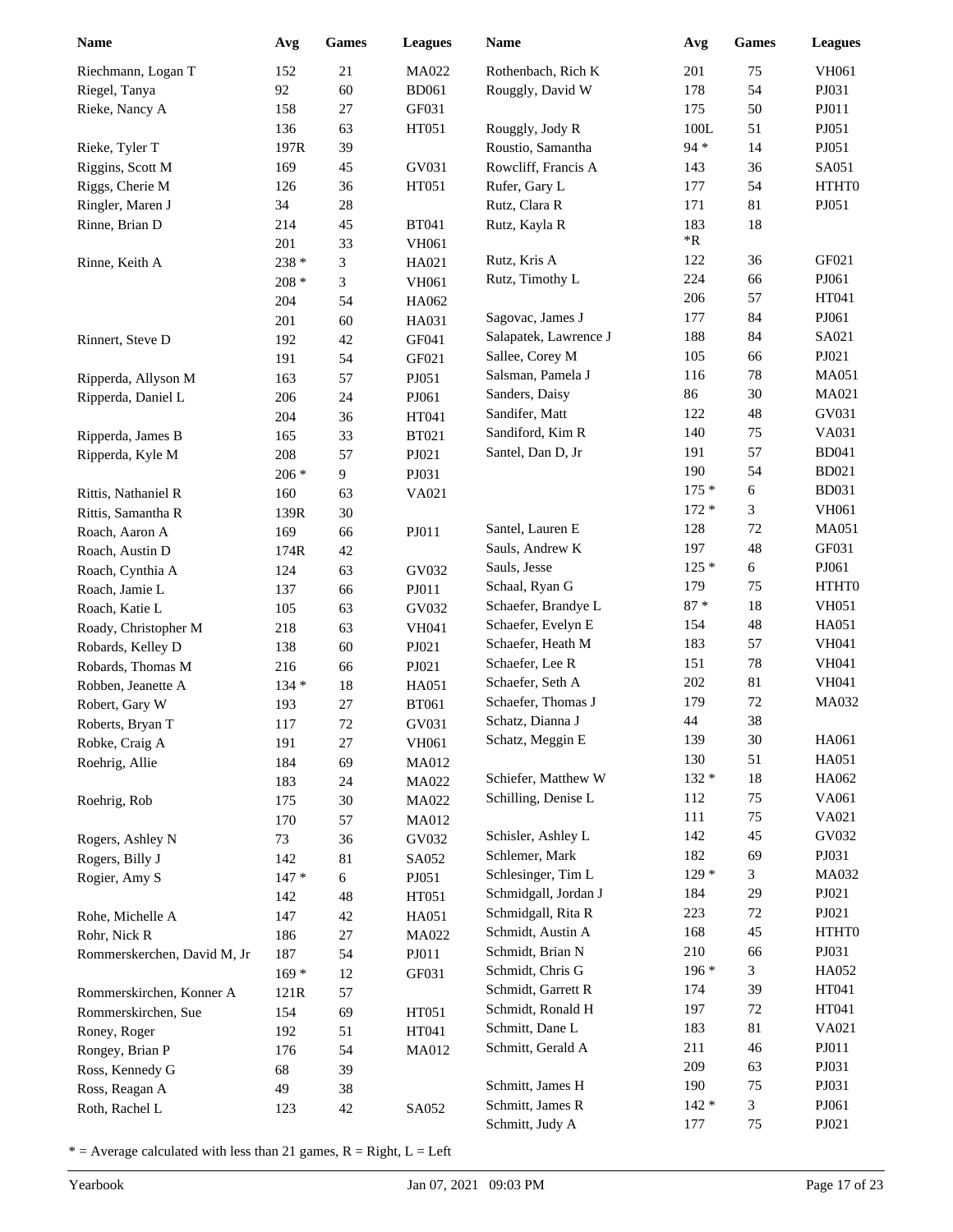| <b>Name</b>                         | Avg           | <b>Games</b> | <b>Leagues</b> | <b>Name</b>           | Avg        | <b>Games</b>   | <b>Leagues</b> |
|-------------------------------------|---------------|--------------|----------------|-----------------------|------------|----------------|----------------|
| Riechmann, Logan T                  | 152           | 21           | MA022          | Rothenbach, Rich K    | 201        | 75             | <b>VH061</b>   |
| Riegel, Tanya                       | 92            | 60           | <b>BD061</b>   | Rouggly, David W      | 178        | 54             | PJ031          |
| Rieke, Nancy A                      | 158           | $27\,$       | GF031          |                       | 175        | 50             | PJ011          |
|                                     | 136           | 63           | HT051          | Rouggly, Jody R       | 100L       | 51             | PJ051          |
| Rieke, Tyler T                      | 197R          | 39           |                | Roustio, Samantha     | 94 *       | 14             | PJ051          |
| Riggins, Scott M                    | 169           | 45           | GV031          | Rowcliff, Francis A   | 143        | 36             | SA051          |
| Riggs, Cherie M                     | 126           | 36           | HT051          | Rufer, Gary L         | 177        | 54             | HTHT0          |
| Ringler, Maren J                    | 34            | $28\,$       |                | Rutz, Clara R         | 171        | 81             | PJ051          |
| Rinne, Brian D                      | 214           | 45           | <b>BT041</b>   | Rutz, Kayla R         | 183        | 18             |                |
|                                     | 201           | 33           | <b>VH061</b>   |                       | $*{\bf R}$ |                |                |
| Rinne, Keith A                      | 238 *         | 3            | HA021          | Rutz, Kris A          | 122        | 36             | GF021          |
|                                     | $208 *$       | 3            | <b>VH061</b>   | Rutz, Timothy L       | 224        | 66             | PJ061          |
|                                     | 204           | 54           | HA062          |                       | 206        | 57             | HT041          |
|                                     | 201           | 60           | HA031          | Sagovac, James J      | 177        | 84             | PJ061          |
| Rinnert, Steve D                    | 192           | 42           | GF041          | Salapatek, Lawrence J | 188        | 84             | SA021          |
|                                     | 191           | 54           | GF021          | Sallee, Corey M       | 105        | 66             | PJ021          |
| Ripperda, Allyson M                 | 163           | 57           | PJ051          | Salsman, Pamela J     | 116        | 78             | <b>MA051</b>   |
| Ripperda, Daniel L                  | 206           | 24           | PJ061          | Sanders, Daisy        | 86         | 30             | MA021          |
|                                     | 204           | 36           | HT041          | Sandifer, Matt        | 122        | 48             | GV031          |
| Ripperda, James B                   | 165           | 33           | <b>BT021</b>   | Sandiford, Kim R      | 140        | 75             | VA031          |
| Ripperda, Kyle M                    | 208           | 57           | PJ021          | Santel, Dan D, Jr     | 191        | 57             | <b>BD041</b>   |
|                                     | $206 *$       | 9            | PJ031          |                       | 190        | 54             | <b>BD021</b>   |
| Rittis, Nathaniel R                 | 160           | 63           | VA021          |                       | $175*$     | $\epsilon$     | <b>BD031</b>   |
| Rittis, Samantha R                  | 139R          | 30           |                |                       | $172*$     | 3              | VH061          |
| Roach, Aaron A                      | 169           | 66           | PJ011          | Santel, Lauren E      | 128        | $72\,$         | <b>MA051</b>   |
| Roach, Austin D                     | 174R          | 42           |                | Sauls, Andrew K       | 197        | 48             | GF031          |
| Roach, Cynthia A                    | 124           | 63           | GV032          | Sauls, Jesse          | $125*$     | 6              | PJ061          |
| Roach, Jamie L                      | 137           | 66           | PJ011          | Schaal, Ryan G        | 179        | 75             | HTHT0          |
| Roach, Katie L                      | 105           | 63           | GV032          | Schaefer, Brandye L   | $87 *$     | 18             | <b>VH051</b>   |
| Roady, Christopher M                | 218           | 63           | <b>VH041</b>   | Schaefer, Evelyn E    | 154        | 48             | HA051          |
| Robards, Kelley D                   | 138           | 60           | PJ021          | Schaefer, Heath M     | 183        | 57             | <b>VH041</b>   |
| Robards, Thomas M                   | 216           | 66           | PJ021          | Schaefer, Lee R       | 151        | $78\,$         | <b>VH041</b>   |
| Robben, Jeanette A                  | $134 *$       | 18           | HA051          | Schaefer, Seth A      | 202        | 81             | VH041          |
| Robert, Gary W                      | 193           | 27           | <b>BT061</b>   | Schaefer, Thomas J    | 179        | $72\,$         | MA032          |
| Roberts, Bryan T                    | 117           | 72           | GV031          | Schatz, Dianna J      | 44         | 38             |                |
| Robke, Craig A                      | 191           | 27           | VH061          | Schatz, Meggin E      | 139        | $30\,$<br>51   | HA061          |
| Roehrig, Allie                      | 184           | 69           | MA012          | Schiefer, Matthew W   | 130        |                | HA051          |
|                                     | 183           | 24           | MA022          |                       | $132 *$    | 18             | HA062          |
| Roehrig, Rob                        | 175           | 30           | MA022          | Schilling, Denise L   | 112<br>111 | 75<br>75       | VA061<br>VA021 |
|                                     | 170           | 57           | MA012          | Schisler, Ashley L    | 142        | 45             | GV032          |
| Rogers, Ashley N                    | 73            | 36           | GV032          | Schlemer, Mark        | 182        | 69             | PJ031          |
| Rogers, Billy J                     | 142           | 81           | SA052          | Schlesinger, Tim L    | $129*$     | 3              | MA032          |
| Rogier, Amy S                       | $147 *$       | 6            | PJ051          | Schmidgall, Jordan J  | 184        | 29             | PJ021          |
|                                     | 142           | 48           | HT051          | Schmidgall, Rita R    | 223        | $72\,$         | PJ021          |
| Rohe, Michelle A                    | 147           | 42           | HA051          | Schmidt, Austin A     | 168        | 45             | HTHT0          |
| Rohr, Nick R                        | 186           | 27           | MA022          | Schmidt, Brian N      | 210        | 66             | PJ031          |
| Rommerskerchen, David M, Jr         | 187<br>$169*$ | 54<br>12     | PJ011<br>GF031 | Schmidt, Chris G      | $196*$     | 3              | HA052          |
| Rommerskirchen, Konner A            |               | 57           |                | Schmidt, Garrett R    | 174        | 39             | HT041          |
|                                     | 121R          |              |                | Schmidt, Ronald H     | 197        | $72\,$         | HT041          |
| Rommerskirchen, Sue<br>Roney, Roger | 154<br>192    | 69<br>51     | HT051<br>HT041 | Schmitt, Dane L       | 183        | 81             | VA021          |
| Rongey, Brian P                     | 176           | 54           | MA012          | Schmitt, Gerald A     | 211        | $46\,$         | PJ011          |
| Ross, Kennedy G                     | 68            | 39           |                |                       | 209        | 63             | PJ031          |
| Ross, Reagan A                      | 49            | 38           |                | Schmitt, James H      | 190        | 75             | PJ031          |
| Roth, Rachel L                      | 123           | 42           | SA052          | Schmitt, James R      | $142 *$    | $\mathfrak{Z}$ | PJ061          |
|                                     |               |              |                | Schmitt, Judy A       | 177        | 75             | PJ021          |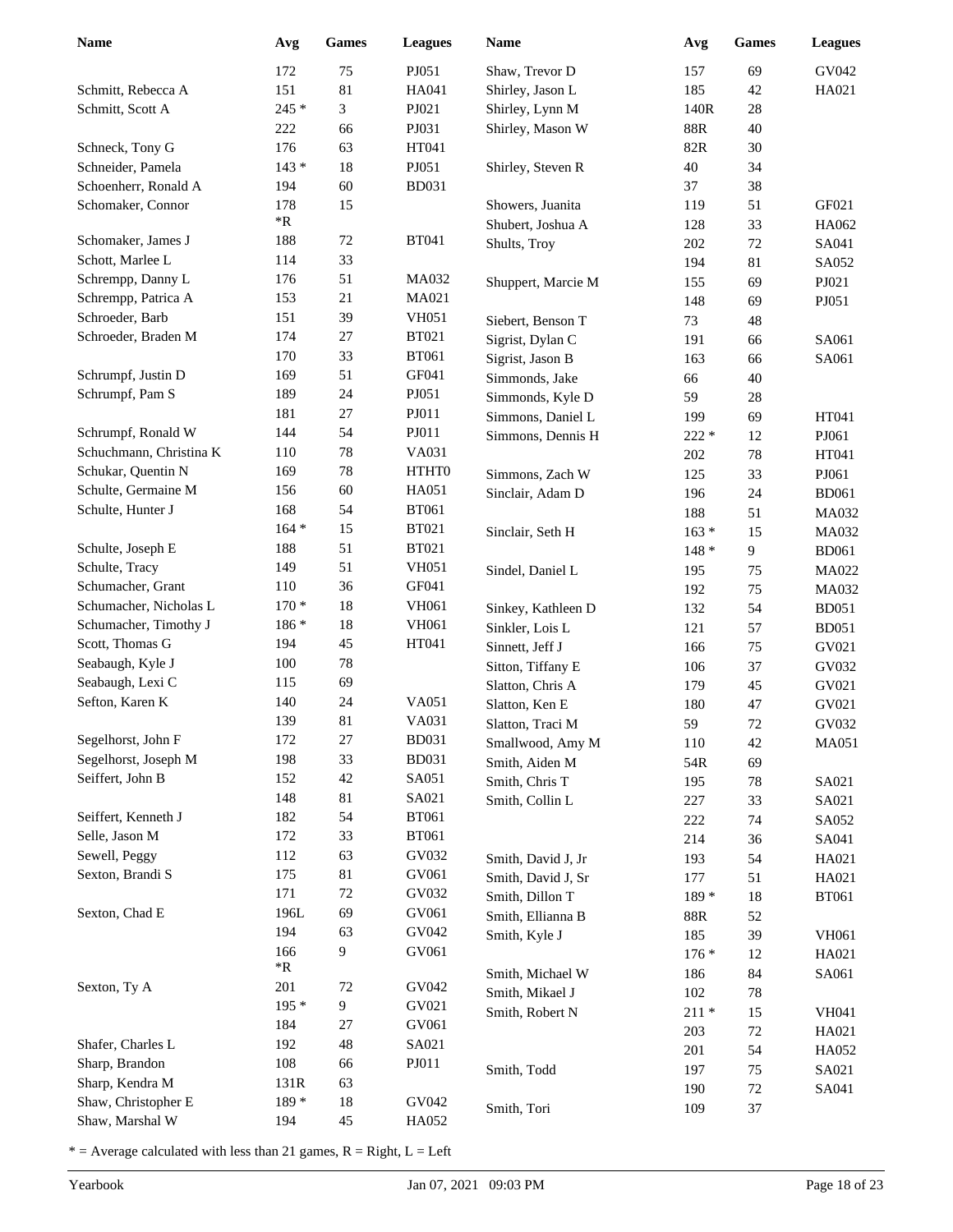| <b>Name</b>                           | Avg                | <b>Games</b>   | <b>Leagues</b>        | Name               | Avg            | <b>Games</b> | <b>Leagues</b> |
|---------------------------------------|--------------------|----------------|-----------------------|--------------------|----------------|--------------|----------------|
|                                       | 172                | 75             | PJ051                 | Shaw, Trevor D     | 157            | 69           | GV042          |
| Schmitt, Rebecca A                    | 151                | 81             | HA041                 | Shirley, Jason L   | 185            | 42           | HA021          |
| Schmitt, Scott A                      | 245 *              | 3              | PJ021                 | Shirley, Lynn M    | 140R           | 28           |                |
|                                       | 222                | 66             | PJ031                 | Shirley, Mason W   | $88\mathrm{R}$ | 40           |                |
| Schneck, Tony G                       | 176                | 63             | HT041                 |                    | $82\mathrm{R}$ | 30           |                |
| Schneider, Pamela                     | $143*$             | 18             | PJ051                 | Shirley, Steven R  | $40\,$         | 34           |                |
| Schoenherr, Ronald A                  | 194                | 60             | <b>BD031</b>          |                    | 37             | 38           |                |
| Schomaker, Connor                     | 178                | 15             |                       | Showers, Juanita   | 119            | 51           | GF021          |
|                                       | $\,{}^*\mathrm{R}$ |                |                       | Shubert, Joshua A  | 128            | 33           | HA062          |
| Schomaker, James J                    | 188                | 72             | <b>BT041</b>          | Shults, Troy       | 202            | 72           | SA041          |
| Schott, Marlee L                      | 114                | 33             |                       |                    | 194            | 81           | SA052          |
| Schrempp, Danny L                     | 176                | 51             | <b>MA032</b>          | Shuppert, Marcie M | 155            | 69           | PJ021          |
| Schrempp, Patrica A                   | 153                | 21             | MA021                 |                    | 148            | 69           | PJ051          |
| Schroeder, Barb                       | 151                | 39             | <b>VH051</b>          | Siebert, Benson T  | 73             | 48           |                |
| Schroeder, Braden M                   | 174                | 27             | <b>BT021</b>          | Sigrist, Dylan C   | 191            | 66           | SA061          |
|                                       | 170                | 33             | <b>BT061</b>          | Sigrist, Jason B   | 163            | 66           | SA061          |
| Schrumpf, Justin D                    | 169                | 51             | GF041                 | Simmonds, Jake     | 66             | 40           |                |
| Schrumpf, Pam S                       | 189                | 24             | PJ051                 | Simmonds, Kyle D   | 59             | 28           |                |
|                                       | 181                | 27             | PJ011                 | Simmons, Daniel L  | 199            | 69           | HT041          |
| Schrumpf, Ronald W                    | 144                | 54             | PJ011                 | Simmons, Dennis H  | $222 *$        | 12           | PJ061          |
| Schuchmann, Christina K               | 110                | 78             | VA031                 |                    | 202            | 78           | HT041          |
| Schukar, Quentin N                    | 169                | 78             | <b>HTHTO</b>          | Simmons, Zach W    | 125            | 33           | PJ061          |
| Schulte, Germaine M                   | 156                | 60             | HA051                 | Sinclair, Adam D   | 196            | 24           | <b>BD061</b>   |
| Schulte, Hunter J                     | 168                | 54             | <b>BT061</b>          |                    | 188            | 51           | MA032          |
|                                       | $164 *$            | 15             | <b>BT021</b>          | Sinclair, Seth H   | $163 *$        | 15           | <b>MA032</b>   |
| Schulte, Joseph E                     | 188                | 51             | <b>BT021</b>          |                    | $148*$         | 9            | <b>BD061</b>   |
| Schulte, Tracy                        | 149                | 51             | <b>VH051</b>          | Sindel, Daniel L   | 195            | 75           | MA022          |
| Schumacher, Grant                     | 110                | 36             | GF041                 |                    | 192            | 75           | MA032          |
| Schumacher, Nicholas L                | $170*$             | $18\,$         | <b>VH061</b>          | Sinkey, Kathleen D | 132            | 54           | <b>BD051</b>   |
| Schumacher, Timothy J                 | 186 *              | 18             | <b>VH061</b>          | Sinkler, Lois L    | 121            | 57           | <b>BD051</b>   |
| Scott, Thomas G                       | 194                | 45             | HT041                 | Sinnett, Jeff J    | 166            | 75           | GV021          |
| Seabaugh, Kyle J                      | 100                | 78             |                       | Sitton, Tiffany E  | 106            | 37           | GV032          |
| Seabaugh, Lexi C                      | 115                | 69             |                       | Slatton, Chris A   | 179            | 45           | GV021          |
| Sefton, Karen K                       | 140                | 24             | VA051                 | Slatton, Ken E     | 180            | 47           | GV021          |
|                                       | 139                | 81             | VA031                 | Slatton, Traci M   | 59             | 72           | GV032          |
| Segelhorst, John F                    | 172                | $27\,$         | <b>BD031</b>          | Smallwood, Amy M   | 110            | 42           | <b>MA051</b>   |
| Segelhorst, Joseph M                  | 198                | 33             | <b>BD031</b>          | Smith, Aiden M     | 54R            | 69           |                |
| Seiffert, John B                      | 152<br>148         | 42             | SA051                 | Smith, Chris T     | 195            | $78\,$       | SA021          |
|                                       |                    | $81\,$         | SA021<br><b>BT061</b> | Smith, Collin L    | 227            | 33           | SA021          |
| Seiffert, Kenneth J<br>Selle, Jason M | 182<br>172         | 54<br>33       | <b>BT061</b>          |                    | $222\,$        | 74           | SA052          |
| Sewell, Peggy                         | 112                | 63             | GV032                 |                    | 214            | 36           | SA041          |
| Sexton, Brandi S                      | 175                | $81\,$         | GV061                 | Smith, David J, Jr | 193            | 54           | HA021          |
|                                       | 171                | $72\,$         | GV032                 | Smith, David J, Sr | 177            | 51           | HA021          |
| Sexton, Chad E                        | 196L               | 69             | GV061                 | Smith, Dillon T    | 189 *          | 18           | <b>BT061</b>   |
|                                       | 194                | 63             | GV042                 | Smith, Ellianna B  | 88R            | 52           |                |
|                                       | 166                | 9              | GV061                 | Smith, Kyle J      | 185            | 39           | <b>VH061</b>   |
|                                       | $*{\bf R}$         |                |                       |                    | $176*$         | 12           | HA021          |
| Sexton, Ty A                          | 201                | 72             | GV042                 | Smith, Michael W   | 186            | 84           | SA061          |
|                                       | $195*$             | $\overline{9}$ | GV021                 | Smith, Mikael J    | 102            | 78           |                |
|                                       | 184                | $27\,$         | GV061                 | Smith, Robert N    | $211*$         | 15           | VH041          |
| Shafer, Charles L                     | 192                | 48             | SA021                 |                    | 203            | 72           | HA021          |
| Sharp, Brandon                        | 108                | 66             | PJO11                 |                    | 201            | 54           | HA052          |
| Sharp, Kendra M                       | 131R               | 63             |                       | Smith, Todd        | 197            | 75           | SA021          |
| Shaw, Christopher E                   | 189 *              | 18             | GV042                 |                    | 190            | $72\,$<br>37 | SA041          |
| Shaw, Marshal W                       | 194                | 45             | HA052                 | Smith, Tori        | 109            |              |                |
|                                       |                    |                |                       |                    |                |              |                |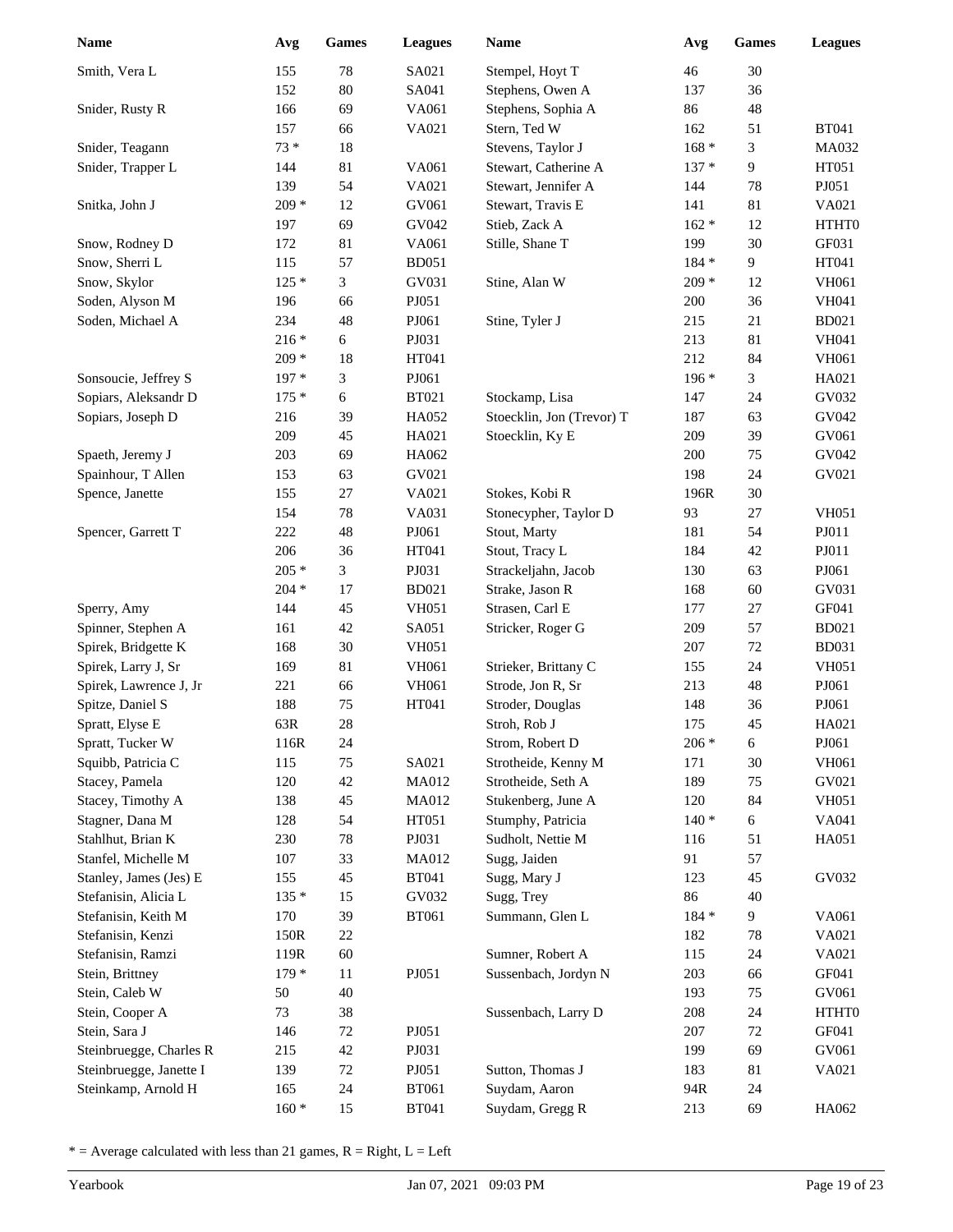| <b>Name</b>             | Avg     | <b>Games</b> | <b>Leagues</b> | <b>Name</b>               | Avg     | <b>Games</b>   | <b>Leagues</b> |
|-------------------------|---------|--------------|----------------|---------------------------|---------|----------------|----------------|
| Smith, Vera L           | 155     | $78\,$       | SA021          | Stempel, Hoyt T           | 46      | 30             |                |
|                         | 152     | $80\,$       | SA041          | Stephens, Owen A          | 137     | 36             |                |
| Snider, Rusty R         | 166     | 69           | VA061          | Stephens, Sophia A        | 86      | 48             |                |
|                         | 157     | 66           | VA021          | Stern, Ted W              | 162     | 51             | <b>BT041</b>   |
| Snider, Teagann         | $73 *$  | $18\,$       |                | Stevens, Taylor J         | $168 *$ | 3              | MA032          |
| Snider, Trapper L       | 144     | 81           | VA061          | Stewart, Catherine A      | $137 *$ | $\overline{9}$ | HT051          |
|                         | 139     | 54           | VA021          | Stewart, Jennifer A       | 144     | 78             | PJ051          |
| Snitka, John J          | $209 *$ | 12           | GV061          | Stewart, Travis E         | 141     | 81             | VA021          |
|                         | 197     | 69           | GV042          | Stieb, Zack A             | $162 *$ | 12             | HTHT0          |
| Snow, Rodney D          | 172     | 81           | VA061          | Stille, Shane T           | 199     | 30             | GF031          |
| Snow, Sherri L          | 115     | 57           | <b>BD051</b>   |                           | $184 *$ | 9              | HT041          |
| Snow, Skylor            | $125*$  | 3            | GV031          | Stine, Alan W             | $209 *$ | 12             | VH061          |
| Soden, Alyson M         | 196     | 66           | PJ051          |                           | 200     | 36             | <b>VH041</b>   |
| Soden, Michael A        | 234     | 48           | PJ061          | Stine, Tyler J            | 215     | 21             | <b>BD021</b>   |
|                         | $216*$  | 6            | PJ031          |                           | 213     | 81             | <b>VH041</b>   |
|                         | $209 *$ | 18           | HT041          |                           | 212     | 84             | <b>VH061</b>   |
| Sonsoucie, Jeffrey S    | 197 *   | 3            | PJ061          |                           | $196*$  | 3              | HA021          |
| Sopiars, Aleksandr D    | $175*$  | 6            | <b>BT021</b>   | Stockamp, Lisa            | 147     | 24             | GV032          |
| Sopiars, Joseph D       | 216     | 39           | HA052          | Stoecklin, Jon (Trevor) T | 187     | 63             | GV042          |
|                         | 209     | 45           | HA021          | Stoecklin, Ky E           | 209     | 39             | GV061          |
| Spaeth, Jeremy J        | 203     | 69           | HA062          |                           | 200     | 75             | GV042          |
| Spainhour, T Allen      | 153     | 63           | GV021          |                           | 198     | 24             | GV021          |
| Spence, Janette         | 155     | 27           | VA021          | Stokes, Kobi R            | 196R    | 30             |                |
|                         | 154     | $78\,$       | VA031          | Stonecypher, Taylor D     | 93      | 27             | <b>VH051</b>   |
| Spencer, Garrett T      | 222     | 48           | PJ061          | Stout, Marty              | 181     | 54             | PJ011          |
|                         | 206     | 36           | HT041          | Stout, Tracy L            | 184     | 42             | PJ011          |
|                         | $205 *$ | 3            | PJ031          | Strackeljahn, Jacob       | 130     | 63             | PJ061          |
|                         | $204 *$ | 17           | <b>BD021</b>   | Strake, Jason R           | 168     | 60             | GV031          |
| Sperry, Amy             | 144     | 45           | <b>VH051</b>   | Strasen, Carl E           | 177     | 27             | GF041          |
| Spinner, Stephen A      | 161     | 42           | SA051          | Stricker, Roger G         | 209     | 57             | <b>BD021</b>   |
| Spirek, Bridgette K     | 168     | 30           | <b>VH051</b>   |                           | 207     | 72             | <b>BD031</b>   |
| Spirek, Larry J, Sr     | 169     | 81           | <b>VH061</b>   | Strieker, Brittany C      | 155     | 24             | <b>VH051</b>   |
| Spirek, Lawrence J, Jr  | 221     | 66           | <b>VH061</b>   | Strode, Jon R, Sr         | 213     | 48             | PJ061          |
| Spitze, Daniel S        | 188     | 75           | HT041          | Stroder, Douglas          | 148     | 36             | PJ061          |
| Spratt, Elyse E         | 63R     | 28           |                | Stroh, Rob J              | 175     | 45             | HA021          |
| Spratt, Tucker W        | 116R    | 24           |                | Strom, Robert D           | $206 *$ | 6              | PJ061          |
| Squibb, Patricia C      | 115     | 75           | SA021          | Strotheide, Kenny M       | 171     | $30\,$         | VH061          |
| Stacey, Pamela          | 120     | 42           | MA012          | Strotheide, Seth A        | 189     | 75             | GV021          |
| Stacey, Timothy A       | 138     | 45           | MA012          | Stukenberg, June A        | 120     | 84             | <b>VH051</b>   |
| Stagner, Dana M         | 128     | 54           | HT051          | Stumphy, Patricia         | $140*$  | 6              | VA041          |
| Stahlhut, Brian K       | 230     | $78\,$       | PJ031          | Sudholt, Nettie M         | 116     | 51             | HA051          |
| Stanfel, Michelle M     | 107     | 33           | MA012          | Sugg, Jaiden              | 91      | 57             |                |
| Stanley, James (Jes) E  | 155     | 45           | <b>BT041</b>   | Sugg, Mary J              | 123     | 45             | GV032          |
| Stefanisin, Alicia L    | $135*$  | 15           | GV032          | Sugg, Trey                | 86      | 40             |                |
| Stefanisin, Keith M     | 170     | 39           | <b>BT061</b>   | Summann, Glen L           | 184 *   | 9              | VA061          |
| Stefanisin, Kenzi       | 150R    | $22\,$       |                |                           | 182     | 78             | VA021          |
| Stefanisin, Ramzi       | 119R    | 60           |                | Sumner, Robert A          | 115     | 24             | VA021          |
| Stein, Brittney         | $179*$  | 11           | PJ051          | Sussenbach, Jordyn N      | 203     | 66             | GF041          |
| Stein, Caleb W          | 50      | $40\,$       |                |                           | 193     | 75             | GV061          |
| Stein, Cooper A         | 73      | 38           |                | Sussenbach, Larry D       | 208     | 24             | HTHT0          |
| Stein, Sara J           | 146     | 72           | PJ051          |                           | 207     | 72             | GF041          |
| Steinbruegge, Charles R | 215     | $42\,$       | PJ031          |                           | 199     | 69             | GV061          |
| Steinbruegge, Janette I | 139     | 72           | PJ051          | Sutton, Thomas J          | 183     | 81             | VA021          |
| Steinkamp, Arnold H     | 165     | 24           | <b>BT061</b>   | Suydam, Aaron             | 94R     | 24             |                |
|                         | $160 *$ | 15           | <b>BT041</b>   | Suydam, Gregg R           | 213     | 69             | HA062          |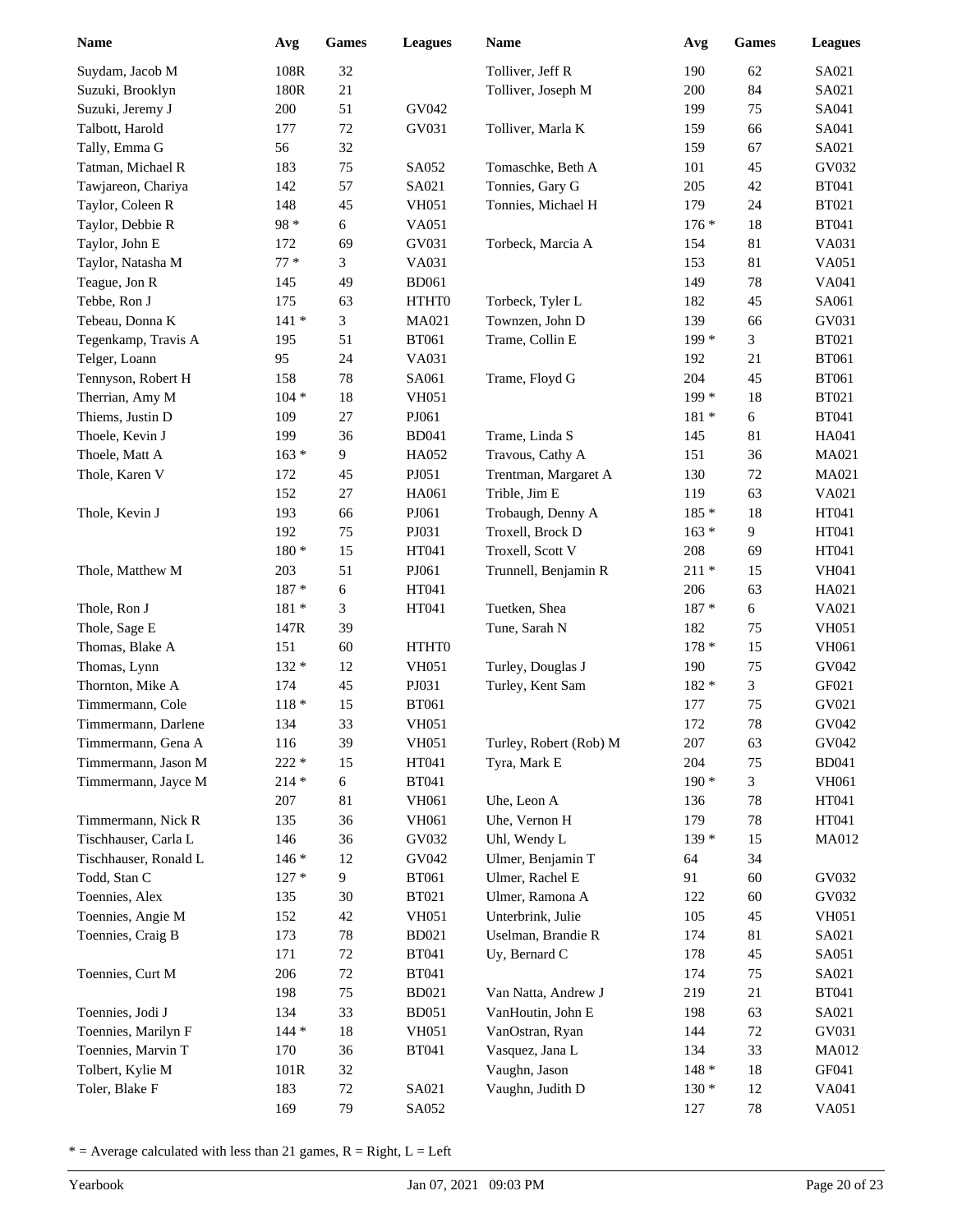| Name                  | Avg            | Games          | <b>Leagues</b>        | Name                   | Avg           | <b>Games</b>   | <b>Leagues</b> |
|-----------------------|----------------|----------------|-----------------------|------------------------|---------------|----------------|----------------|
| Suydam, Jacob M       | 108R           | 32             |                       | Tolliver, Jeff R       | 190           | 62             | SA021          |
| Suzuki, Brooklyn      | 180R           | $21\,$         |                       | Tolliver, Joseph M     | 200           | 84             | SA021          |
| Suzuki, Jeremy J      | 200            | 51             | GV042                 |                        | 199           | 75             | SA041          |
| Talbott, Harold       | 177            | $72\,$         | GV031                 | Tolliver, Marla K      | 159           | 66             | SA041          |
| Tally, Emma G         | 56             | 32             |                       |                        | 159           | 67             | SA021          |
| Tatman, Michael R     | 183            | 75             | SA052                 | Tomaschke, Beth A      | 101           | 45             | GV032          |
| Tawjareon, Chariya    | 142            | 57             | SA021                 | Tonnies, Gary G        | 205           | 42             | <b>BT041</b>   |
| Taylor, Coleen R      | 148            | 45             | <b>VH051</b>          | Tonnies, Michael H     | 179           | 24             | <b>BT021</b>   |
| Taylor, Debbie R      | 98 *           | 6              | VA051                 |                        | $176*$        | 18             | <b>BT041</b>   |
| Taylor, John E        | 172            | 69             | GV031                 | Torbeck, Marcia A      | 154           | 81             | VA031          |
| Taylor, Natasha M     | $77*$          | 3              | VA031                 |                        | 153           | 81             | VA051          |
| Teague, Jon R         | 145            | 49             | <b>BD061</b>          |                        | 149           | 78             | VA041          |
| Tebbe, Ron J          | 175            | 63             | HTHT0                 | Torbeck, Tyler L       | 182           | 45             | SA061          |
| Tebeau, Donna K       | $141 *$        | 3              | MA021                 | Townzen, John D        | 139           | 66             | GV031          |
| Tegenkamp, Travis A   | 195            | 51             | <b>BT061</b>          | Trame, Collin E        | $199*$        | 3              | <b>BT021</b>   |
| Telger, Loann         | 95             | 24             | VA031                 |                        | 192           | 21             | <b>BT061</b>   |
| Tennyson, Robert H    | 158            | 78             | SA061                 | Trame, Floyd G         | 204           | 45             | <b>BT061</b>   |
| Therrian, Amy M       | $104 *$        | 18             | <b>VH051</b>          |                        | $199*$        | 18             | <b>BT021</b>   |
| Thiems, Justin D      | 109            | 27             | PJ061                 |                        | $181*$        | 6              | <b>BT041</b>   |
| Thoele, Kevin J       | 199            | 36             | <b>BD041</b>          | Trame, Linda S         | 145           | 81             | HA041          |
| Thoele, Matt A        | $163 *$        | 9              | HA052                 | Travous, Cathy A       | 151           | 36             | MA021          |
| Thole, Karen V        | 172            | 45             | PJ051                 | Trentman, Margaret A   | 130           | $72\,$         | MA021          |
|                       | 152            | 27             | HA061                 | Trible, Jim E          | 119           | 63             | VA021          |
| Thole, Kevin J        | 193            | 66             | PJ061                 | Trobaugh, Denny A      | $185*$        | 18             | HT041          |
|                       | 192            | 75             | PJ031                 | Troxell, Brock D       | $163 *$       | $\overline{9}$ | HT041          |
|                       | $180 *$        | 15             | HT041                 | Troxell, Scott V       | 208           | 69             | HT041          |
| Thole, Matthew M      | 203            | 51             | PJ061                 | Trunnell, Benjamin R   | $211*$        | 15             | <b>VH041</b>   |
|                       | 187 *          | 6              | HT041                 |                        | 206           | 63             | HA021          |
| Thole, Ron J          | 181 *          | 3              | HT041                 | Tuetken, Shea          | 187 *         | 6              | VA021          |
| Thole, Sage E         | 147R           | 39             |                       | Tune, Sarah N          | 182           | 75             | <b>VH051</b>   |
| Thomas, Blake A       | 151            | 60             | HTHT0                 |                        | $178*$        | 15             | VH061          |
| Thomas, Lynn          | $132 *$        | 12             | <b>VH051</b>          | Turley, Douglas J      | 190           | 75             | GV042          |
| Thornton, Mike A      | 174            | 45             | PJ031                 | Turley, Kent Sam       | 182 *         | 3              | GF021          |
| Timmermann, Cole      | $118 *$        | 15             | <b>BT061</b>          |                        | 177           | 75             | GV021          |
| Timmermann, Darlene   | 134            | 33             | <b>VH051</b>          |                        | 172           | 78             | GV042          |
| Timmermann, Gena A    | 116            | 39             | <b>VH051</b>          | Turley, Robert (Rob) M | 207           | 63             | GV042          |
| Timmermann, Jason M   | $222 *$        | 15             | HT041                 | Tyra, Mark E           | 204<br>$190*$ | 75             | <b>BD041</b>   |
| Timmermann, Jayce M   | $214 *$<br>207 | 6<br>$81\,$    | <b>BT041</b><br>VH061 | Uhe, Leon A            |               | 3<br>78        | VH061<br>HT041 |
| Timmermann, Nick R    | 135            | 36             | VH061                 | Uhe, Vernon H          | 136<br>179    | 78             | HT041          |
| Tischhauser, Carla L  | 146            | 36             | GV032                 | Uhl, Wendy L           | $139*$        | 15             | MA012          |
| Tischhauser, Ronald L | $146*$         | 12             | GV042                 | Ulmer, Benjamin T      | 64            | 34             |                |
| Todd, Stan C          | $127 *$        | $\overline{9}$ | <b>BT061</b>          | Ulmer, Rachel E        | 91            | 60             | GV032          |
| Toennies, Alex        | 135            | $30\,$         | <b>BT021</b>          | Ulmer, Ramona A        | 122           | 60             | GV032          |
| Toennies, Angie M     | 152            | 42             | <b>VH051</b>          | Unterbrink, Julie      | 105           | 45             | <b>VH051</b>   |
| Toennies, Craig B     | 173            | 78             | <b>BD021</b>          | Uselman, Brandie R     | 174           | 81             | SA021          |
|                       | 171            | 72             | <b>BT041</b>          | Uy, Bernard C          | 178           | 45             | SA051          |
| Toennies, Curt M      | 206            | $72\,$         | <b>BT041</b>          |                        | 174           | 75             | SA021          |
|                       | 198            | 75             | <b>BD021</b>          | Van Natta, Andrew J    | 219           | 21             | <b>BT041</b>   |
| Toennies, Jodi J      | 134            | 33             | <b>BD051</b>          | VanHoutin, John E      | 198           | 63             | SA021          |
| Toennies, Marilyn F   | $144*$         | 18             | <b>VH051</b>          | VanOstran, Ryan        | 144           | 72             | GV031          |
| Toennies, Marvin T    | 170            | 36             | <b>BT041</b>          | Vasquez, Jana L        | 134           | 33             | MA012          |
| Tolbert, Kylie M      | 101R           | 32             |                       | Vaughn, Jason          | $148 *$       | 18             | GF041          |
| Toler, Blake F        | 183            | $72\,$         | SA021                 | Vaughn, Judith D       | $130*$        | 12             | VA041          |
|                       | 169            | 79             | SA052                 |                        | 127           | $78\,$         | VA051          |
|                       |                |                |                       |                        |               |                |                |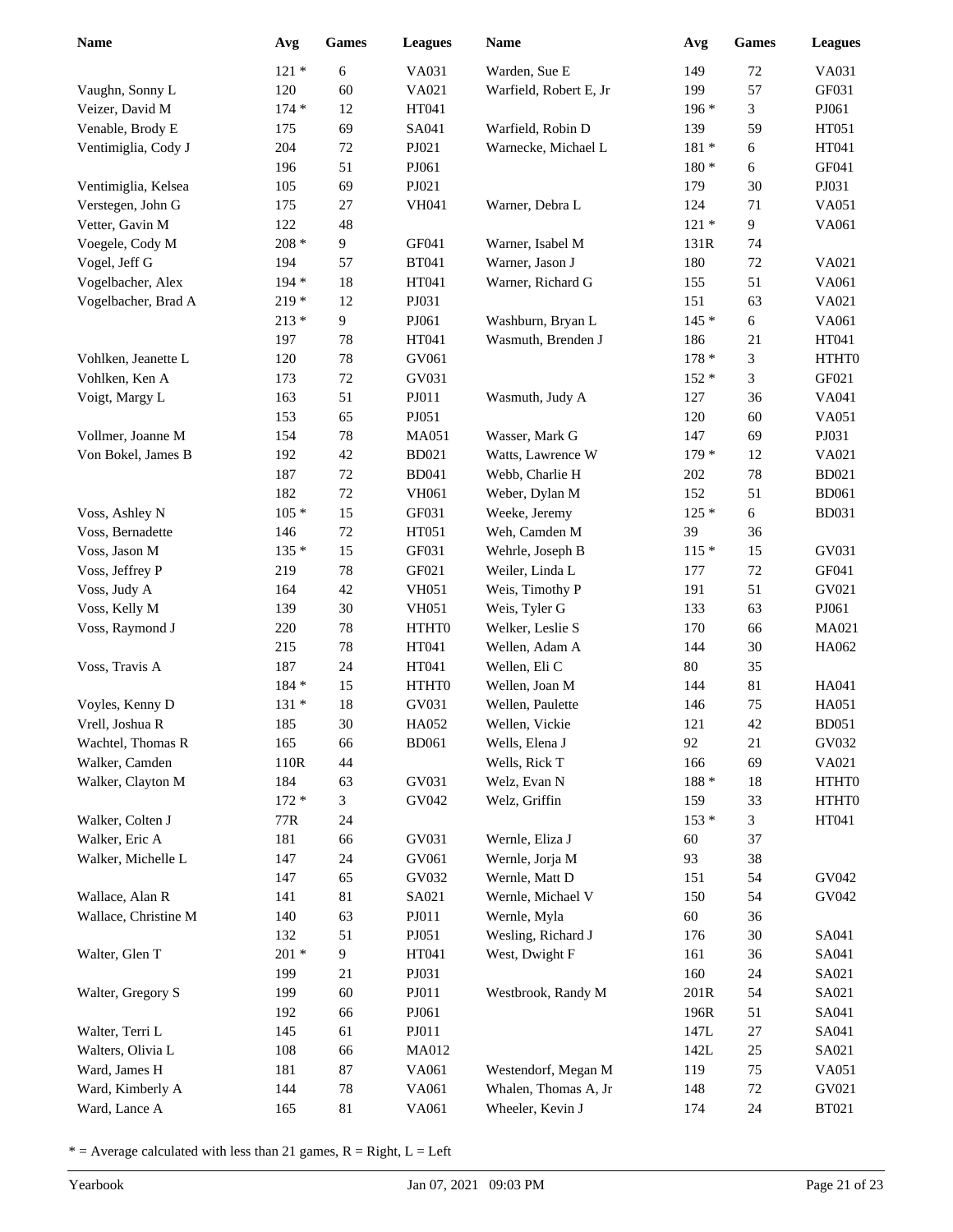| Name                 | Avg     | <b>Games</b>   | <b>Leagues</b> | Name                   | Avg     | <b>Games</b> | <b>Leagues</b> |
|----------------------|---------|----------------|----------------|------------------------|---------|--------------|----------------|
|                      | $121 *$ | 6              | VA031          | Warden, Sue E          | 149     | $72\,$       | VA031          |
| Vaughn, Sonny L      | 120     | 60             | VA021          | Warfield, Robert E, Jr | 199     | 57           | GF031          |
| Veizer, David M      | $174*$  | 12             | HT041          |                        | 196 *   | 3            | PJ061          |
| Venable, Brody E     | 175     | 69             | SA041          | Warfield, Robin D      | 139     | 59           | HT051          |
| Ventimiglia, Cody J  | 204     | $72\,$         | PJ021          | Warnecke, Michael L    | $181 *$ | 6            | HT041          |
|                      | 196     | 51             | PJ061          |                        | $180 *$ | 6            | GF041          |
| Ventimiglia, Kelsea  | 105     | 69             | PJ021          |                        | 179     | 30           | PJ031          |
| Verstegen, John G    | 175     | $27\,$         | <b>VH041</b>   | Warner, Debra L        | 124     | 71           | VA051          |
| Vetter, Gavin M      | 122     | 48             |                |                        | $121 *$ | 9            | VA061          |
| Voegele, Cody M      | $208 *$ | 9              | GF041          | Warner, Isabel M       | 131R    | 74           |                |
| Vogel, Jeff G        | 194     | 57             | <b>BT041</b>   | Warner, Jason J        | 180     | $72\,$       | VA021          |
| Vogelbacher, Alex    | 194 *   | 18             | HT041          | Warner, Richard G      | 155     | 51           | VA061          |
| Vogelbacher, Brad A  | $219*$  | 12             | PJ031          |                        | 151     | 63           | VA021          |
|                      | $213 *$ | 9              | PJ061          | Washburn, Bryan L      | $145*$  | 6            | VA061          |
|                      | 197     | $78\,$         | HT041          | Wasmuth, Brenden J     | 186     | 21           | HT041          |
| Vohlken, Jeanette L  | 120     | $78\,$         | GV061          |                        | $178 *$ | 3            | HTHT0          |
| Vohlken, Ken A       | 173     | $72\,$         | GV031          |                        | $152 *$ | 3            | GF021          |
| Voigt, Margy L       | 163     | 51             | PJ011          | Wasmuth, Judy A        | 127     | 36           | VA041          |
|                      | 153     | 65             | PJ051          |                        | 120     | 60           | <b>VA051</b>   |
| Vollmer, Joanne M    | 154     | $78\,$         | <b>MA051</b>   | Wasser, Mark G         | 147     | 69           | PJ031          |
| Von Bokel, James B   | 192     | 42             | <b>BD021</b>   | Watts, Lawrence W      | $179*$  | 12           | VA021          |
|                      | 187     | 72             | <b>BD041</b>   | Webb, Charlie H        | 202     | $78\,$       | <b>BD021</b>   |
|                      | 182     | $72\,$         | <b>VH061</b>   | Weber, Dylan M         | 152     | 51           | <b>BD061</b>   |
| Voss, Ashley N       | $105 *$ | 15             | GF031          | Weeke, Jeremy          | $125*$  | 6            | <b>BD031</b>   |
| Voss, Bernadette     | 146     | $72\,$         | HT051          | Weh, Camden M          | 39      | 36           |                |
| Voss, Jason M        | $135*$  | 15             | GF031          | Wehrle, Joseph B       | $115*$  | 15           | GV031          |
| Voss, Jeffrey P      | 219     | $78\,$         | GF021          | Weiler, Linda L        | 177     | 72           | GF041          |
| Voss, Judy A         | 164     | 42             | <b>VH051</b>   | Weis, Timothy P        | 191     | 51           | GV021          |
| Voss, Kelly M        | 139     | 30             | <b>VH051</b>   | Weis, Tyler G          | 133     | 63           | PJ061          |
| Voss, Raymond J      | 220     | 78             | HTHT0          | Welker, Leslie S       | 170     | 66           | MA021          |
|                      | 215     | $78\,$         | HT041          | Wellen, Adam A         | 144     | 30           | HA062          |
| Voss, Travis A       | 187     | 24             | HT041          | Wellen, Eli C          | 80      | 35           |                |
|                      | 184 *   | 15             | <b>HTHTO</b>   | Wellen, Joan M         | 144     | 81           | HA041          |
| Voyles, Kenny D      | $131 *$ | $18\,$         | GV031          | Wellen, Paulette       | 146     | 75           | HA051          |
| Vrell, Joshua R      | 185     | 30             | HA052          | Wellen, Vickie         | 121     | 42           | <b>BD051</b>   |
| Wachtel, Thomas R    | 165     | 66             | <b>BD061</b>   | Wells, Elena J         | 92      | 21           | GV032          |
| Walker, Camden       | 110R    | $44\,$         |                | Wells, Rick T          | 166     | 69           | VA021          |
| Walker, Clayton M    | 184     | 63             | GV031          | Welz, Evan N           | $188 *$ | 18           | HTHT0          |
|                      | $172 *$ | 3              | GV042          | Welz, Griffin          | 159     | 33           | HTHT0          |
| Walker, Colten J     | 77R     | 24             |                |                        | $153*$  | 3            | HT041          |
| Walker, Eric A       | 181     | 66             | GV031          | Wernle, Eliza J        | 60      | 37           |                |
| Walker, Michelle L   | 147     | 24             | GV061          | Wernle, Jorja M        | 93      | 38           |                |
|                      | 147     | 65             | GV032          | Wernle, Matt D         | 151     | 54           | GV042          |
| Wallace, Alan R      | 141     | 81             | SA021          | Wernle, Michael V      | 150     | 54           | GV042          |
| Wallace, Christine M | 140     | 63             | PJ011          | Wernle, Myla           | 60      | 36           |                |
|                      | 132     | 51             | PJ051          | Wesling, Richard J     | 176     | 30           | SA041          |
| Walter, Glen T       | $201 *$ | $\overline{9}$ | HT041          | West, Dwight F         | 161     | 36           | SA041          |
|                      | 199     | 21             | PJ031          |                        | 160     | 24           | SA021          |
| Walter, Gregory S    | 199     | 60             | PJ011          | Westbrook, Randy M     | 201R    | 54           | SA021          |
|                      | 192     | 66             | PJ061          |                        | 196R    | 51           | SA041          |
| Walter, Terri L      | 145     | 61             | PJ011          |                        | 147L    | $27\,$       | SA041          |
| Walters, Olivia L    | 108     | 66             | MA012          |                        | 142L    | $25\,$       | SA021          |
| Ward, James H        | 181     | $87\,$         | VA061          | Westendorf, Megan M    | 119     | 75           | VA051          |
| Ward, Kimberly A     | 144     | $78\,$         | VA061          | Whalen, Thomas A, Jr   | 148     | 72           | GV021          |
| Ward, Lance A        | 165     | $81\,$         | VA061          | Wheeler, Kevin J       | 174     | 24           | <b>BT021</b>   |
|                      |         |                |                |                        |         |              |                |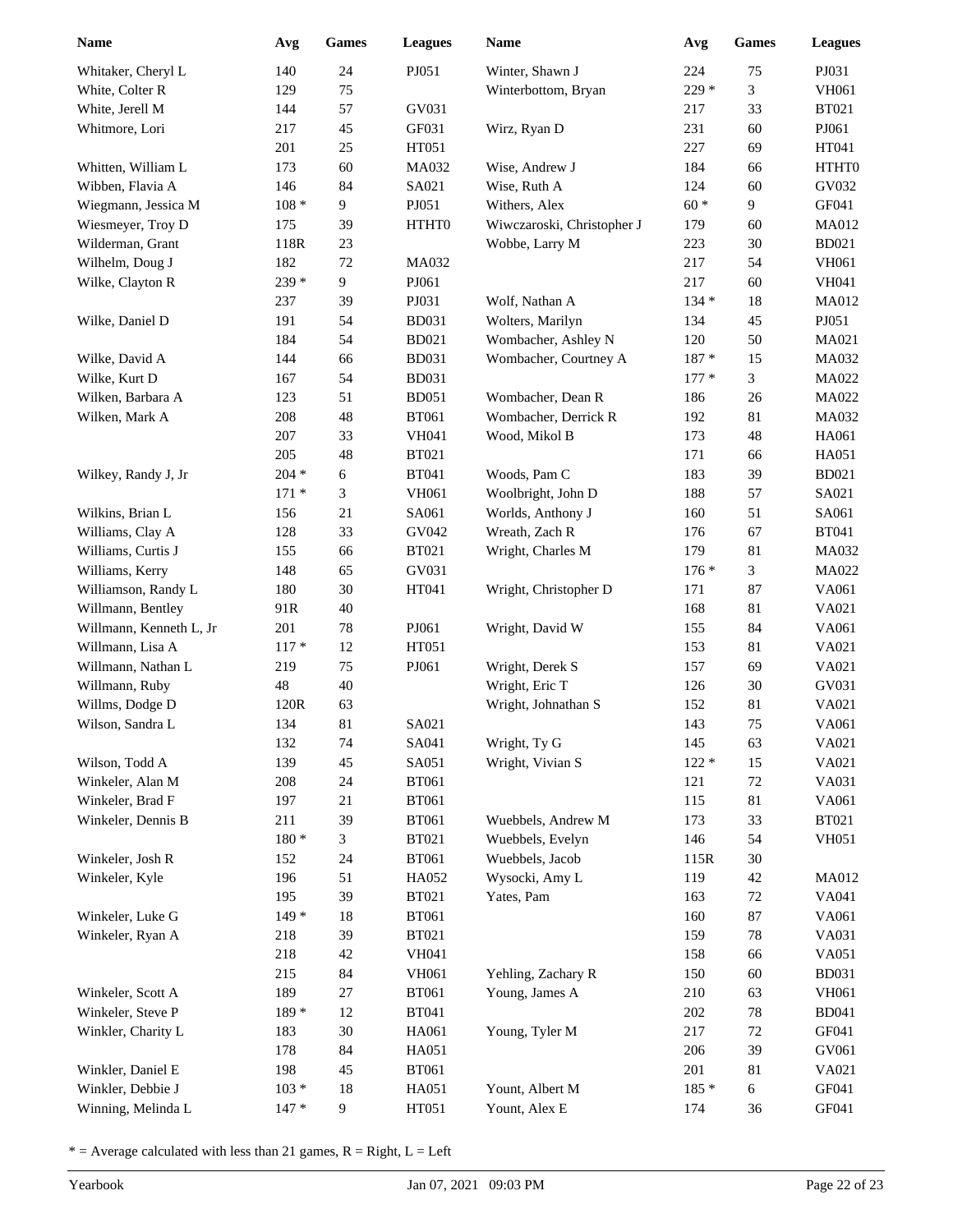| Name                    | Avg     | <b>Games</b> | <b>Leagues</b> | <b>Name</b>                | Avg     | <b>Games</b> | <b>Leagues</b> |
|-------------------------|---------|--------------|----------------|----------------------------|---------|--------------|----------------|
| Whitaker, Cheryl L      | 140     | 24           | PJ051          | Winter, Shawn J            | 224     | 75           | PJ031          |
| White, Colter R         | 129     | 75           |                | Winterbottom, Bryan        | 229 *   | 3            | <b>VH061</b>   |
| White, Jerell M         | 144     | 57           | GV031          |                            | 217     | 33           | <b>BT021</b>   |
| Whitmore, Lori          | 217     | 45           | GF031          | Wirz, Ryan D               | 231     | 60           | PJ061          |
|                         | 201     | $25\,$       | HT051          |                            | 227     | 69           | HT041          |
| Whitten, William L      | 173     | 60           | MA032          | Wise, Andrew J             | 184     | 66           | HTHT0          |
| Wibben, Flavia A        | 146     | 84           | SA021          | Wise, Ruth A               | 124     | 60           | GV032          |
| Wiegmann, Jessica M     | $108 *$ | 9            | PJ051          | Withers, Alex              | $60 *$  | 9            | GF041          |
| Wiesmeyer, Troy D       | 175     | 39           | HTHT0          | Wiwczaroski, Christopher J | 179     | 60           | MA012          |
| Wilderman, Grant        | 118R    | 23           |                | Wobbe, Larry M             | 223     | 30           | <b>BD021</b>   |
| Wilhelm, Doug J         | 182     | $72\,$       | MA032          |                            | 217     | 54           | <b>VH061</b>   |
| Wilke, Clayton R        | 239 *   | 9            | PJ061          |                            | 217     | 60           | <b>VH041</b>   |
|                         | 237     | 39           | PJ031          | Wolf, Nathan A             | $134 *$ | 18           | MA012          |
| Wilke, Daniel D         | 191     | 54           | <b>BD031</b>   | Wolters, Marilyn           | 134     | 45           | PJ051          |
|                         | 184     | 54           | <b>BD021</b>   | Wombacher, Ashley N        | 120     | 50           | MA021          |
| Wilke, David A          | 144     | 66           | <b>BD031</b>   | Wombacher, Courtney A      | $187 *$ | 15           | MA032          |
| Wilke, Kurt D           | 167     | 54           | <b>BD031</b>   |                            | $177*$  | 3            | MA022          |
| Wilken, Barbara A       | 123     | 51           | <b>BD051</b>   | Wombacher, Dean R          | 186     | $26\,$       | MA022          |
| Wilken, Mark A          | 208     | $\sqrt{48}$  | <b>BT061</b>   | Wombacher, Derrick R       | 192     | 81           | MA032          |
|                         | 207     | 33           | <b>VH041</b>   | Wood, Mikol B              | 173     | 48           | HA061          |
|                         | 205     | 48           | <b>BT021</b>   |                            | 171     | 66           | HA051          |
| Wilkey, Randy J, Jr     | $204 *$ | 6            | <b>BT041</b>   | Woods, Pam C               | 183     | 39           | <b>BD021</b>   |
|                         | $171*$  | 3            | VH061          | Woolbright, John D         | 188     | 57           | SA021          |
| Wilkins, Brian L        | 156     | $21\,$       | SA061          | Worlds, Anthony J          | 160     | 51           | SA061          |
| Williams, Clay A        | 128     | 33           | GV042          | Wreath, Zach R             | 176     | 67           | <b>BT041</b>   |
| Williams, Curtis J      | 155     | 66           | <b>BT021</b>   | Wright, Charles M          | 179     | 81           | MA032          |
| Williams, Kerry         | 148     | 65           | GV031          |                            | $176*$  | 3            | MA022          |
| Williamson, Randy L     | 180     | 30           | HT041          | Wright, Christopher D      | 171     | 87           | VA061          |
| Willmann, Bentley       | 91R     | 40           |                |                            | 168     | 81           | VA021          |
| Willmann, Kenneth L, Jr | 201     | $78\,$       | PJ061          | Wright, David W            | 155     | 84           | VA061          |
| Willmann, Lisa A        | $117 *$ | 12           | HT051          |                            | 153     | 81           | VA021          |
| Willmann, Nathan L      | 219     | 75           | PJ061          | Wright, Derek S            | 157     | 69           | VA021          |
| Willmann, Ruby          | 48      | 40           |                | Wright, Eric T             | 126     | 30           | GV031          |
| Willms, Dodge D         | 120R    | 63           |                | Wright, Johnathan S        | 152     | 81           | VA021          |
| Wilson, Sandra L        | 134     | 81           | SA021          |                            | 143     | 75           | VA061          |
|                         | 132     | $74\,$       | SA041          | Wright, Ty G               | 145     | 63           | VA021          |
| Wilson, Todd A          | 139     | 45           | SA051          | Wright, Vivian S           | $122 *$ | 15           | VA021          |
| Winkeler, Alan M        | 208     | $24\,$       | <b>BT061</b>   |                            | 121     | $72\,$       | VA031          |
| Winkeler, Brad F        | 197     | $21\,$       | <b>BT061</b>   |                            | 115     | 81           | VA061          |
| Winkeler, Dennis B      | 211     | 39           | <b>BT061</b>   | Wuebbels, Andrew M         | 173     | 33           | <b>BT021</b>   |
|                         | $180*$  | 3            | <b>BT021</b>   | Wuebbels, Evelyn           | 146     | 54           | <b>VH051</b>   |
| Winkeler, Josh R        | 152     | 24           | <b>BT061</b>   | Wuebbels, Jacob            | 115R    | $30\,$       |                |
| Winkeler, Kyle          | 196     | 51           | HA052          | Wysocki, Amy L             | 119     | 42           | MA012          |
|                         | 195     | 39           | <b>BT021</b>   | Yates, Pam                 | 163     | 72           | VA041          |
| Winkeler, Luke G        | $149*$  | 18           | <b>BT061</b>   |                            | 160     | 87           | VA061          |
| Winkeler, Ryan A        | 218     | 39           | <b>BT021</b>   |                            | 159     | 78           | VA031          |
|                         | 218     | $42\,$       | VH041          |                            | 158     | 66           | VA051          |
|                         | 215     | 84           | <b>VH061</b>   | Yehling, Zachary R         | 150     | 60           | <b>BD031</b>   |
| Winkeler, Scott A       | 189     | 27           | <b>BT061</b>   | Young, James A             | 210     | 63           | <b>VH061</b>   |
| Winkeler, Steve P       | 189 *   | 12           | <b>BT041</b>   |                            | 202     | 78           | <b>BD041</b>   |
| Winkler, Charity L      | 183     | $30\,$       | HA061          | Young, Tyler M             | 217     | 72           | GF041          |
|                         | 178     | 84           | HA051          |                            | 206     | 39           | GV061          |
| Winkler, Daniel E       | 198     | 45           | <b>BT061</b>   |                            | 201     | 81           | VA021          |
| Winkler, Debbie J       | $103 *$ | $18\,$       | HA051          | Yount, Albert M            | $185 *$ | 6            | GF041          |
| Winning, Melinda L      | $147*$  | 9            | HT051          | Yount, Alex E              | 174     | 36           | GF041          |